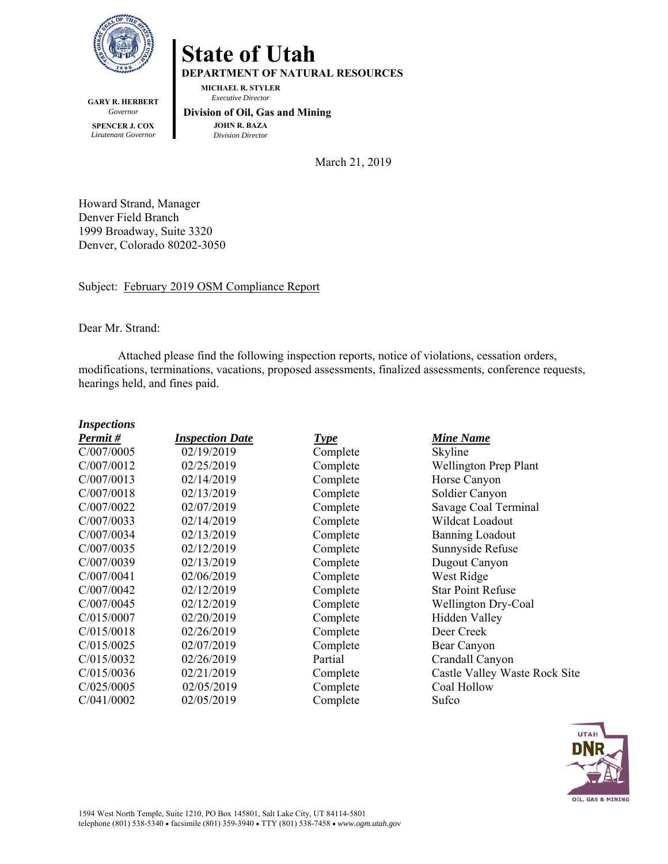

**GARY R. HERBERT**  *Governor*  **SPENCER J. COX**  *Lieutenant Governor* 

**State of Utah** 

**DEPARTMENT OF NATURAL RESOURCES** 

**MICHAEL R. STYLER**   *Executive Director* 

 **Division of Oil, Gas and Mining JOHN R. BAZA**  *Division Director*

March 21, 2019

Howard Strand, Manager Denver Field Branch 1999 Broadway, Suite 3320 Denver, Colorado 80202-3050

Subject: February 2019 OSM Compliance Report

Dear Mr. Strand:

Attached please find the following inspection reports, notice of violations, cessation orders, modifications, terminations, vacations, proposed assessments, finalized assessments, conference requests, hearings held, and fines paid.

| <b>Inspections</b> |                        |             |                               |
|--------------------|------------------------|-------------|-------------------------------|
| Permit#            | <b>Inspection Date</b> | <b>Type</b> | <b>Mine Name</b>              |
| C/007/0005         | 02/19/2019             | Complete    | Skyline                       |
| C/007/0012         | 02/25/2019             | Complete    | <b>Wellington Prep Plant</b>  |
| C/007/0013         | 02/14/2019             | Complete    | Horse Canyon                  |
| C/007/0018         | 02/13/2019             | Complete    | Soldier Canyon                |
| C/007/0022         | 02/07/2019             | Complete    | Savage Coal Terminal          |
| C/007/0033         | 02/14/2019             | Complete    | Wildcat Loadout               |
| C/007/0034         | 02/13/2019             | Complete    | <b>Banning Loadout</b>        |
| C/007/0035         | 02/12/2019             | Complete    | Sunnyside Refuse              |
| C/007/0039         | 02/13/2019             | Complete    | Dugout Canyon                 |
| C/007/0041         | 02/06/2019             | Complete    | West Ridge                    |
| C/007/0042         | 02/12/2019             | Complete    | <b>Star Point Refuse</b>      |
| C/007/0045         | 02/12/2019             | Complete    | <b>Wellington Dry-Coal</b>    |
| C/015/0007         | 02/20/2019             | Complete    | Hidden Valley                 |
| C/015/0018         | 02/26/2019             | Complete    | Deer Creek                    |
| C/015/0025         | 02/07/2019             | Complete    | Bear Canyon                   |
| C/015/0032         | 02/26/2019             | Partial     | Crandall Canyon               |
| C/015/0036         | 02/21/2019             | Complete    | Castle Valley Waste Rock Site |
| C/025/0005         | 02/05/2019             | Complete    | Coal Hollow                   |
| C/041/0002         | 02/05/2019             | Complete    | Sufco                         |

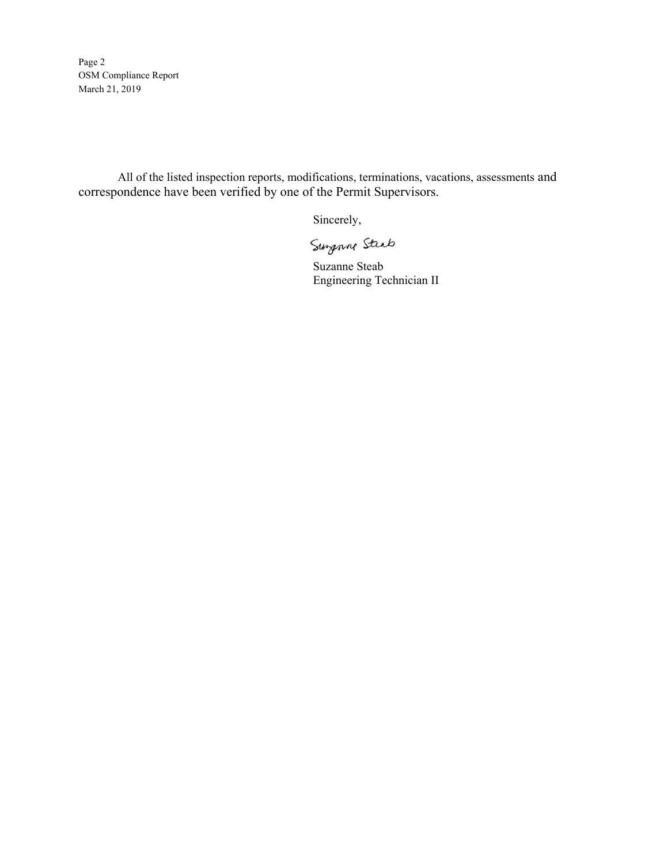Page 2 OSM Compliance Report March 21, 2019

All of the listed inspection reports, modifications, terminations, vacations, assessments and correspondence have been verified by one of the Permit Supervisors.

Sincerely,

Surganne Steab<br>Suzanne Steab

Engineering Technician II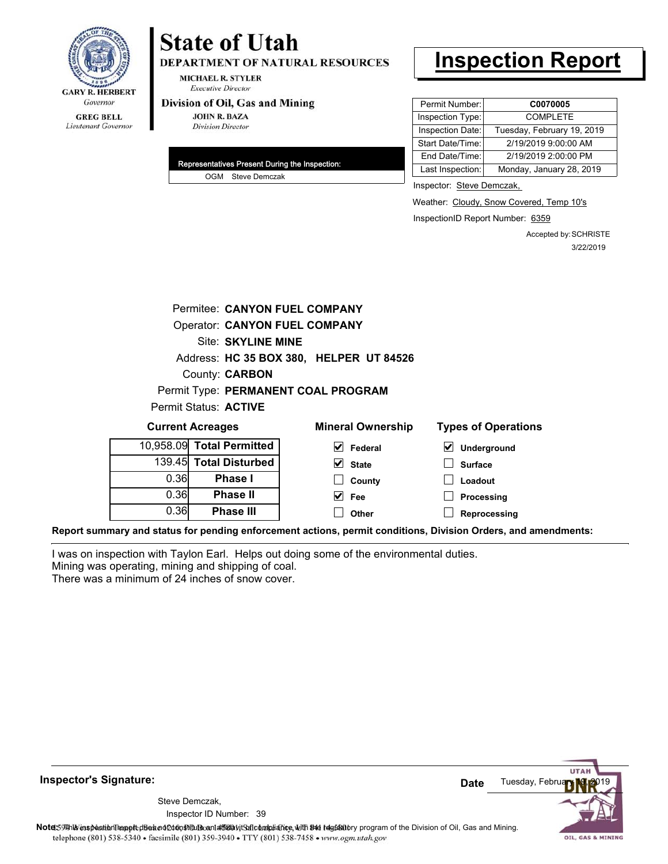

# **State of Utah**

**DEPARTMENT OF NATURAL RESOURCES** 

**MICHAEL R. STYLER Executive Director** 

#### Division of Oil, Gas and Mining

**JOHN R. BAZA Division Director** 

| Representatives Present During the Inspection: |
|------------------------------------------------|
| OGM Steve Demczak                              |

# **Inspection Report**

| Permit Number:   | C0070005                   |  |
|------------------|----------------------------|--|
| Inspection Type: | <b>COMPLETE</b>            |  |
| Inspection Date: | Tuesday, February 19, 2019 |  |
| Start Date/Time: | 2/19/2019 9:00:00 AM       |  |
| End Date/Time:   | 2/19/2019 2:00:00 PM       |  |
| Last Inspection: | Monday, January 28, 2019   |  |

Inspector: Steve Demczak,

Weather: Cloudy, Snow Covered, Temp 10's

InspectionID Report Number: 6359

Accepted by: SCHRISTE 3/22/2019

|      | Permitee: CANYON FUEL COMPANY |                                         |                            |  |  |  |
|------|-------------------------------|-----------------------------------------|----------------------------|--|--|--|
|      | Operator: CANYON FUEL COMPANY |                                         |                            |  |  |  |
|      | Site: SKYLINE MINE            |                                         |                            |  |  |  |
|      |                               | Address: HC 35 BOX 380, HELPER UT 84526 |                            |  |  |  |
|      | County: <b>CARBON</b>         |                                         |                            |  |  |  |
|      |                               | Permit Type: PERMANENT COAL PROGRAM     |                            |  |  |  |
|      | Permit Status: ACTIVE         |                                         |                            |  |  |  |
|      |                               |                                         |                            |  |  |  |
|      | <b>Current Acreages</b>       | <b>Mineral Ownership</b>                | <b>Types of Operations</b> |  |  |  |
|      | 10,958.09 Total Permitted     | V<br>Federal                            | ⊻<br>Underground           |  |  |  |
|      | 139.45 Total Disturbed        | $\blacktriangledown$<br><b>State</b>    | <b>Surface</b>             |  |  |  |
| 0.36 | <b>Phase I</b>                | County                                  | Loadout                    |  |  |  |
| 0.36 | <b>Phase II</b>               | M<br>Fee                                | Processing                 |  |  |  |
| 0.36 | <b>Phase III</b>              | Other                                   | Reprocessing               |  |  |  |

**Report summary and status for pending enforcement actions, permit conditions, Division Orders, and amendments:**

I was on inspection with Taylon Earl. Helps out doing some of the environmental duties. Mining was operating, mining and shipping of coal.

There was a minimum of 24 inches of snow cover.



**Inspector's Signature:**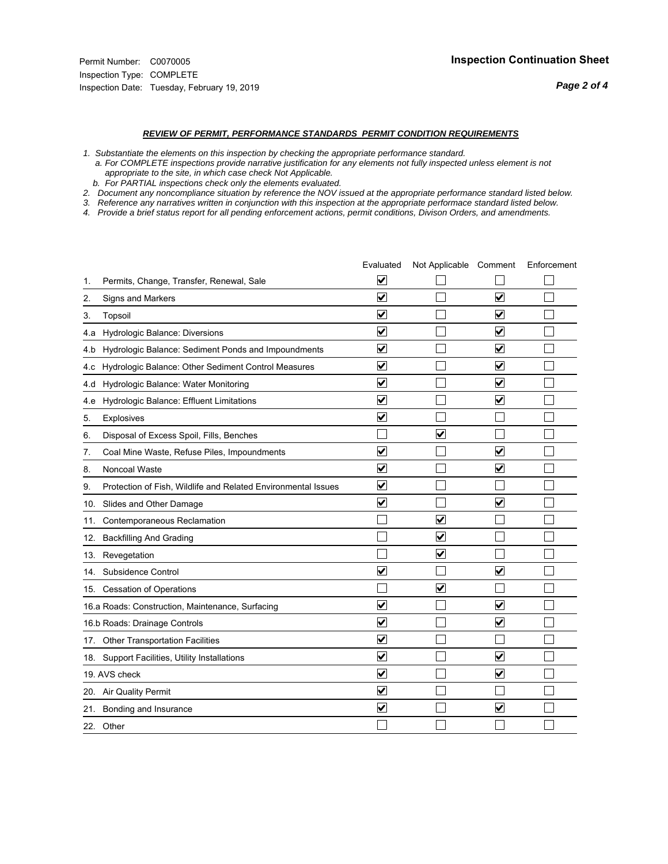#### *REVIEW OF PERMIT, PERFORMANCE STANDARDS PERMIT CONDITION REQUIREMENTS*

*1. Substantiate the elements on this inspection by checking the appropriate performance standard.*

 *a. For COMPLETE inspections provide narrative justification for any elements not fully inspected unless element is not appropriate to the site, in which case check Not Applicable.*

 *b. For PARTIAL inspections check only the elements evaluated.*

*2. Document any noncompliance situation by reference the NOV issued at the appropriate performance standard listed below.*

*3. Reference any narratives written in conjunction with this inspection at the appropriate performace standard listed below.*

|     |                                                               | Evaluated               | Not Applicable Comment          |                         | Enforcement |
|-----|---------------------------------------------------------------|-------------------------|---------------------------------|-------------------------|-------------|
| 1.  | Permits, Change, Transfer, Renewal, Sale                      | $\overline{\mathsf{v}}$ |                                 |                         |             |
| 2.  | Signs and Markers                                             | $\overline{\mathbf{v}}$ |                                 | $\blacktriangledown$    |             |
| 3.  | Topsoil                                                       | $\overline{\mathbf{v}}$ |                                 | $\overline{\mathsf{v}}$ |             |
| 4.a | Hydrologic Balance: Diversions                                | $\overline{\mathsf{v}}$ |                                 | $\blacktriangledown$    |             |
| 4.b | Hydrologic Balance: Sediment Ponds and Impoundments           | $\blacktriangledown$    |                                 | V                       |             |
| 4.c | Hydrologic Balance: Other Sediment Control Measures           | $\overline{\mathbf{v}}$ |                                 | $\blacktriangledown$    |             |
| 4.d | Hydrologic Balance: Water Monitoring                          | $\overline{\mathbf{v}}$ |                                 | $\overline{\mathsf{v}}$ |             |
| 4.e | Hydrologic Balance: Effluent Limitations                      | $\overline{\mathbf{v}}$ |                                 | $\blacktriangledown$    |             |
| 5.  | <b>Explosives</b>                                             | $\overline{\mathbf{v}}$ |                                 |                         |             |
| 6.  | Disposal of Excess Spoil, Fills, Benches                      |                         | $\blacktriangledown$            |                         |             |
| 7.  | Coal Mine Waste, Refuse Piles, Impoundments                   | $\overline{\mathbf{v}}$ |                                 | $\overline{\mathbf{v}}$ |             |
| 8.  | Noncoal Waste                                                 | $\overline{\mathbf{v}}$ |                                 | $\overline{\mathbf{v}}$ |             |
| 9.  | Protection of Fish, Wildlife and Related Environmental Issues | $\overline{\mathbf{v}}$ |                                 |                         |             |
|     | 10. Slides and Other Damage                                   | $\overline{\mathbf{v}}$ |                                 | ⊽                       |             |
| 11. | Contemporaneous Reclamation                                   |                         | ☑                               |                         |             |
| 12. | <b>Backfilling And Grading</b>                                |                         | $\overline{\mathbf{v}}$         |                         |             |
| 13. | Revegetation                                                  |                         | $\overline{\blacktriangledown}$ |                         |             |
| 14. | Subsidence Control                                            | $\overline{\mathbf{v}}$ |                                 | $\overline{\mathbf{v}}$ |             |
|     | 15. Cessation of Operations                                   |                         | $\blacktriangledown$            |                         |             |
|     | 16.a Roads: Construction, Maintenance, Surfacing              | $\blacktriangledown$    |                                 | $\blacktriangledown$    |             |
|     | 16.b Roads: Drainage Controls                                 | $\overline{\mathbf{v}}$ |                                 | $\overline{\mathbf{v}}$ |             |
|     | 17. Other Transportation Facilities                           | $\overline{\mathbf{v}}$ |                                 |                         |             |
| 18. | Support Facilities, Utility Installations                     | $\overline{\mathbf{v}}$ |                                 | $\blacktriangledown$    |             |
|     | 19. AVS check                                                 | $\overline{\mathbf{v}}$ |                                 | $\blacktriangledown$    |             |
|     | 20. Air Quality Permit                                        | $\checkmark$            |                                 |                         |             |
|     | 21. Bonding and Insurance                                     | $\overline{\mathbf{v}}$ |                                 | $\blacktriangledown$    |             |
|     | 22. Other                                                     |                         |                                 |                         |             |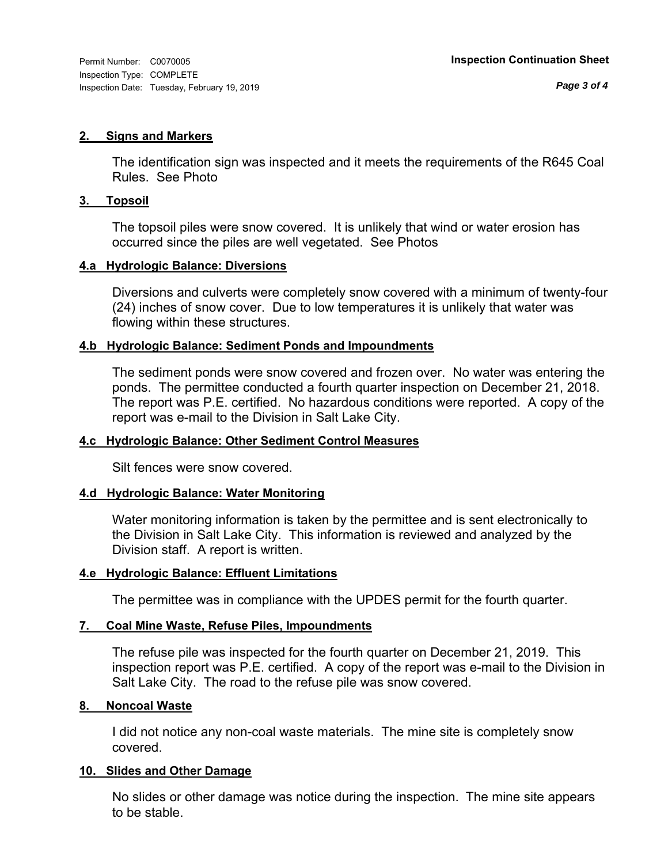#### **2. Signs and Markers**

The identification sign was inspected and it meets the requirements of the R645 Coal Rules. See Photo

#### **3. Topsoil**

The topsoil piles were snow covered. It is unlikely that wind or water erosion has occurred since the piles are well vegetated. See Photos

#### **4.a Hydrologic Balance: Diversions**

Diversions and culverts were completely snow covered with a minimum of twenty-four (24) inches of snow cover. Due to low temperatures it is unlikely that water was flowing within these structures.

#### **4.b Hydrologic Balance: Sediment Ponds and Impoundments**

The sediment ponds were snow covered and frozen over. No water was entering the ponds. The permittee conducted a fourth quarter inspection on December 21, 2018. The report was P.E. certified. No hazardous conditions were reported. A copy of the report was e-mail to the Division in Salt Lake City.

### **4.c Hydrologic Balance: Other Sediment Control Measures**

Silt fences were snow covered.

### **4.d Hydrologic Balance: Water Monitoring**

Water monitoring information is taken by the permittee and is sent electronically to the Division in Salt Lake City. This information is reviewed and analyzed by the Division staff. A report is written.

### **4.e Hydrologic Balance: Effluent Limitations**

The permittee was in compliance with the UPDES permit for the fourth quarter.

### **7. Coal Mine Waste, Refuse Piles, Impoundments**

The refuse pile was inspected for the fourth quarter on December 21, 2019. This inspection report was P.E. certified. A copy of the report was e-mail to the Division in Salt Lake City. The road to the refuse pile was snow covered.

#### **8. Noncoal Waste**

I did not notice any non-coal waste materials. The mine site is completely snow covered.

### **10. Slides and Other Damage**

No slides or other damage was notice during the inspection. The mine site appears to be stable.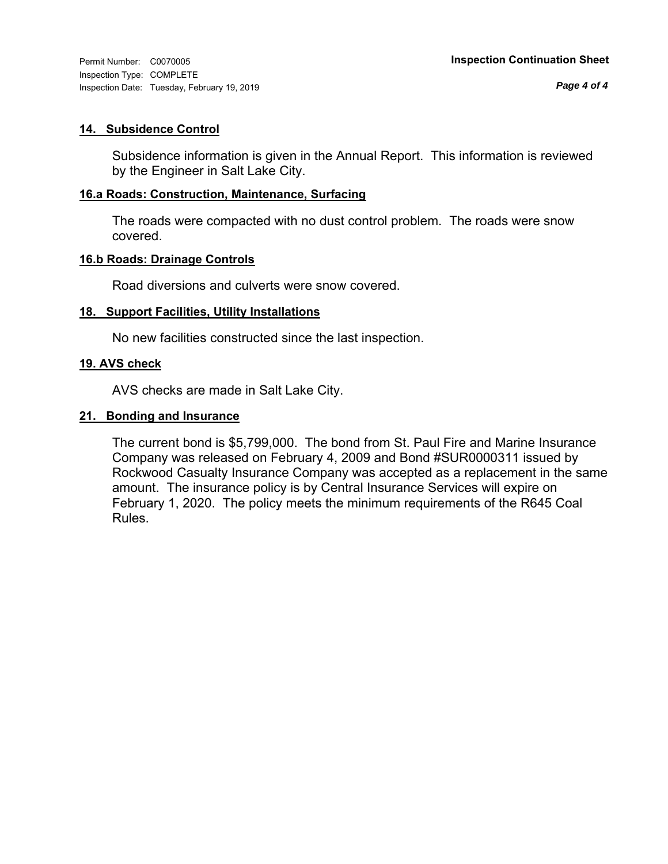Inspection Type: COMPLETE Inspection Date: Tuesday, February 19, 2019

### **14. Subsidence Control**

Subsidence information is given in the Annual Report. This information is reviewed by the Engineer in Salt Lake City.

## **16.a Roads: Construction, Maintenance, Surfacing**

The roads were compacted with no dust control problem. The roads were snow covered.

### **16.b Roads: Drainage Controls**

Road diversions and culverts were snow covered.

## **18. Support Facilities, Utility Installations**

No new facilities constructed since the last inspection.

## **19. AVS check**

AVS checks are made in Salt Lake City.

## **21. Bonding and Insurance**

The current bond is \$5,799,000. The bond from St. Paul Fire and Marine Insurance Company was released on February 4, 2009 and Bond #SUR0000311 issued by Rockwood Casualty Insurance Company was accepted as a replacement in the same amount. The insurance policy is by Central Insurance Services will expire on February 1, 2020. The policy meets the minimum requirements of the R645 Coal Rules.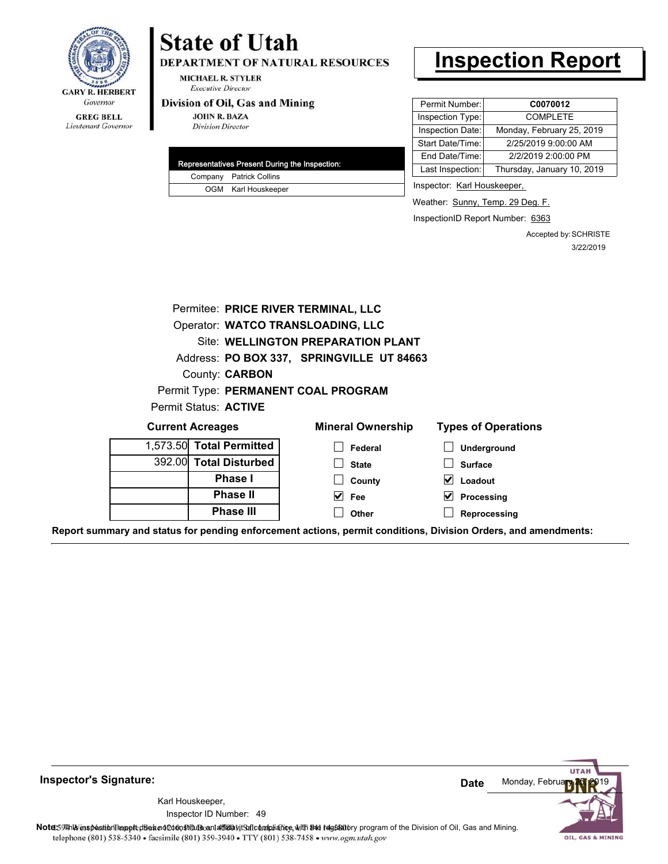

#### **GREG BELL** Lieutenant Governor

# **State of Utah**

DEPARTMENT OF NATURAL RESOURCES

**MICHAEL R. STYLER Executive Director** 

#### Division of Oil, Gas and Mining

**JOHN R. BAZA Division Director** 

| Representatives Present During the Inspection: |
|------------------------------------------------|
| Company Patrick Collins                        |
| OGM Karl Houskeeper                            |

# **Inspection Report**

| Permit Number:   | C0070012                   |
|------------------|----------------------------|
| Inspection Type: | <b>COMPLETE</b>            |
| Inspection Date: | Monday, February 25, 2019  |
| Start Date/Time: | 2/25/2019 9:00:00 AM       |
| End Date/Time:   | 2/2/2019 2:00:00 PM        |
| Last Inspection: | Thursday, January 10, 2019 |

Inspector: Karl Houskeeper,

Weather: Sunny, Temp. 29 Deg. F.

InspectionID Report Number: 6363

Accepted by: SCHRISTE 3/22/2019

|                          | Permitee: PRICE RIVER TERMINAL, LLC       |                                  |
|--------------------------|-------------------------------------------|----------------------------------|
|                          | Operator: WATCO TRANSLOADING, LLC         |                                  |
|                          | Site: WELLINGTON PREPARATION PLANT        |                                  |
|                          | Address: PO BOX 337, SPRINGVILLE UT 84663 |                                  |
| County: <b>CARBON</b>    |                                           |                                  |
|                          | Permit Type: PERMANENT COAL PROGRAM       |                                  |
| Permit Status: ACTIVE    |                                           |                                  |
| <b>Current Acreages</b>  | <b>Mineral Ownership</b>                  | <b>Types of Operations</b>       |
| 1,573.50 Total Permitted | Federal                                   | <b>Underground</b>               |
| 392.00 Total Disturbed   | <b>State</b>                              | <b>Surface</b>                   |
| <b>Phase I</b>           | County                                    | $\vert \mathbf{v} \vert$ Loadout |
| <b>Phase II</b>          | $\vee$ Fee                                | $\vee$ Processing                |
| <b>Phase III</b>         | Other                                     | Reprocessing                     |

**Report summary and status for pending enforcement actions, permit conditions, Division Orders, and amendments:**



49 Inspector ID Number:Karl Houskeeper,

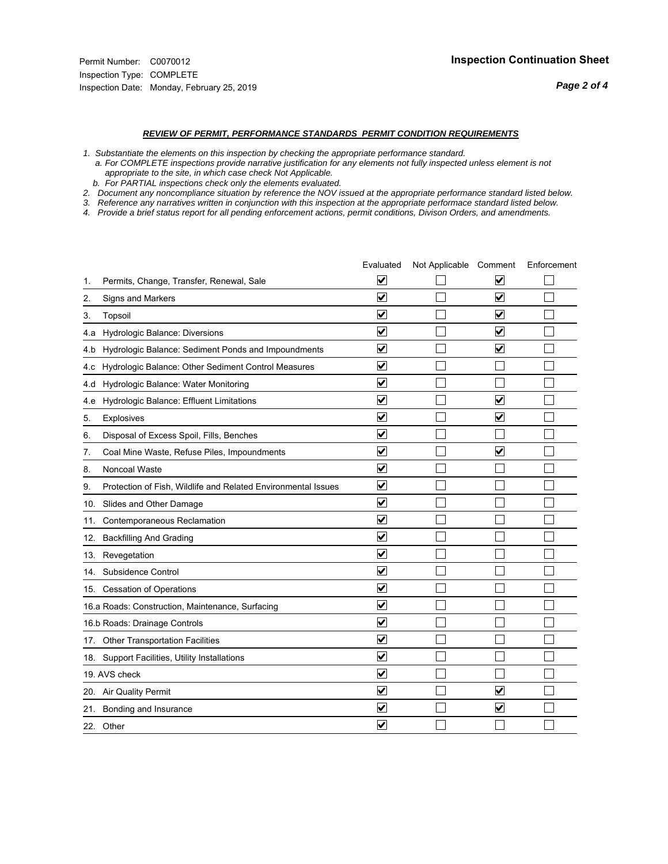#### *REVIEW OF PERMIT, PERFORMANCE STANDARDS PERMIT CONDITION REQUIREMENTS*

*1. Substantiate the elements on this inspection by checking the appropriate performance standard.*

 *a. For COMPLETE inspections provide narrative justification for any elements not fully inspected unless element is not appropriate to the site, in which case check Not Applicable.*

 *b. For PARTIAL inspections check only the elements evaluated.*

*2. Document any noncompliance situation by reference the NOV issued at the appropriate performance standard listed below.*

*3. Reference any narratives written in conjunction with this inspection at the appropriate performace standard listed below.*

|     |                                                               | Evaluated               | Not Applicable Comment |                         | Enforcement |
|-----|---------------------------------------------------------------|-------------------------|------------------------|-------------------------|-------------|
| 1.  | Permits, Change, Transfer, Renewal, Sale                      | $\overline{\mathsf{v}}$ |                        | V                       |             |
| 2.  | Signs and Markers                                             | $\overline{\mathbf{v}}$ |                        | $\blacktriangledown$    |             |
| 3.  | Topsoil                                                       | $\overline{\mathbf{v}}$ |                        | $\overline{\mathsf{v}}$ |             |
| 4.a | Hydrologic Balance: Diversions                                | $\overline{\mathbf{v}}$ |                        | $\overline{\mathbf{v}}$ |             |
| 4.b | Hydrologic Balance: Sediment Ponds and Impoundments           | $\blacktriangledown$    |                        | ⊻                       |             |
| 4.c | Hydrologic Balance: Other Sediment Control Measures           | $\overline{\mathbf{v}}$ |                        |                         |             |
| 4.d | Hydrologic Balance: Water Monitoring                          | $\overline{\mathbf{v}}$ |                        |                         |             |
| 4.e | Hydrologic Balance: Effluent Limitations                      | $\overline{\mathbf{v}}$ |                        | $\blacktriangledown$    |             |
| 5.  | <b>Explosives</b>                                             | $\overline{\mathbf{v}}$ |                        | ⊽                       |             |
| 6.  | Disposal of Excess Spoil, Fills, Benches                      | $\blacktriangledown$    |                        |                         |             |
| 7.  | Coal Mine Waste, Refuse Piles, Impoundments                   | $\overline{\mathbf{v}}$ |                        | $\overline{\mathbf{v}}$ |             |
| 8.  | Noncoal Waste                                                 | $\overline{\mathbf{v}}$ |                        |                         |             |
| 9.  | Protection of Fish, Wildlife and Related Environmental Issues | $\overline{\mathbf{v}}$ |                        |                         |             |
|     | 10. Slides and Other Damage                                   | $\overline{\mathbf{v}}$ |                        |                         |             |
| 11. | Contemporaneous Reclamation                                   | ⊽                       |                        |                         |             |
| 12. | <b>Backfilling And Grading</b>                                | $\overline{\mathbf{v}}$ |                        |                         |             |
| 13. | Revegetation                                                  | $\overline{\mathbf{v}}$ |                        |                         |             |
| 14. | Subsidence Control                                            | $\overline{\mathbf{v}}$ |                        |                         |             |
|     | 15. Cessation of Operations                                   | $\overline{\mathbf{v}}$ |                        |                         |             |
|     | 16.a Roads: Construction, Maintenance, Surfacing              | $\blacktriangledown$    |                        |                         |             |
|     | 16.b Roads: Drainage Controls                                 | $\overline{\mathbf{v}}$ |                        |                         |             |
|     | 17. Other Transportation Facilities                           | $\overline{\mathbf{v}}$ |                        |                         |             |
| 18. | Support Facilities, Utility Installations                     | $\overline{\mathbf{v}}$ |                        |                         |             |
|     | 19. AVS check                                                 | $\overline{\mathbf{v}}$ |                        |                         |             |
|     | 20. Air Quality Permit                                        | $\checkmark$            |                        | $\blacktriangledown$    |             |
|     | 21. Bonding and Insurance                                     | $\blacktriangledown$    |                        | $\blacktriangledown$    |             |
|     | 22. Other                                                     | $\overline{\mathbf{v}}$ |                        |                         |             |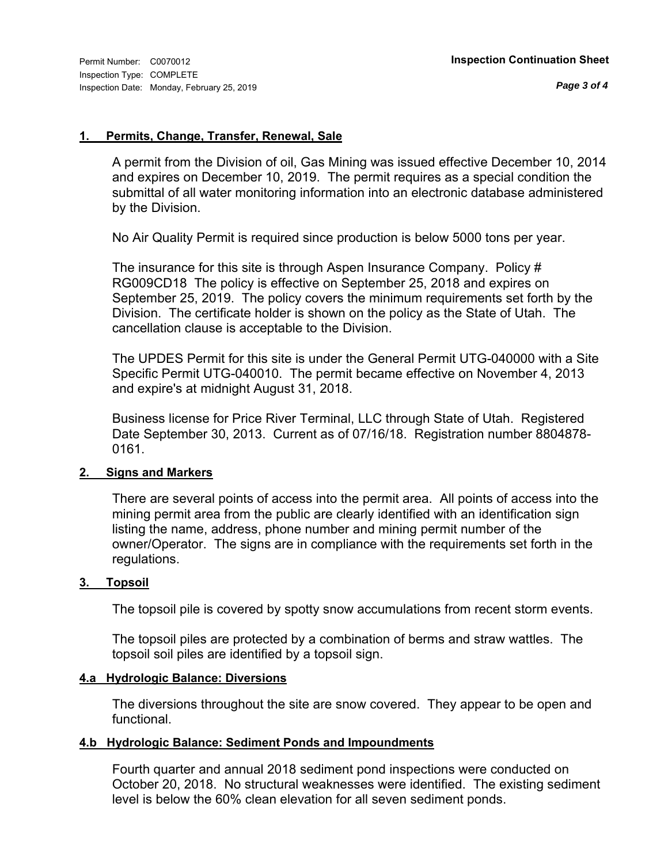#### **1. Permits, Change, Transfer, Renewal, Sale**

A permit from the Division of oil, Gas Mining was issued effective December 10, 2014 and expires on December 10, 2019. The permit requires as a special condition the submittal of all water monitoring information into an electronic database administered by the Division.

No Air Quality Permit is required since production is below 5000 tons per year.

The insurance for this site is through Aspen Insurance Company. Policy # RG009CD18 The policy is effective on September 25, 2018 and expires on September 25, 2019. The policy covers the minimum requirements set forth by the Division. The certificate holder is shown on the policy as the State of Utah. The cancellation clause is acceptable to the Division.

The UPDES Permit for this site is under the General Permit UTG-040000 with a Site Specific Permit UTG-040010. The permit became effective on November 4, 2013 and expire's at midnight August 31, 2018.

Business license for Price River Terminal, LLC through State of Utah. Registered Date September 30, 2013. Current as of 07/16/18. Registration number 8804878- 0161.

### **2. Signs and Markers**

There are several points of access into the permit area. All points of access into the mining permit area from the public are clearly identified with an identification sign listing the name, address, phone number and mining permit number of the owner/Operator. The signs are in compliance with the requirements set forth in the regulations.

#### **3. Topsoil**

The topsoil pile is covered by spotty snow accumulations from recent storm events.

The topsoil piles are protected by a combination of berms and straw wattles. The topsoil soil piles are identified by a topsoil sign.

#### **4.a Hydrologic Balance: Diversions**

The diversions throughout the site are snow covered. They appear to be open and functional.

### **4.b Hydrologic Balance: Sediment Ponds and Impoundments**

Fourth quarter and annual 2018 sediment pond inspections were conducted on October 20, 2018. No structural weaknesses were identified. The existing sediment level is below the 60% clean elevation for all seven sediment ponds.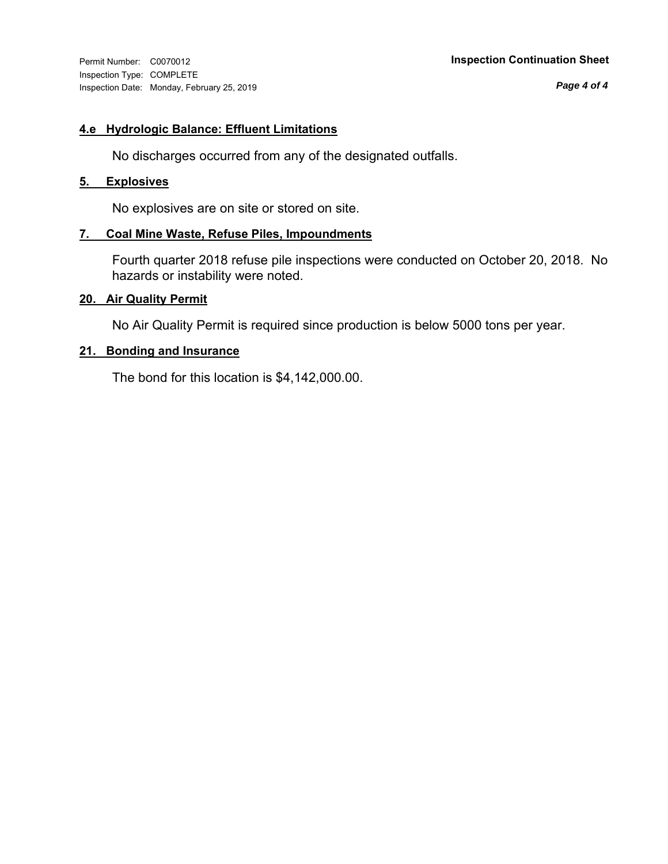Inspection Type: COMPLETE Inspection Date: Monday, February 25, 2019

#### Permit Number: C0070012 **Inspection Continuation Sheet**

*Page 4 of 4*

#### **4.e Hydrologic Balance: Effluent Limitations**

No discharges occurred from any of the designated outfalls.

#### **5. Explosives**

No explosives are on site or stored on site.

#### **7. Coal Mine Waste, Refuse Piles, Impoundments**

Fourth quarter 2018 refuse pile inspections were conducted on October 20, 2018. No hazards or instability were noted.

#### **20. Air Quality Permit**

No Air Quality Permit is required since production is below 5000 tons per year.

#### **21. Bonding and Insurance**

The bond for this location is \$4,142,000.00.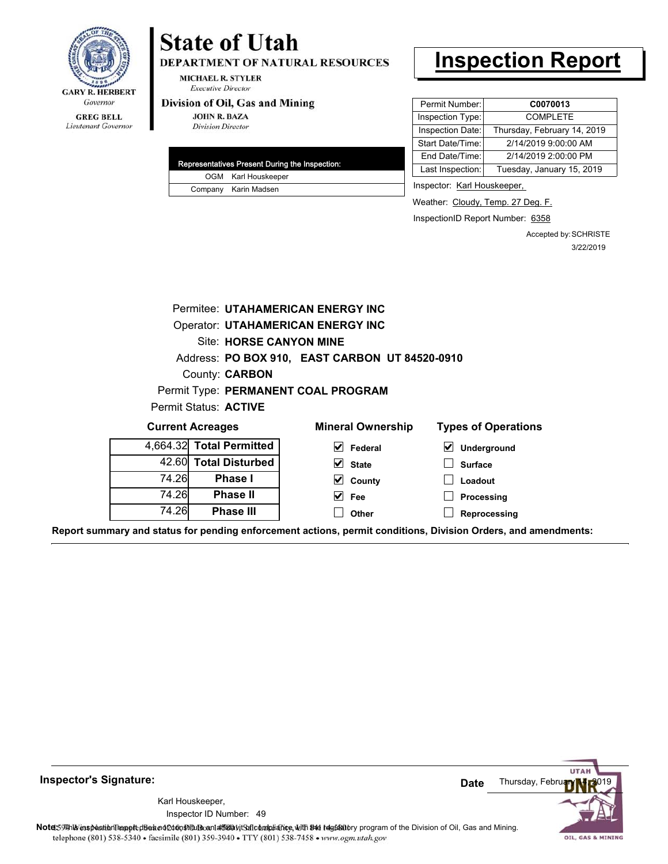

# **State of Utah**

DEPARTMENT OF NATURAL RESOURCES

**MICHAEL R. STYLER Executive Director** 

#### Division of Oil, Gas and Mining

**JOHN R. BAZA Division Director** 

| Representatives Present During the Inspection: |
|------------------------------------------------|
| OGM Karl Houskeeper                            |
| Company Karin Madsen                           |

# **Inspection Report**

| Permit Number:   | C0070013                    |
|------------------|-----------------------------|
| Inspection Type: | <b>COMPLETE</b>             |
| Inspection Date: | Thursday, February 14, 2019 |
| Start Date/Time: | 2/14/2019 9:00:00 AM        |
| End Date/Time:   | 2/14/2019 2:00:00 PM        |
| Last Inspection: | Tuesday, January 15, 2019   |
|                  |                             |

Inspector: Karl Houskeeper,

Weather: Cloudy, Temp. 27 Deg. F.

InspectionID Report Number: 6358

Accepted by: SCHRISTE 3/22/2019

|       |                                                                                   | Permitee: UTAHAMERICAN ENERGY INC              |                  |  |  |  |
|-------|-----------------------------------------------------------------------------------|------------------------------------------------|------------------|--|--|--|
|       | <b>Operator: UTAHAMERICAN ENERGY INC</b>                                          |                                                |                  |  |  |  |
|       | Site: HORSE CANYON MINE                                                           |                                                |                  |  |  |  |
|       |                                                                                   | Address: PO BOX 910, EAST CARBON UT 84520-0910 |                  |  |  |  |
|       | County: <b>CARBON</b>                                                             |                                                |                  |  |  |  |
|       |                                                                                   | Permit Type: PERMANENT COAL PROGRAM            |                  |  |  |  |
|       | Permit Status: ACTIVE                                                             |                                                |                  |  |  |  |
|       | <b>Types of Operations</b><br><b>Mineral Ownership</b><br><b>Current Acreages</b> |                                                |                  |  |  |  |
|       | 4,664.32 Total Permitted                                                          | $\vert \mathbf{V} \vert$ Federal               | ⊻<br>Underground |  |  |  |
| 42.60 | <b>Total Disturbed</b>                                                            | $\vee$ State                                   | <b>Surface</b>   |  |  |  |
| 74.26 | <b>Phase I</b>                                                                    | $\vee$ County                                  | Loadout          |  |  |  |
| 74.26 | Phase II                                                                          | $\vee$ Fee                                     | Processing       |  |  |  |
| 74.26 | <b>Phase III</b>                                                                  | Other                                          | Reprocessing     |  |  |  |
|       |                                                                                   |                                                |                  |  |  |  |

**Report summary and status for pending enforcement actions, permit conditions, Division Orders, and amendments:**



49 Inspector ID Number:Karl Houskeeper,



OIL, GAS & MINING

Note: 59 This inspection report does not constitute and affidavit Suite and Mining.<br>
telephone (801) 538-5340 • facsimile (801) 359-3940 • TTY (801) 538-7458 • www.ogm.utah.gov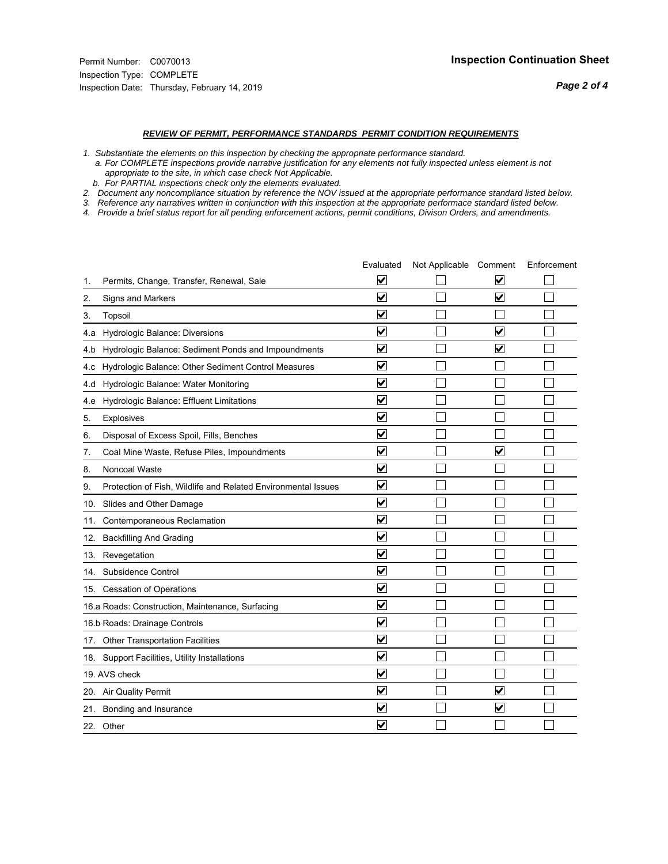#### *REVIEW OF PERMIT, PERFORMANCE STANDARDS PERMIT CONDITION REQUIREMENTS*

*1. Substantiate the elements on this inspection by checking the appropriate performance standard.*

 *a. For COMPLETE inspections provide narrative justification for any elements not fully inspected unless element is not appropriate to the site, in which case check Not Applicable.*

 *b. For PARTIAL inspections check only the elements evaluated.*

*2. Document any noncompliance situation by reference the NOV issued at the appropriate performance standard listed below.*

*3. Reference any narratives written in conjunction with this inspection at the appropriate performace standard listed below.*

|     |                                                               | Evaluated                       | Not Applicable Comment |                                 | Enforcement |
|-----|---------------------------------------------------------------|---------------------------------|------------------------|---------------------------------|-------------|
| 1.  | Permits, Change, Transfer, Renewal, Sale                      | V                               |                        | V                               |             |
| 2.  | Signs and Markers                                             | $\overline{\mathbf{v}}$         |                        | $\overline{\blacktriangledown}$ |             |
| 3.  | Topsoil                                                       | $\overline{\mathbf{v}}$         |                        |                                 |             |
| 4.a | Hydrologic Balance: Diversions                                | $\blacktriangledown$            |                        | $\blacktriangledown$            |             |
| 4.b | Hydrologic Balance: Sediment Ponds and Impoundments           | $\blacktriangledown$            |                        | $\blacktriangledown$            |             |
| 4.c | Hydrologic Balance: Other Sediment Control Measures           | $\blacktriangledown$            |                        |                                 |             |
| 4.d | Hydrologic Balance: Water Monitoring                          | $\overline{\mathbf{v}}$         |                        |                                 |             |
| 4.e | Hydrologic Balance: Effluent Limitations                      | ☑                               |                        |                                 |             |
| 5.  | <b>Explosives</b>                                             | $\blacktriangledown$            |                        |                                 |             |
| 6.  | Disposal of Excess Spoil, Fills, Benches                      | $\blacktriangledown$            |                        |                                 |             |
| 7.  | Coal Mine Waste, Refuse Piles, Impoundments                   | $\blacktriangledown$            |                        | $\overline{\mathbf{v}}$         |             |
| 8.  | Noncoal Waste                                                 | ⊽                               |                        |                                 |             |
| 9.  | Protection of Fish, Wildlife and Related Environmental Issues | ✔                               |                        |                                 |             |
|     | 10. Slides and Other Damage                                   | ☑                               |                        |                                 |             |
| 11. | Contemporaneous Reclamation                                   | ⊻                               |                        |                                 |             |
| 12. | <b>Backfilling And Grading</b>                                | $\overline{\mathbf{v}}$         |                        |                                 |             |
|     | 13. Revegetation                                              | $\overline{\mathbf{v}}$         |                        |                                 |             |
| 14. | Subsidence Control                                            | $\overline{\mathbf{v}}$         |                        |                                 |             |
|     | 15. Cessation of Operations                                   | ☑                               |                        |                                 |             |
|     | 16.a Roads: Construction, Maintenance, Surfacing              | ☑                               |                        |                                 |             |
|     | 16.b Roads: Drainage Controls                                 | $\blacktriangledown$            |                        |                                 |             |
|     | 17. Other Transportation Facilities                           | $\overline{\mathbf{v}}$         |                        |                                 |             |
|     | 18. Support Facilities, Utility Installations                 | $\overline{\blacktriangledown}$ |                        |                                 |             |
|     | 19. AVS check                                                 | $\blacktriangledown$            |                        |                                 |             |
|     | 20. Air Quality Permit                                        | $\blacktriangledown$            |                        | $\overline{\mathbf{v}}$         |             |
|     | 21. Bonding and Insurance                                     | V                               |                        | $\blacktriangledown$            |             |
|     | 22. Other                                                     | $\blacktriangledown$            |                        |                                 |             |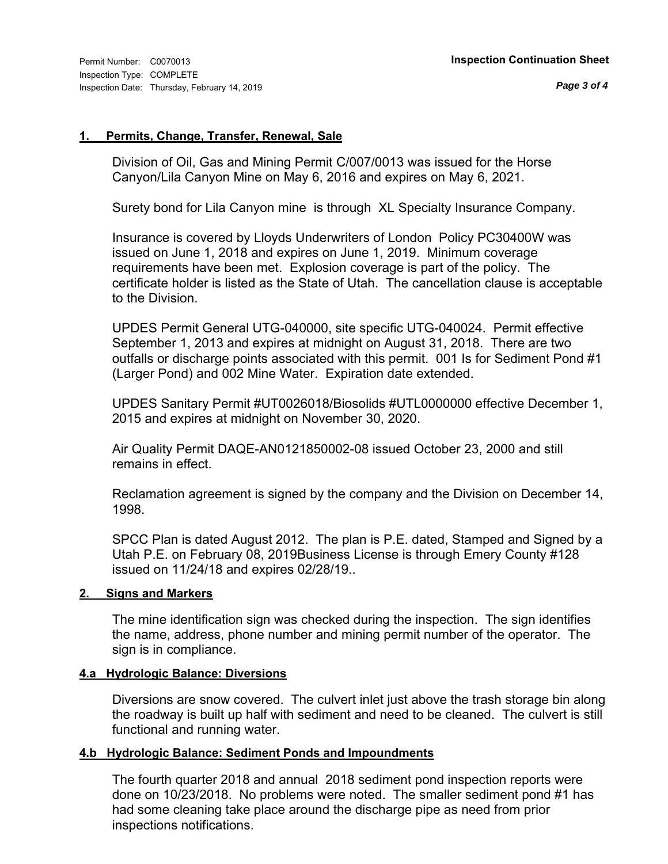#### **1. Permits, Change, Transfer, Renewal, Sale**

Division of Oil, Gas and Mining Permit C/007/0013 was issued for the Horse Canyon/Lila Canyon Mine on May 6, 2016 and expires on May 6, 2021.

Surety bond for Lila Canyon mine is through XL Specialty Insurance Company.

Insurance is covered by Lloyds Underwriters of London Policy PC30400W was issued on June 1, 2018 and expires on June 1, 2019. Minimum coverage requirements have been met. Explosion coverage is part of the policy. The certificate holder is listed as the State of Utah. The cancellation clause is acceptable to the Division.

UPDES Permit General UTG-040000, site specific UTG-040024. Permit effective September 1, 2013 and expires at midnight on August 31, 2018. There are two outfalls or discharge points associated with this permit. 001 Is for Sediment Pond #1 (Larger Pond) and 002 Mine Water. Expiration date extended.

UPDES Sanitary Permit #UT0026018/Biosolids #UTL0000000 effective December 1, 2015 and expires at midnight on November 30, 2020.

Air Quality Permit DAQE-AN0121850002-08 issued October 23, 2000 and still remains in effect.

Reclamation agreement is signed by the company and the Division on December 14, 1998.

SPCC Plan is dated August 2012. The plan is P.E. dated, Stamped and Signed by a Utah P.E. on February 08, 2019Business License is through Emery County #128 issued on 11/24/18 and expires 02/28/19..

#### **2. Signs and Markers**

The mine identification sign was checked during the inspection. The sign identifies the name, address, phone number and mining permit number of the operator. The sign is in compliance.

### **4.a Hydrologic Balance: Diversions**

Diversions are snow covered. The culvert inlet just above the trash storage bin along the roadway is built up half with sediment and need to be cleaned. The culvert is still functional and running water.

#### **4.b Hydrologic Balance: Sediment Ponds and Impoundments**

The fourth quarter 2018 and annual 2018 sediment pond inspection reports were done on 10/23/2018. No problems were noted. The smaller sediment pond #1 has had some cleaning take place around the discharge pipe as need from prior inspections notifications.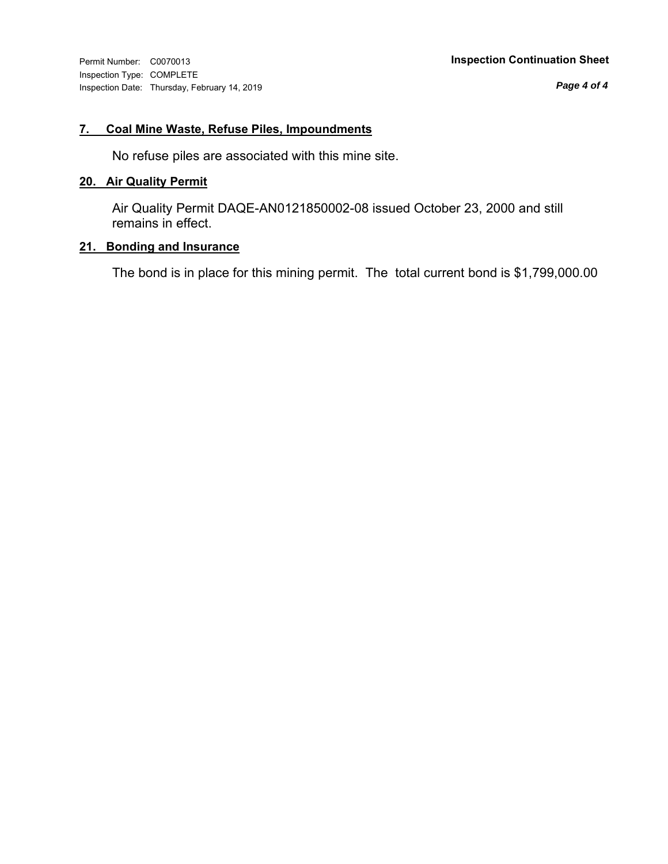Inspection Type: COMPLETE Inspection Date: Thursday, February 14, 2019

*Page 4 of 4*

## **7. Coal Mine Waste, Refuse Piles, Impoundments**

No refuse piles are associated with this mine site.

## **20. Air Quality Permit**

Air Quality Permit DAQE-AN0121850002-08 issued October 23, 2000 and still remains in effect.

### **21. Bonding and Insurance**

The bond is in place for this mining permit. The total current bond is \$1,799,000.00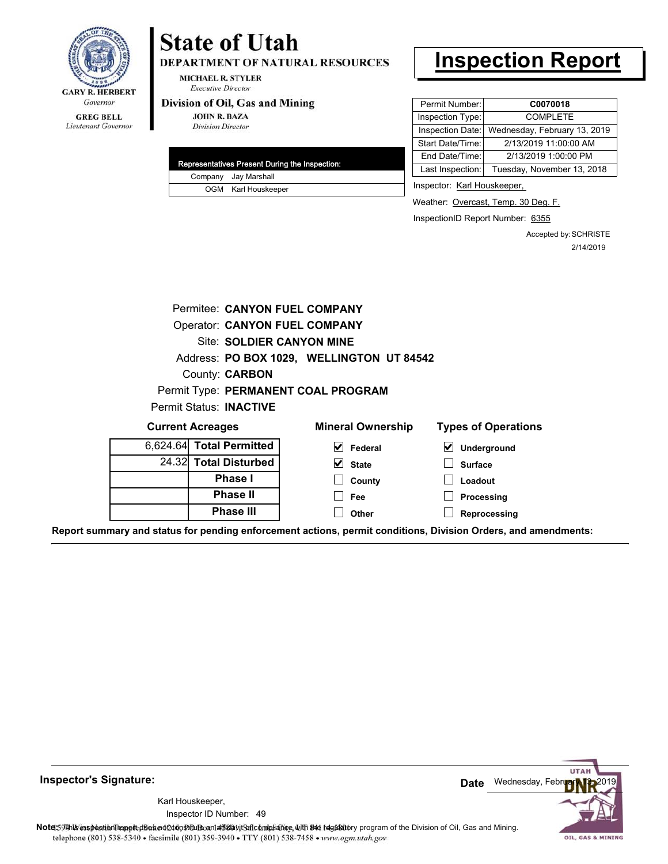

#### **GREG BELL** Lieutenant Governor

# **State of Utah**

DEPARTMENT OF NATURAL RESOURCES

**MICHAEL R. STYLER Executive Director** 

#### Division of Oil, Gas and Mining

**JOHN R. BAZA Division Director** 

|  | Representatives Present During the Inspection: |
|--|------------------------------------------------|
|  | Company Jay Marshall                           |
|  | OGM Karl Houskeeper                            |

# **Inspection Report**

| Permit Number:   | C0070018                     |
|------------------|------------------------------|
| Inspection Type: | <b>COMPLETE</b>              |
| Inspection Date: | Wednesday, February 13, 2019 |
| Start Date/Time: | 2/13/2019 11:00:00 AM        |
| End Date/Time:   | 2/13/2019 1:00:00 PM         |
| Last Inspection: | Tuesday, November 13, 2018   |
|                  |                              |

Inspector: Karl Houskeeper,

Weather: Overcast, Temp. 30 Deg. F.

InspectionID Report Number: 6355

Accepted by: SCHRISTE 2/14/2019

|       | Permitee: CANYON FUEL COMPANY        |                                           |                            |
|-------|--------------------------------------|-------------------------------------------|----------------------------|
|       | <b>Operator: CANYON FUEL COMPANY</b> |                                           |                            |
|       | Site: SOLDIER CANYON MINE            |                                           |                            |
|       |                                      | Address: PO BOX 1029, WELLINGTON UT 84542 |                            |
|       | County: <b>CARBON</b>                |                                           |                            |
|       |                                      | Permit Type: PERMANENT COAL PROGRAM       |                            |
|       | <b>Permit Status: INACTIVE</b>       |                                           |                            |
|       | <b>Current Acreages</b>              | <b>Mineral Ownership</b>                  | <b>Types of Operations</b> |
|       | 6,624.64 Total Permitted             | $\vert \mathbf{v} \vert$ Federal          | ⊻<br>Underground           |
| 24.32 | <b>Total Disturbed</b>               | $\vee$ State                              | <b>Surface</b>             |
|       | <b>Phase I</b>                       | County                                    | Loadout                    |
|       | <b>Phase II</b>                      | <b>Fee</b>                                | Processing                 |
|       | <b>Phase III</b>                     | Other                                     | Reprocessing               |
|       |                                      |                                           |                            |

**Report summary and status for pending enforcement actions, permit conditions, Division Orders, and amendments:**



49 Inspector ID Number:Karl Houskeeper,

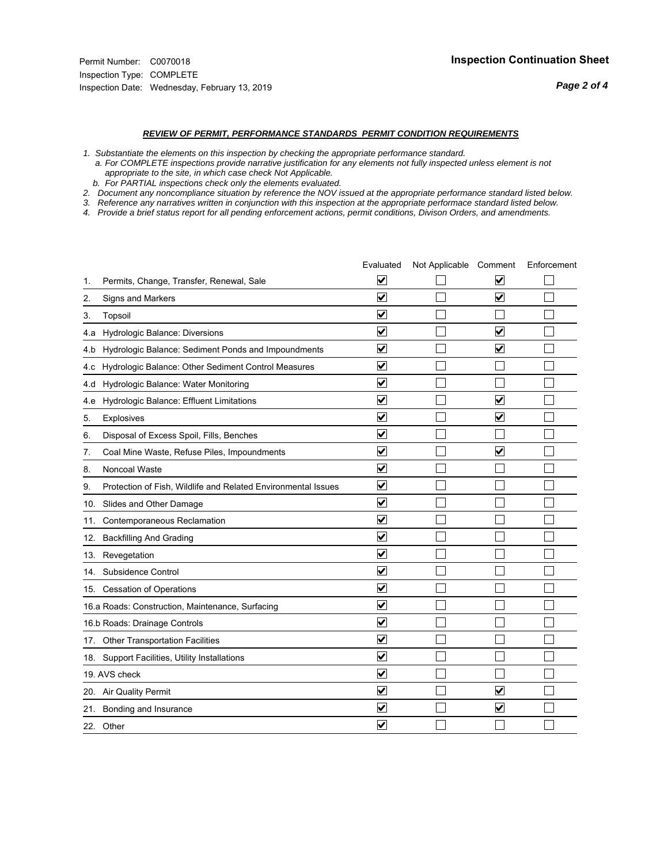#### *REVIEW OF PERMIT, PERFORMANCE STANDARDS PERMIT CONDITION REQUIREMENTS*

*1. Substantiate the elements on this inspection by checking the appropriate performance standard.*

 *a. For COMPLETE inspections provide narrative justification for any elements not fully inspected unless element is not appropriate to the site, in which case check Not Applicable.*

 *b. For PARTIAL inspections check only the elements evaluated.*

*2. Document any noncompliance situation by reference the NOV issued at the appropriate performance standard listed below.*

*3. Reference any narratives written in conjunction with this inspection at the appropriate performace standard listed below.*

|     |                                                               | Evaluated                       | Not Applicable Comment |                                 | Enforcement |
|-----|---------------------------------------------------------------|---------------------------------|------------------------|---------------------------------|-------------|
| 1.  | Permits, Change, Transfer, Renewal, Sale                      | V                               |                        | V                               |             |
| 2.  | Signs and Markers                                             | $\overline{\mathbf{v}}$         |                        | $\overline{\blacktriangledown}$ |             |
| 3.  | Topsoil                                                       | $\overline{\mathbf{v}}$         |                        |                                 |             |
| 4.a | Hydrologic Balance: Diversions                                | $\blacktriangledown$            |                        | $\blacktriangledown$            |             |
| 4.b | Hydrologic Balance: Sediment Ponds and Impoundments           | $\blacktriangledown$            |                        | $\blacktriangledown$            |             |
| 4.c | Hydrologic Balance: Other Sediment Control Measures           | $\blacktriangledown$            |                        |                                 |             |
| 4.d | Hydrologic Balance: Water Monitoring                          | $\overline{\mathbf{v}}$         |                        |                                 |             |
| 4.e | Hydrologic Balance: Effluent Limitations                      | ☑                               |                        | $\overline{\mathbf{v}}$         |             |
| 5.  | <b>Explosives</b>                                             | $\blacktriangledown$            |                        | $\blacktriangledown$            |             |
| 6.  | Disposal of Excess Spoil, Fills, Benches                      | $\blacktriangledown$            |                        |                                 |             |
| 7.  | Coal Mine Waste, Refuse Piles, Impoundments                   | $\blacktriangledown$            |                        | $\blacktriangledown$            |             |
| 8.  | Noncoal Waste                                                 | ⊽                               |                        |                                 |             |
| 9.  | Protection of Fish, Wildlife and Related Environmental Issues | ✔                               |                        |                                 |             |
|     | 10. Slides and Other Damage                                   | ☑                               |                        |                                 |             |
| 11. | Contemporaneous Reclamation                                   | ⊻                               |                        |                                 |             |
| 12. | <b>Backfilling And Grading</b>                                | $\overline{\mathbf{v}}$         |                        |                                 |             |
|     | 13. Revegetation                                              | $\overline{\mathbf{v}}$         |                        |                                 |             |
| 14. | Subsidence Control                                            | $\overline{\mathbf{v}}$         |                        |                                 |             |
|     | 15. Cessation of Operations                                   | ☑                               |                        |                                 |             |
|     | 16.a Roads: Construction, Maintenance, Surfacing              | ☑                               |                        |                                 |             |
|     | 16.b Roads: Drainage Controls                                 | $\blacktriangledown$            |                        |                                 |             |
|     | 17. Other Transportation Facilities                           | $\overline{\mathbf{v}}$         |                        |                                 |             |
|     | 18. Support Facilities, Utility Installations                 | $\overline{\blacktriangledown}$ |                        |                                 |             |
|     | 19. AVS check                                                 | $\blacktriangledown$            |                        |                                 |             |
|     | 20. Air Quality Permit                                        | $\blacktriangledown$            |                        | $\overline{\mathbf{v}}$         |             |
|     | 21. Bonding and Insurance                                     | V                               |                        | $\blacktriangledown$            |             |
|     | 22. Other                                                     | $\blacktriangledown$            |                        |                                 |             |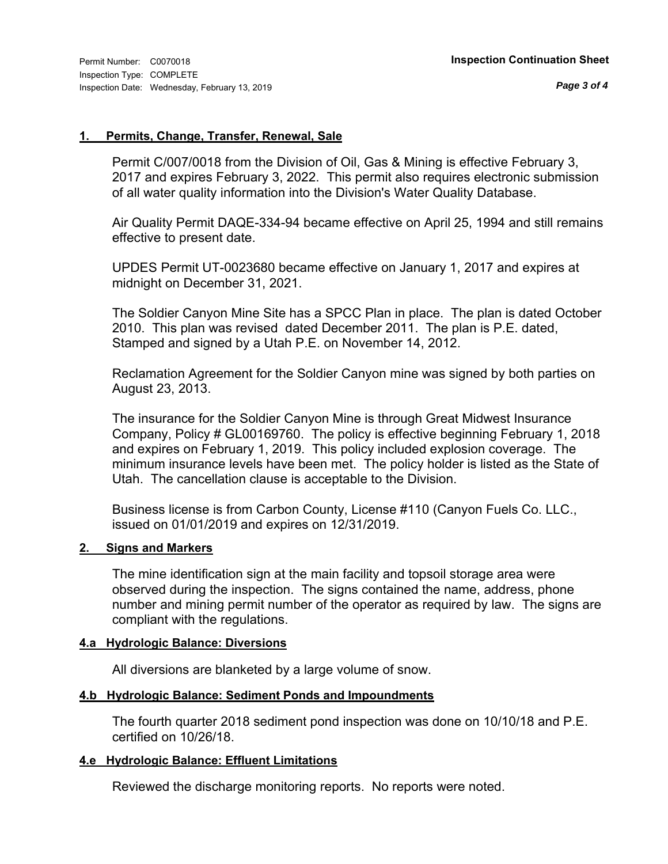#### **1. Permits, Change, Transfer, Renewal, Sale**

Permit C/007/0018 from the Division of Oil, Gas & Mining is effective February 3, 2017 and expires February 3, 2022. This permit also requires electronic submission of all water quality information into the Division's Water Quality Database.

Air Quality Permit DAQE-334-94 became effective on April 25, 1994 and still remains effective to present date.

UPDES Permit UT-0023680 became effective on January 1, 2017 and expires at midnight on December 31, 2021.

The Soldier Canyon Mine Site has a SPCC Plan in place. The plan is dated October 2010. This plan was revised dated December 2011. The plan is P.E. dated, Stamped and signed by a Utah P.E. on November 14, 2012.

Reclamation Agreement for the Soldier Canyon mine was signed by both parties on August 23, 2013.

The insurance for the Soldier Canyon Mine is through Great Midwest Insurance Company, Policy # GL00169760. The policy is effective beginning February 1, 2018 and expires on February 1, 2019. This policy included explosion coverage. The minimum insurance levels have been met. The policy holder is listed as the State of Utah. The cancellation clause is acceptable to the Division.

Business license is from Carbon County, License #110 (Canyon Fuels Co. LLC., issued on 01/01/2019 and expires on 12/31/2019.

### **2. Signs and Markers**

The mine identification sign at the main facility and topsoil storage area were observed during the inspection. The signs contained the name, address, phone number and mining permit number of the operator as required by law. The signs are compliant with the regulations.

### **4.a Hydrologic Balance: Diversions**

All diversions are blanketed by a large volume of snow.

#### **4.b Hydrologic Balance: Sediment Ponds and Impoundments**

The fourth quarter 2018 sediment pond inspection was done on 10/10/18 and P.E. certified on 10/26/18.

### **4.e Hydrologic Balance: Effluent Limitations**

Reviewed the discharge monitoring reports. No reports were noted.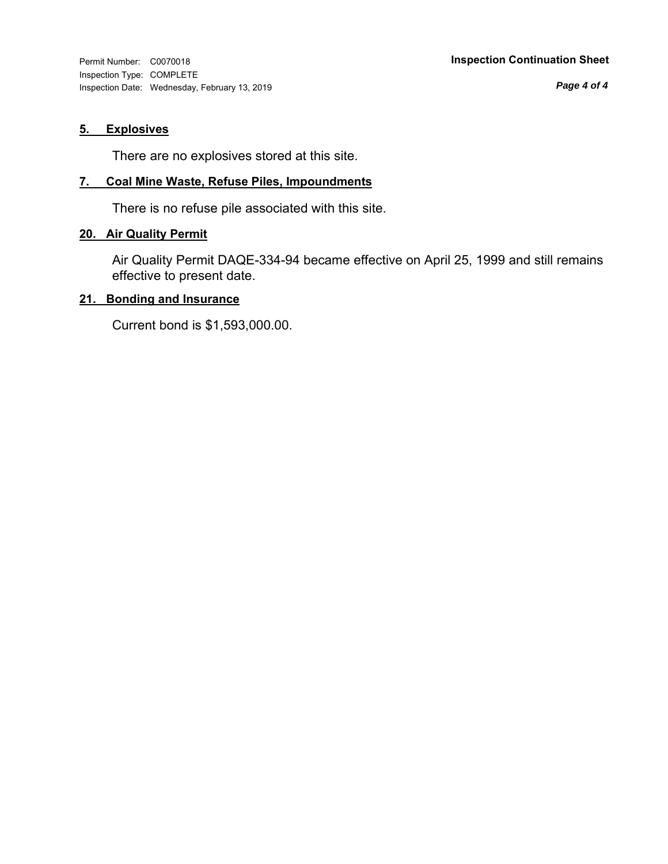Inspection Type: COMPLETE Inspection Date: Wednesday, February 13, 2019

*Page 4 of 4*

## **5. Explosives**

There are no explosives stored at this site.

#### **7. Coal Mine Waste, Refuse Piles, Impoundments**

There is no refuse pile associated with this site.

#### **20. Air Quality Permit**

Air Quality Permit DAQE-334-94 became effective on April 25, 1999 and still remains effective to present date.

#### **21. Bonding and Insurance**

Current bond is \$1,593,000.00.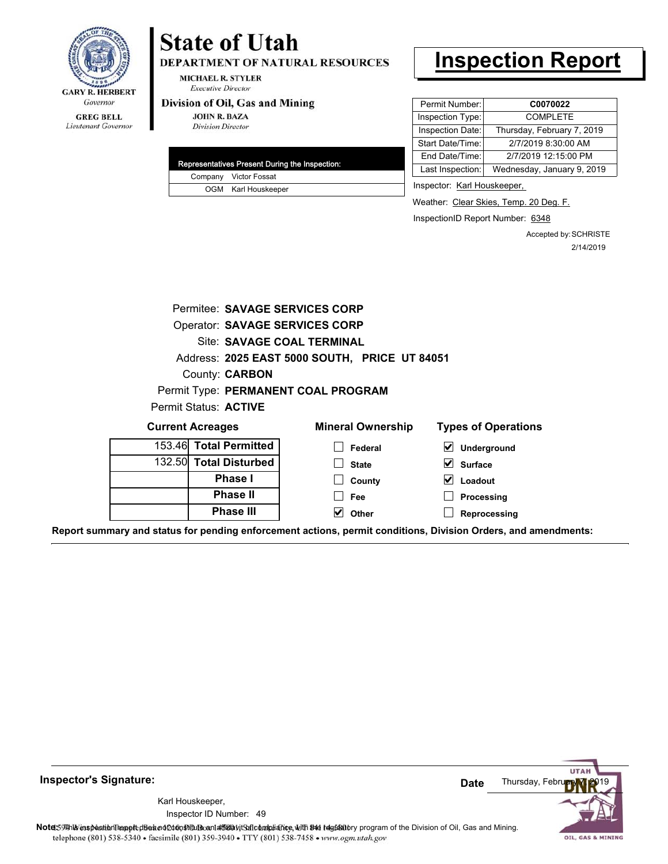

#### **GREG BELL** Lieutenant Governor

# **State of Utah**

DEPARTMENT OF NATURAL RESOURCES

**MICHAEL R. STYLER Executive Director** 

#### Division of Oil, Gas and Mining

**JOHN R. BAZA Division Director** 

|  | Representatives Present During the Inspection: |
|--|------------------------------------------------|
|  | Company Victor Fossat                          |
|  | OGM Karl Houskeeper                            |

# **Inspection Report**

| Permit Number:   | C0070022                   |
|------------------|----------------------------|
| Inspection Type: | <b>COMPLETE</b>            |
| Inspection Date: | Thursday, February 7, 2019 |
| Start Date/Time: | 2/7/2019 8:30:00 AM        |
| End Date/Time:   | 2/7/2019 12:15:00 PM       |
| Last Inspection: | Wednesday, January 9, 2019 |

Inspector: Karl Houskeeper,

Weather: Clear Skies, Temp. 20 Deg. F.

InspectionID Report Number: 6348

Accepted by: SCHRISTE 2/14/2019

| Permitee: SAVAGE SERVICES CORP |                                               |                                                                                                                |
|--------------------------------|-----------------------------------------------|----------------------------------------------------------------------------------------------------------------|
| Operator: SAVAGE SERVICES CORP |                                               |                                                                                                                |
| Site: SAVAGE COAL TERMINAL     |                                               |                                                                                                                |
|                                | Address: 2025 EAST 5000 SOUTH, PRICE UT 84051 |                                                                                                                |
| County: <b>CARBON</b>          |                                               |                                                                                                                |
|                                | Permit Type: PERMANENT COAL PROGRAM           |                                                                                                                |
| Permit Status: ACTIVE          |                                               |                                                                                                                |
| <b>Current Acreages</b>        | <b>Mineral Ownership</b>                      | <b>Types of Operations</b>                                                                                     |
| 153.46 Total Permitted         | Federal                                       | ⊻<br>Underground                                                                                               |
| 132.50 Total Disturbed         | <b>State</b>                                  | $\vert\mathbf{v}\vert$<br><b>Surface</b>                                                                       |
| <b>Phase I</b>                 | County                                        | $\vert\mathbf{v}\vert$<br>Loadout                                                                              |
| <b>Phase II</b>                | Fee                                           | Processing                                                                                                     |
| <b>Phase III</b>               | V<br>Other                                    | Reprocessing                                                                                                   |
|                                |                                               | Report summary and status for pending enforcement actions, permit conditions, Division Orders, and amendments: |

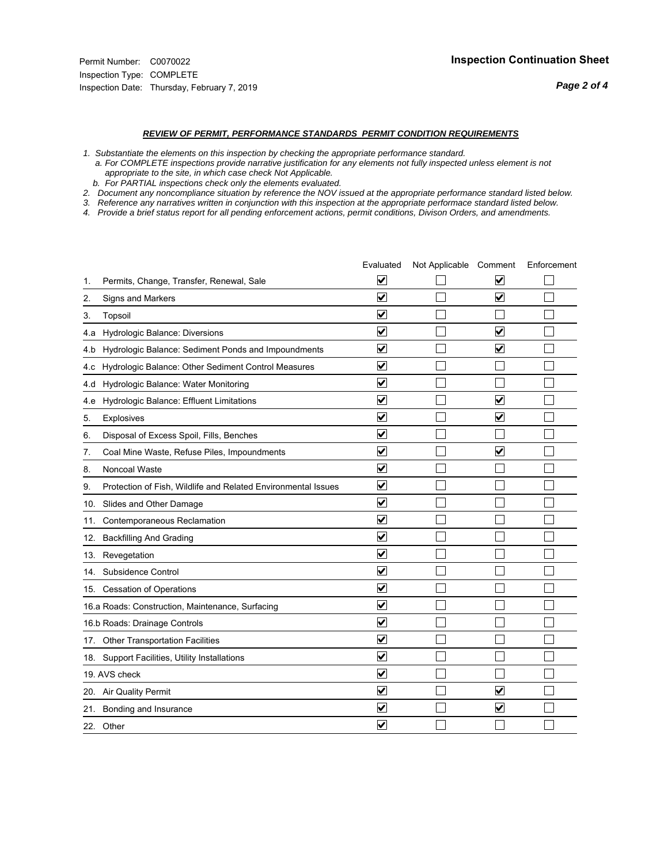#### *REVIEW OF PERMIT, PERFORMANCE STANDARDS PERMIT CONDITION REQUIREMENTS*

*1. Substantiate the elements on this inspection by checking the appropriate performance standard.*

 *a. For COMPLETE inspections provide narrative justification for any elements not fully inspected unless element is not appropriate to the site, in which case check Not Applicable.*

 *b. For PARTIAL inspections check only the elements evaluated.*

*2. Document any noncompliance situation by reference the NOV issued at the appropriate performance standard listed below.*

*3. Reference any narratives written in conjunction with this inspection at the appropriate performace standard listed below.*

|     |                                                               | Evaluated                       | Not Applicable Comment |                         | Enforcement |
|-----|---------------------------------------------------------------|---------------------------------|------------------------|-------------------------|-------------|
| 1.  | Permits, Change, Transfer, Renewal, Sale                      | $\overline{\mathbf{v}}$         |                        | V                       |             |
| 2.  | Signs and Markers                                             | $\overline{\mathbf{v}}$         |                        | $\blacktriangledown$    |             |
| 3.  | Topsoil                                                       | $\overline{\mathbf{v}}$         |                        |                         |             |
| 4.a | Hydrologic Balance: Diversions                                | $\blacktriangledown$            |                        | $\overline{\mathbf{v}}$ |             |
| 4.b | Hydrologic Balance: Sediment Ponds and Impoundments           | $\blacktriangledown$            |                        | V                       |             |
| 4.C | Hydrologic Balance: Other Sediment Control Measures           | $\blacktriangledown$            |                        |                         |             |
| 4.d | Hydrologic Balance: Water Monitoring                          | $\overline{\mathbf{v}}$         |                        |                         |             |
| 4.e | Hydrologic Balance: Effluent Limitations                      | ☑                               |                        | $\overline{\mathbf{v}}$ |             |
| 5.  | <b>Explosives</b>                                             | $\blacktriangledown$            |                        | ☑                       |             |
| 6.  | Disposal of Excess Spoil, Fills, Benches                      | ⊻                               |                        |                         |             |
| 7.  | Coal Mine Waste, Refuse Piles, Impoundments                   | $\blacktriangledown$            |                        | $\overline{\mathbf{v}}$ |             |
| 8.  | Noncoal Waste                                                 | $\overline{\mathbf{v}}$         |                        |                         |             |
| 9.  | Protection of Fish, Wildlife and Related Environmental Issues | $\blacktriangledown$            |                        |                         |             |
| 10. | Slides and Other Damage                                       | ⊻                               |                        |                         |             |
| 11. | Contemporaneous Reclamation                                   | ☑                               |                        |                         |             |
| 12. | <b>Backfilling And Grading</b>                                | $\overline{\mathbf{v}}$         |                        |                         |             |
|     | 13. Revegetation                                              | $\overline{\mathbf{v}}$         |                        |                         |             |
| 14. | Subsidence Control                                            | $\overline{\mathsf{v}}$         |                        |                         |             |
|     | 15. Cessation of Operations                                   | $\overline{\mathbf{v}}$         |                        |                         |             |
|     | 16.a Roads: Construction, Maintenance, Surfacing              | ☑                               |                        |                         |             |
|     | 16.b Roads: Drainage Controls                                 | $\blacktriangledown$            |                        |                         |             |
|     | 17. Other Transportation Facilities                           | $\overline{\mathbf{v}}$         |                        |                         |             |
|     | 18. Support Facilities, Utility Installations                 | $\overline{\mathbf{v}}$         |                        |                         |             |
|     | 19. AVS check                                                 | $\overline{\blacktriangledown}$ |                        |                         |             |
|     | 20. Air Quality Permit                                        | $\blacktriangledown$            |                        | $\overline{\mathbf{v}}$ |             |
|     | 21. Bonding and Insurance                                     | V                               |                        | $\blacktriangledown$    |             |
|     | 22. Other                                                     | $\blacktriangledown$            |                        |                         |             |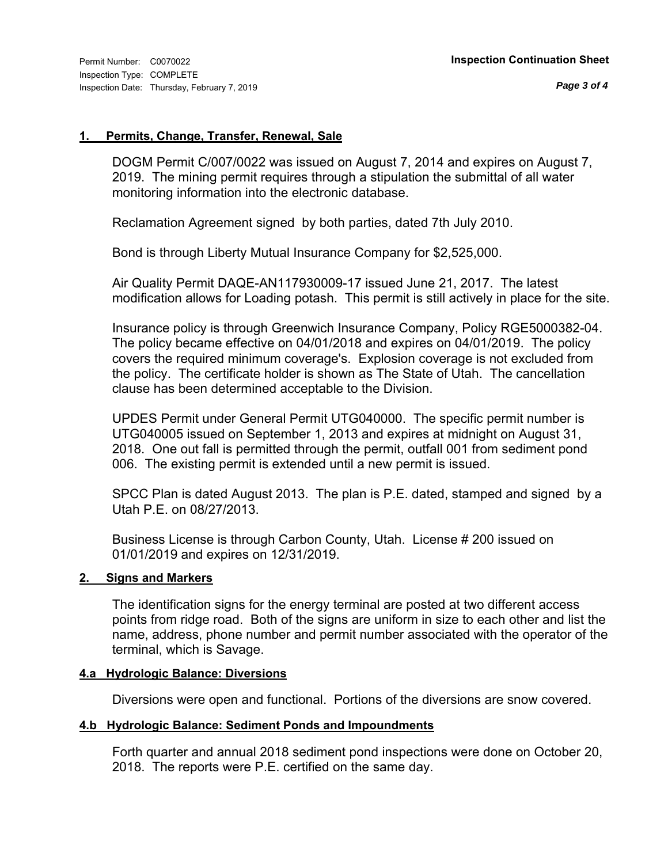#### **1. Permits, Change, Transfer, Renewal, Sale**

DOGM Permit C/007/0022 was issued on August 7, 2014 and expires on August 7, 2019. The mining permit requires through a stipulation the submittal of all water monitoring information into the electronic database.

Reclamation Agreement signed by both parties, dated 7th July 2010.

Bond is through Liberty Mutual Insurance Company for \$2,525,000.

Air Quality Permit DAQE-AN117930009-17 issued June 21, 2017. The latest modification allows for Loading potash. This permit is still actively in place for the site.

Insurance policy is through Greenwich Insurance Company, Policy RGE5000382-04. The policy became effective on 04/01/2018 and expires on 04/01/2019. The policy covers the required minimum coverage's. Explosion coverage is not excluded from the policy. The certificate holder is shown as The State of Utah. The cancellation clause has been determined acceptable to the Division.

UPDES Permit under General Permit UTG040000. The specific permit number is UTG040005 issued on September 1, 2013 and expires at midnight on August 31, 2018. One out fall is permitted through the permit, outfall 001 from sediment pond 006. The existing permit is extended until a new permit is issued.

SPCC Plan is dated August 2013. The plan is P.E. dated, stamped and signed by a Utah P.E. on 08/27/2013.

Business License is through Carbon County, Utah. License # 200 issued on 01/01/2019 and expires on 12/31/2019.

### **2. Signs and Markers**

The identification signs for the energy terminal are posted at two different access points from ridge road. Both of the signs are uniform in size to each other and list the name, address, phone number and permit number associated with the operator of the terminal, which is Savage.

### **4.a Hydrologic Balance: Diversions**

Diversions were open and functional. Portions of the diversions are snow covered.

### **4.b Hydrologic Balance: Sediment Ponds and Impoundments**

Forth quarter and annual 2018 sediment pond inspections were done on October 20, 2018. The reports were P.E. certified on the same day.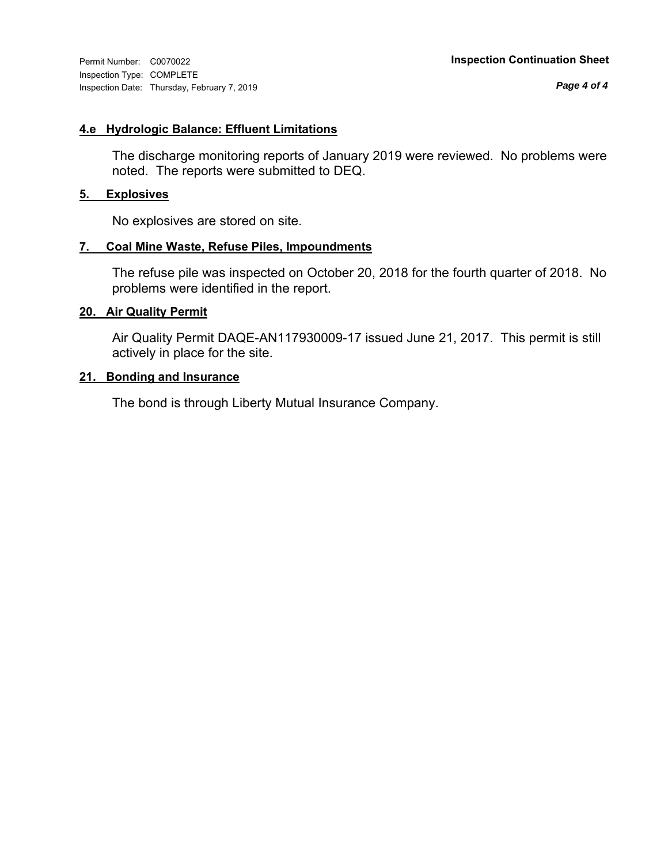Inspection Type: COMPLETE Inspection Date: Thursday, February 7, 2019

*Page 4 of 4*

#### **4.e Hydrologic Balance: Effluent Limitations**

The discharge monitoring reports of January 2019 were reviewed. No problems were noted. The reports were submitted to DEQ.

### **5. Explosives**

No explosives are stored on site.

#### **7. Coal Mine Waste, Refuse Piles, Impoundments**

The refuse pile was inspected on October 20, 2018 for the fourth quarter of 2018. No problems were identified in the report.

#### **20. Air Quality Permit**

Air Quality Permit DAQE-AN117930009-17 issued June 21, 2017. This permit is still actively in place for the site.

#### **21. Bonding and Insurance**

The bond is through Liberty Mutual Insurance Company.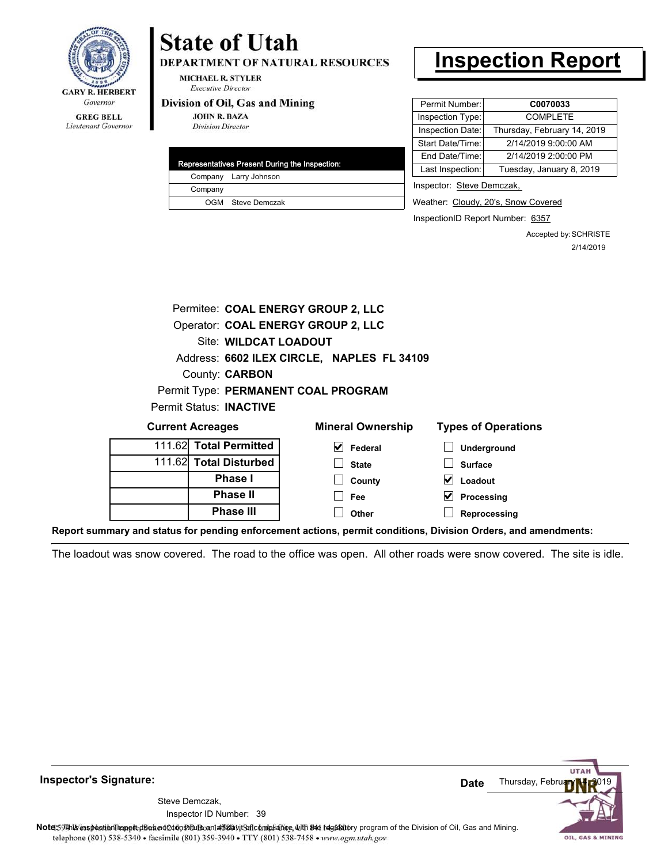

## Lieutenant Governor

# **State of Utah**

**DEPARTMENT OF NATURAL RESOURCES** 

**MICHAEL R. STYLER Executive Director** 

#### Division of Oil, Gas and Mining

**JOHN R. BAZA Division Director** 

|         | Representatives Present During the Inspection: |
|---------|------------------------------------------------|
|         | Company Larry Johnson                          |
| Company |                                                |
|         | OGM Steve Demczak                              |
|         |                                                |

## **Inspection Report**

| Permit Number:   | C0070033                    |
|------------------|-----------------------------|
| Inspection Type: | <b>COMPLETE</b>             |
| Inspection Date: | Thursday, February 14, 2019 |
| Start Date/Time: | 2/14/2019 9:00:00 AM        |
| End Date/Time:   | 2/14/2019 2:00:00 PM        |
| Last Inspection: | Tuesday, January 8, 2019    |
|                  |                             |

Inspector: Steve Demczak,

Weather: Cloudy, 20's, Snow Covered

InspectionID Report Number: 6357

Accepted by: SCHRISTE 2/14/2019

|                         | Permitee: COAL ENERGY GROUP 2, LLC         |
|-------------------------|--------------------------------------------|
|                         | Operator: COAL ENERGY GROUP 2, LLC         |
|                         | Site: WILDCAT LOADOUT                      |
|                         | Address: 6602 ILEX CIRCLE, NAPLES FL 34109 |
|                         | County: <b>CARBON</b>                      |
|                         | Permit Type: PERMANENT COAL PROGRAM        |
| Permit Status: INACTIVE |                                            |
|                         |                                            |

#### **Underground Surface Loadout Processing Reprocessing** 111.62 111.62 **Current Acreages Total Permitted Total Disturbed Phase I Phase II Phase III Federal State County Fee Other Mineral Ownership Types of Operations**

**Report summary and status for pending enforcement actions, permit conditions, Division Orders, and amendments:**

The loadout was snow covered. The road to the office was open. All other roads were snow covered. The site is idle.



**Inspector's Signature:**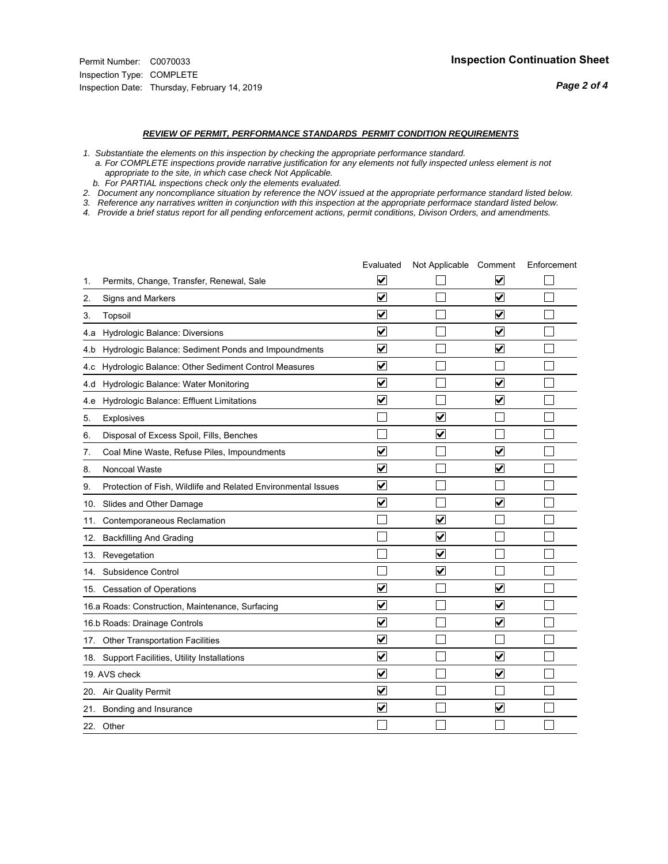#### *REVIEW OF PERMIT, PERFORMANCE STANDARDS PERMIT CONDITION REQUIREMENTS*

*1. Substantiate the elements on this inspection by checking the appropriate performance standard.*

 *a. For COMPLETE inspections provide narrative justification for any elements not fully inspected unless element is not appropriate to the site, in which case check Not Applicable.*

 *b. For PARTIAL inspections check only the elements evaluated.*

*2. Document any noncompliance situation by reference the NOV issued at the appropriate performance standard listed below.*

*3. Reference any narratives written in conjunction with this inspection at the appropriate performace standard listed below.*

|     |                                                               | Evaluated               | Not Applicable Comment  |                         | Enforcement |
|-----|---------------------------------------------------------------|-------------------------|-------------------------|-------------------------|-------------|
| 1.  | Permits, Change, Transfer, Renewal, Sale                      | $\overline{\mathsf{v}}$ |                         | $\overline{\mathbf{v}}$ |             |
| 2.  | Signs and Markers                                             | $\overline{\mathbf{v}}$ |                         | $\blacktriangledown$    |             |
| 3.  | Topsoil                                                       | $\overline{\mathbf{v}}$ |                         | $\overline{\mathbf{v}}$ |             |
| 4.a | Hydrologic Balance: Diversions                                | V                       |                         | V                       |             |
| 4.b | Hydrologic Balance: Sediment Ponds and Impoundments           | $\blacktriangledown$    |                         | $\blacktriangledown$    |             |
| 4.c | Hydrologic Balance: Other Sediment Control Measures           | $\overline{\mathbf{v}}$ |                         |                         |             |
| 4.d | Hydrologic Balance: Water Monitoring                          | $\overline{\mathbf{v}}$ |                         | $\blacktriangledown$    |             |
| 4.e | Hydrologic Balance: Effluent Limitations                      | $\overline{\mathbf{v}}$ |                         | $\blacktriangledown$    |             |
| 5.  | <b>Explosives</b>                                             |                         | ☑                       |                         |             |
| 6.  | Disposal of Excess Spoil, Fills, Benches                      |                         | $\overline{\mathbf{v}}$ |                         |             |
| 7.  | Coal Mine Waste, Refuse Piles, Impoundments                   | $\overline{\mathbf{v}}$ |                         | $\overline{\mathbf{v}}$ |             |
| 8.  | Noncoal Waste                                                 | $\overline{\mathbf{v}}$ |                         | $\overline{\mathbf{v}}$ |             |
| 9.  | Protection of Fish, Wildlife and Related Environmental Issues | $\overline{\mathbf{v}}$ |                         |                         |             |
|     | 10. Slides and Other Damage                                   | $\overline{\mathbf{v}}$ |                         | ⊽                       |             |
| 11. | Contemporaneous Reclamation                                   |                         | $\blacktriangledown$    |                         |             |
| 12. | <b>Backfilling And Grading</b>                                |                         | $\overline{\mathbf{v}}$ |                         |             |
| 13. | Revegetation                                                  |                         | $\overline{\mathbf{v}}$ |                         |             |
| 14. | Subsidence Control                                            |                         | $\overline{\mathbf{v}}$ |                         |             |
|     | 15. Cessation of Operations                                   | $\blacktriangledown$    |                         | ☑                       |             |
|     | 16.a Roads: Construction, Maintenance, Surfacing              | $\overline{\mathbf{v}}$ |                         | $\overline{\mathbf{v}}$ |             |
|     | 16.b Roads: Drainage Controls                                 | $\overline{\mathsf{v}}$ |                         | $\blacktriangledown$    |             |
|     | 17. Other Transportation Facilities                           | $\overline{\mathbf{v}}$ |                         |                         |             |
| 18. | Support Facilities, Utility Installations                     | $\overline{\mathbf{v}}$ |                         | $\overline{\mathbf{v}}$ |             |
|     | 19. AVS check                                                 | $\overline{\mathbf{v}}$ |                         | $\blacktriangledown$    |             |
|     | 20. Air Quality Permit                                        | $\blacktriangledown$    |                         |                         |             |
| 21. | Bonding and Insurance                                         | $\overline{\mathbf{v}}$ |                         | $\blacktriangledown$    |             |
|     | 22. Other                                                     |                         |                         |                         |             |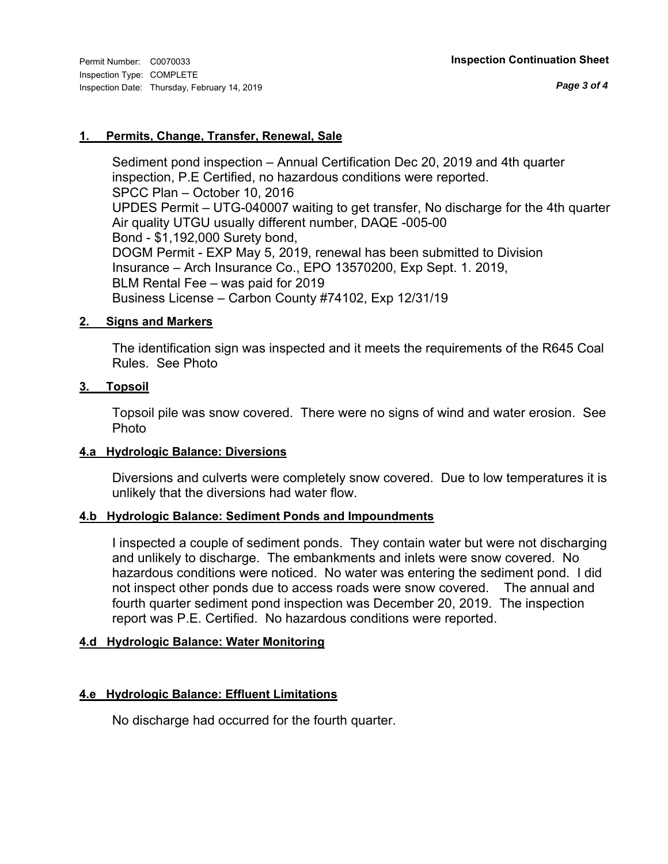### **1. Permits, Change, Transfer, Renewal, Sale**

Sediment pond inspection – Annual Certification Dec 20, 2019 and 4th quarter inspection, P.E Certified, no hazardous conditions were reported. SPCC Plan – October 10, 2016 UPDES Permit – UTG-040007 waiting to get transfer, No discharge for the 4th quarter Air quality UTGU usually different number, DAQE -005-00 Bond - \$1,192,000 Surety bond, DOGM Permit - EXP May 5, 2019, renewal has been submitted to Division Insurance – Arch Insurance Co., EPO 13570200, Exp Sept. 1. 2019, BLM Rental Fee – was paid for 2019 Business License – Carbon County #74102, Exp 12/31/19

### **2. Signs and Markers**

The identification sign was inspected and it meets the requirements of the R645 Coal Rules. See Photo

#### **3. Topsoil**

Topsoil pile was snow covered. There were no signs of wind and water erosion. See Photo

#### **4.a Hydrologic Balance: Diversions**

Diversions and culverts were completely snow covered. Due to low temperatures it is unlikely that the diversions had water flow.

### **4.b Hydrologic Balance: Sediment Ponds and Impoundments**

I inspected a couple of sediment ponds. They contain water but were not discharging and unlikely to discharge. The embankments and inlets were snow covered. No hazardous conditions were noticed. No water was entering the sediment pond. I did not inspect other ponds due to access roads were snow covered. The annual and fourth quarter sediment pond inspection was December 20, 2019. The inspection report was P.E. Certified. No hazardous conditions were reported.

### **4.d Hydrologic Balance: Water Monitoring**

### **4.e Hydrologic Balance: Effluent Limitations**

No discharge had occurred for the fourth quarter.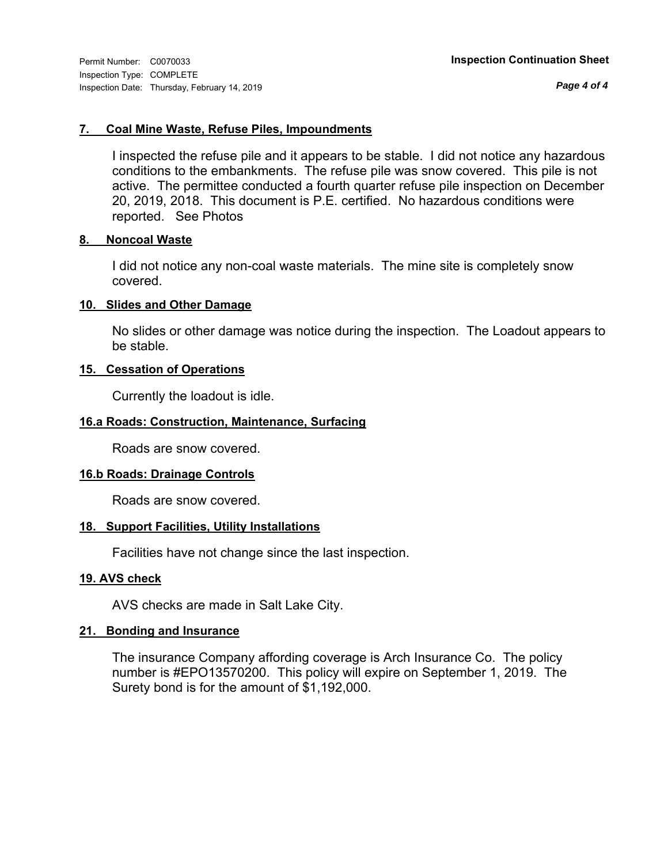*Page 4 of 4*

### **7. Coal Mine Waste, Refuse Piles, Impoundments**

I inspected the refuse pile and it appears to be stable. I did not notice any hazardous conditions to the embankments. The refuse pile was snow covered. This pile is not active. The permittee conducted a fourth quarter refuse pile inspection on December 20, 2019, 2018. This document is P.E. certified. No hazardous conditions were reported. See Photos

#### **8. Noncoal Waste**

I did not notice any non-coal waste materials. The mine site is completely snow covered.

#### **10. Slides and Other Damage**

No slides or other damage was notice during the inspection. The Loadout appears to be stable.

#### **15. Cessation of Operations**

Currently the loadout is idle.

### **16.a Roads: Construction, Maintenance, Surfacing**

Roads are snow covered.

#### **16.b Roads: Drainage Controls**

Roads are snow covered.

### **18. Support Facilities, Utility Installations**

Facilities have not change since the last inspection.

### **19. AVS check**

AVS checks are made in Salt Lake City.

### **21. Bonding and Insurance**

The insurance Company affording coverage is Arch Insurance Co. The policy number is #EPO13570200. This policy will expire on September 1, 2019. The Surety bond is for the amount of \$1,192,000.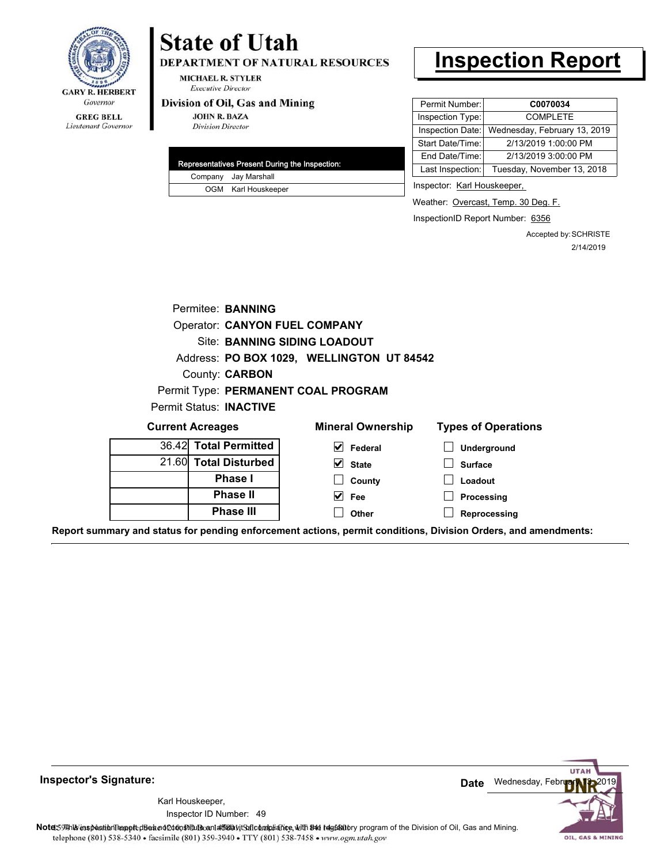

#### **GREG BELL** Lieutenant Governor

# **State of Utah**

DEPARTMENT OF NATURAL RESOURCES

**MICHAEL R. STYLER Executive Director** 

#### Division of Oil, Gas and Mining

**JOHN R. BAZA Division Director** 

| Representatives Present During the Inspection: |                      |  |
|------------------------------------------------|----------------------|--|
|                                                | Company Jay Marshall |  |
|                                                | OGM Karl Houskeeper  |  |

# **Inspection Report**

| Permit Number:   | C0070034                     |
|------------------|------------------------------|
| Inspection Type: | <b>COMPLETE</b>              |
| Inspection Date: | Wednesday, February 13, 2019 |
| Start Date/Time: | 2/13/2019 1:00:00 PM         |
| End Date/Time:   | 2/13/2019 3:00:00 PM         |
| Last Inspection: | Tuesday, November 13, 2018   |

Inspector: Karl Houskeeper,

Weather: Overcast, Temp. 30 Deg. F.

InspectionID Report Number: 6356

Accepted by: SCHRISTE 2/14/2019

|                                | Permitee: BANNING                    |                                           |                            |
|--------------------------------|--------------------------------------|-------------------------------------------|----------------------------|
|                                | <b>Operator: CANYON FUEL COMPANY</b> |                                           |                            |
|                                |                                      | Site: BANNING SIDING LOADOUT              |                            |
|                                |                                      | Address: PO BOX 1029, WELLINGTON UT 84542 |                            |
|                                | County: <b>CARBON</b>                |                                           |                            |
|                                |                                      | Permit Type: PERMANENT COAL PROGRAM       |                            |
| Permit Status: <b>INACTIVE</b> |                                      |                                           |                            |
| <b>Current Acreages</b>        |                                      | <b>Mineral Ownership</b>                  | <b>Types of Operations</b> |
| 36.42 Total Permitted          |                                      | V<br>Federal                              | <b>Underground</b>         |
| $04$ $001$ Tatal Diatoma and   |                                      | - 1                                       |                            |

| $00.72$ TOME FUINTLUSH |
|------------------------|
| 21.60 Total Disturbed  |
| <b>Phase I</b>         |
| <b>Phase II</b>        |
| <b>Phase III</b>       |

# **State**

**County Fee Other**

**Surface Loadout Processing**

**Reprocessing**

**Report summary and status for pending enforcement actions, permit conditions, Division Orders, and amendments:**

**Inspector's Signature:**

49 Inspector ID Number:Karl Houskeeper,



Note: 59 This inspection report does not constitute and affidavit Suite and Mining.<br>
telephone (801) 538-5340 • facsimile (801) 359-3940 • TTY (801) 538-7458 • www.ogm.utah.gov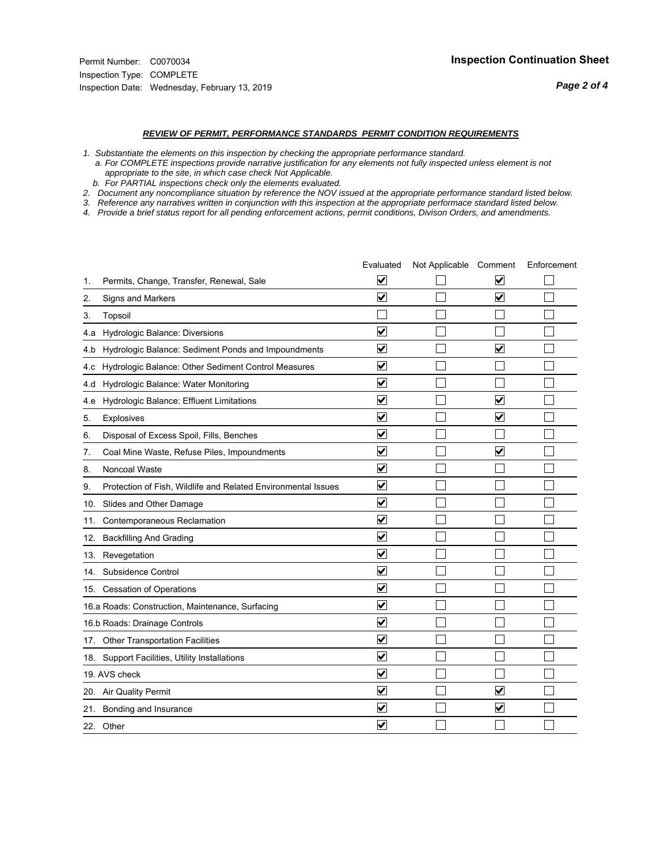#### *REVIEW OF PERMIT, PERFORMANCE STANDARDS PERMIT CONDITION REQUIREMENTS*

*1. Substantiate the elements on this inspection by checking the appropriate performance standard.*

 *a. For COMPLETE inspections provide narrative justification for any elements not fully inspected unless element is not appropriate to the site, in which case check Not Applicable.*

 *b. For PARTIAL inspections check only the elements evaluated.*

*2. Document any noncompliance situation by reference the NOV issued at the appropriate performance standard listed below.*

*3. Reference any narratives written in conjunction with this inspection at the appropriate performace standard listed below.*

|     |                                                               | Evaluated               | Not Applicable Comment |                         | Enforcement |
|-----|---------------------------------------------------------------|-------------------------|------------------------|-------------------------|-------------|
| 1.  | Permits, Change, Transfer, Renewal, Sale                      | $\overline{\mathsf{v}}$ |                        | V                       |             |
| 2.  | Signs and Markers                                             | $\overline{\mathbf{v}}$ |                        | $\blacktriangledown$    |             |
| 3.  | Topsoil                                                       |                         |                        |                         |             |
| 4.a | Hydrologic Balance: Diversions                                | $\blacktriangledown$    |                        |                         |             |
| 4.b | Hydrologic Balance: Sediment Ponds and Impoundments           | $\blacktriangledown$    |                        | V                       |             |
| 4.c | Hydrologic Balance: Other Sediment Control Measures           | $\overline{\mathbf{v}}$ |                        |                         |             |
| 4.d | Hydrologic Balance: Water Monitoring                          | $\overline{\mathbf{v}}$ |                        |                         |             |
| 4.e | Hydrologic Balance: Effluent Limitations                      | $\overline{\mathbf{v}}$ |                        | $\overline{\mathbf{v}}$ |             |
| 5.  | <b>Explosives</b>                                             | $\overline{\mathbf{v}}$ |                        | ⊽                       |             |
| 6.  | Disposal of Excess Spoil, Fills, Benches                      | $\blacktriangledown$    |                        |                         |             |
| 7.  | Coal Mine Waste, Refuse Piles, Impoundments                   | $\overline{\mathbf{v}}$ |                        | $\overline{\mathsf{v}}$ |             |
| 8.  | Noncoal Waste                                                 | $\overline{\mathbf{v}}$ |                        |                         |             |
| 9.  | Protection of Fish, Wildlife and Related Environmental Issues | $\overline{\mathbf{v}}$ |                        |                         |             |
|     | 10. Slides and Other Damage                                   | $\overline{\mathbf{v}}$ |                        |                         |             |
| 11. | Contemporaneous Reclamation                                   | ⊽                       |                        |                         |             |
| 12. | <b>Backfilling And Grading</b>                                | $\overline{\mathbf{v}}$ |                        |                         |             |
| 13. | Revegetation                                                  | $\overline{\mathbf{v}}$ |                        |                         |             |
| 14. | Subsidence Control                                            | $\overline{\mathbf{v}}$ |                        |                         |             |
|     | 15. Cessation of Operations                                   | $\overline{\mathbf{v}}$ |                        |                         |             |
|     | 16.a Roads: Construction, Maintenance, Surfacing              | $\blacktriangledown$    |                        |                         |             |
|     | 16.b Roads: Drainage Controls                                 | $\overline{\mathbf{v}}$ |                        |                         |             |
|     | 17. Other Transportation Facilities                           | $\overline{\mathbf{v}}$ |                        |                         |             |
| 18. | Support Facilities, Utility Installations                     | $\overline{\mathbf{v}}$ |                        |                         |             |
|     | 19. AVS check                                                 | $\overline{\mathbf{v}}$ |                        |                         |             |
|     | 20. Air Quality Permit                                        | $\checkmark$            |                        | $\blacktriangledown$    |             |
|     | 21. Bonding and Insurance                                     | $\blacktriangledown$    |                        | $\blacktriangledown$    |             |
|     | 22. Other                                                     | $\overline{\mathbf{v}}$ |                        |                         |             |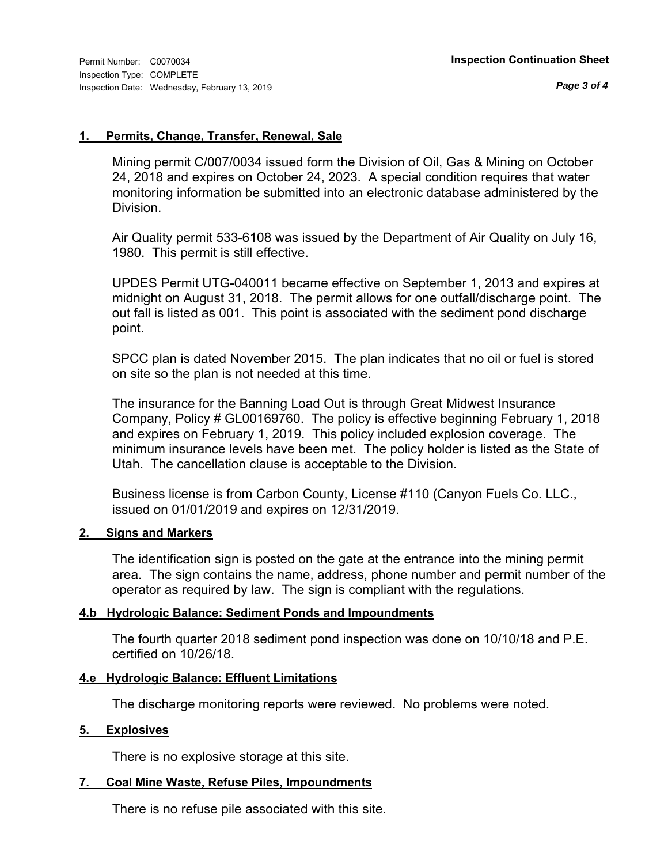#### **1. Permits, Change, Transfer, Renewal, Sale**

Mining permit C/007/0034 issued form the Division of Oil, Gas & Mining on October 24, 2018 and expires on October 24, 2023. A special condition requires that water monitoring information be submitted into an electronic database administered by the Division.

Air Quality permit 533-6108 was issued by the Department of Air Quality on July 16, 1980. This permit is still effective.

UPDES Permit UTG-040011 became effective on September 1, 2013 and expires at midnight on August 31, 2018. The permit allows for one outfall/discharge point. The out fall is listed as 001. This point is associated with the sediment pond discharge point.

SPCC plan is dated November 2015. The plan indicates that no oil or fuel is stored on site so the plan is not needed at this time.

The insurance for the Banning Load Out is through Great Midwest Insurance Company, Policy # GL00169760. The policy is effective beginning February 1, 2018 and expires on February 1, 2019. This policy included explosion coverage. The minimum insurance levels have been met. The policy holder is listed as the State of Utah. The cancellation clause is acceptable to the Division.

Business license is from Carbon County, License #110 (Canyon Fuels Co. LLC., issued on 01/01/2019 and expires on 12/31/2019.

#### **2. Signs and Markers**

The identification sign is posted on the gate at the entrance into the mining permit area. The sign contains the name, address, phone number and permit number of the operator as required by law. The sign is compliant with the regulations.

### **4.b Hydrologic Balance: Sediment Ponds and Impoundments**

The fourth quarter 2018 sediment pond inspection was done on 10/10/18 and P.E. certified on 10/26/18.

### **4.e Hydrologic Balance: Effluent Limitations**

The discharge monitoring reports were reviewed. No problems were noted.

### **5. Explosives**

There is no explosive storage at this site.

### **7. Coal Mine Waste, Refuse Piles, Impoundments**

There is no refuse pile associated with this site.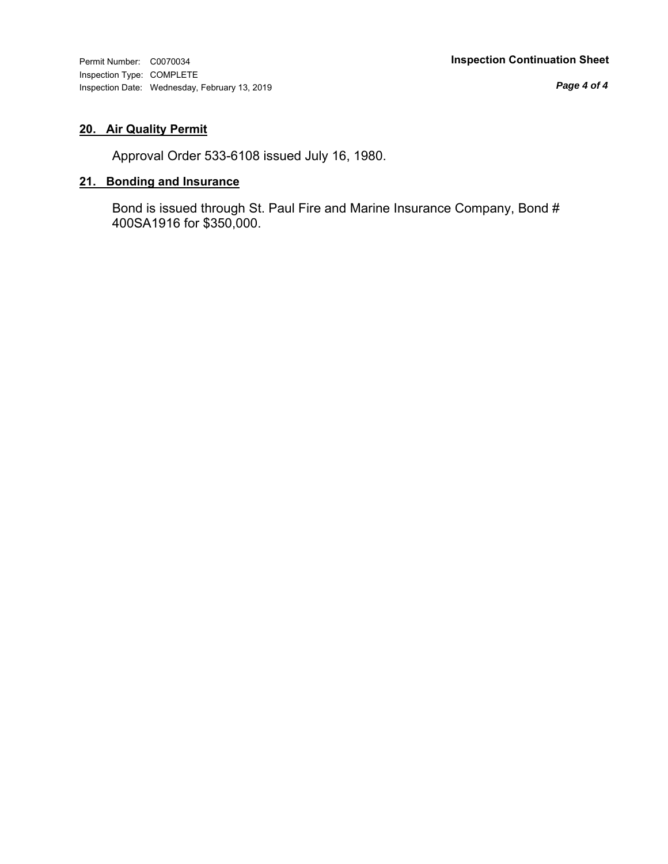*Page 4 of 4*

## **20. Air Quality Permit**

Approval Order 533-6108 issued July 16, 1980.

## **21. Bonding and Insurance**

Bond is issued through St. Paul Fire and Marine Insurance Company, Bond # 400SA1916 for \$350,000.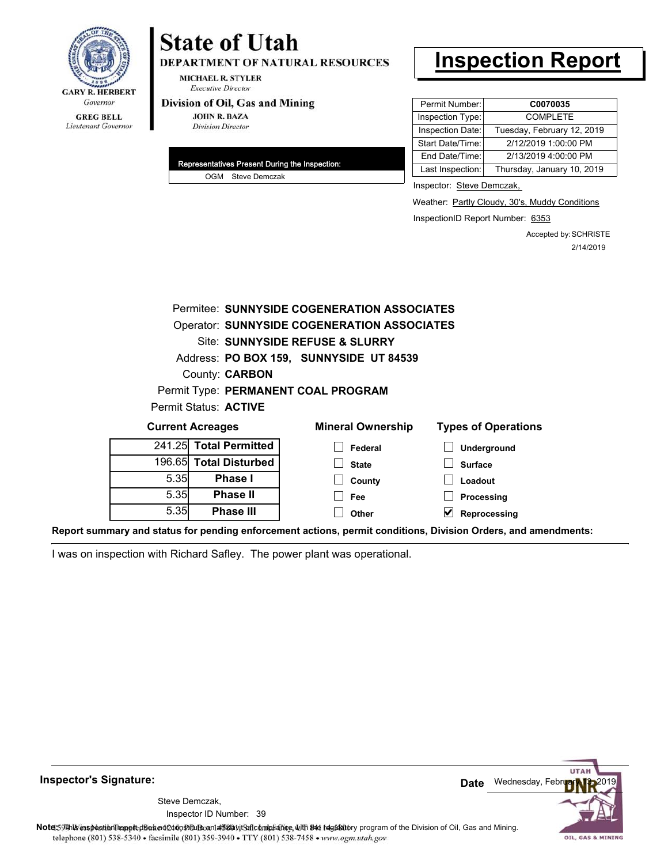

# **State of Utah**

DEPARTMENT OF NATURAL RESOURCES

**MICHAEL R. STYLER Executive Director** 

#### Division of Oil, Gas and Mining

**JOHN R. BAZA Division Director** 

| Representatives Present During the Inspection: |                   |
|------------------------------------------------|-------------------|
|                                                | OGM Steve Demczak |

# **Inspection Report**

| Permit Number:   | C0070035                   |
|------------------|----------------------------|
| Inspection Type: | <b>COMPLETE</b>            |
| Inspection Date: | Tuesday, February 12, 2019 |
| Start Date/Time: | 2/12/2019 1:00:00 PM       |
| End Date/Time:   | 2/13/2019 4:00:00 PM       |
| Last Inspection: | Thursday, January 10, 2019 |

Inspector: Steve Demczak,

Weather: Partly Cloudy, 30's, Muddy Conditions

InspectionID Report Number: 6353

Accepted by: SCHRISTE 2/14/2019

|        |                         | Permitee: SUNNYSIDE COGENERATION ASSOCIATES        |                            |
|--------|-------------------------|----------------------------------------------------|----------------------------|
|        |                         | <b>Operator: SUNNYSIDE COGENERATION ASSOCIATES</b> |                            |
|        |                         | Site: SUNNYSIDE REFUSE & SLURRY                    |                            |
|        |                         | Address: PO BOX 159, SUNNYSIDE UT 84539            |                            |
|        | County: <b>CARBON</b>   |                                                    |                            |
|        |                         | Permit Type: PERMANENT COAL PROGRAM                |                            |
|        | Permit Status: ACTIVE   |                                                    |                            |
|        | <b>Current Acreages</b> | <b>Mineral Ownership</b>                           | <b>Types of Operations</b> |
| 241.25 | <b>Total Permitted</b>  | Federal                                            | Underground                |
| 196.65 | <b>Total Disturbed</b>  | <b>State</b>                                       | <b>Surface</b>             |
| 5.35   | Phase I                 | County                                             | Loadout                    |
| 5.35   | <b>Phase II</b>         | Fee                                                | Processing                 |
| 5.35   | <b>Phase III</b>        | Other                                              | Reprocessing               |
|        |                         |                                                    |                            |

**Report summary and status for pending enforcement actions, permit conditions, Division Orders, and amendments:**

I was on inspection with Richard Safley. The power plant was operational.



**Inspector's Signature:**

Inspector ID Number: 39 Steve Demczak,

Note: This inspection report disean of constitute and affidavit for compliance, with the regulatory program of the Division of Oil, Gas and Mining. telephone (801) 538-5340 · facsimile (801) 359-3940 · TTY (801) 538-7458 · www.ogm.utah.gov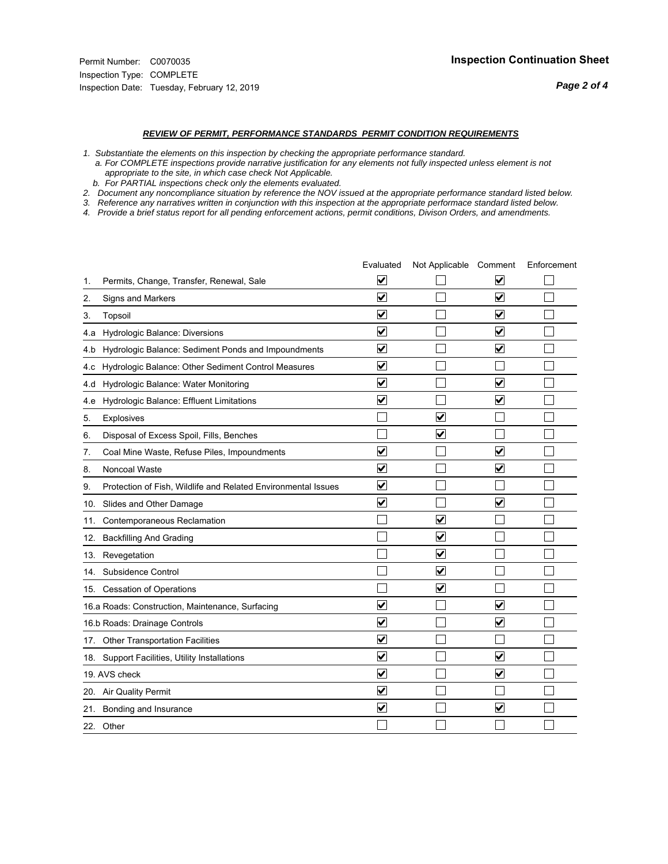#### *REVIEW OF PERMIT, PERFORMANCE STANDARDS PERMIT CONDITION REQUIREMENTS*

*1. Substantiate the elements on this inspection by checking the appropriate performance standard.*

 *a. For COMPLETE inspections provide narrative justification for any elements not fully inspected unless element is not appropriate to the site, in which case check Not Applicable.*

 *b. For PARTIAL inspections check only the elements evaluated.*

*2. Document any noncompliance situation by reference the NOV issued at the appropriate performance standard listed below.*

*3. Reference any narratives written in conjunction with this inspection at the appropriate performace standard listed below.*

|     |                                                               | Evaluated               | Not Applicable Comment          |                         | Enforcement |
|-----|---------------------------------------------------------------|-------------------------|---------------------------------|-------------------------|-------------|
| 1.  | Permits, Change, Transfer, Renewal, Sale                      | $\overline{\mathsf{v}}$ |                                 | V                       |             |
| 2.  | Signs and Markers                                             | $\overline{\mathbf{v}}$ |                                 | $\blacktriangledown$    |             |
| 3.  | Topsoil                                                       | $\overline{\mathbf{v}}$ |                                 | $\overline{\mathsf{v}}$ |             |
| 4.a | Hydrologic Balance: Diversions                                | $\overline{\mathsf{v}}$ |                                 | $\blacktriangledown$    |             |
| 4.b | Hydrologic Balance: Sediment Ponds and Impoundments           | $\blacktriangledown$    |                                 | ⊻                       |             |
| 4.c | Hydrologic Balance: Other Sediment Control Measures           | $\overline{\mathbf{v}}$ |                                 |                         |             |
| 4.d | Hydrologic Balance: Water Monitoring                          | $\overline{\mathbf{v}}$ |                                 | $\overline{\mathbf{v}}$ |             |
| 4.e | Hydrologic Balance: Effluent Limitations                      | $\overline{\mathbf{v}}$ |                                 | $\blacktriangledown$    |             |
| 5.  | <b>Explosives</b>                                             |                         | ⊽                               |                         |             |
| 6.  | Disposal of Excess Spoil, Fills, Benches                      |                         | $\blacktriangledown$            |                         |             |
| 7.  | Coal Mine Waste, Refuse Piles, Impoundments                   | $\overline{\mathbf{v}}$ |                                 | $\overline{\mathbf{v}}$ |             |
| 8.  | Noncoal Waste                                                 | $\overline{\mathbf{v}}$ |                                 | $\overline{\mathbf{v}}$ |             |
| 9.  | Protection of Fish, Wildlife and Related Environmental Issues | $\overline{\mathbf{v}}$ |                                 |                         |             |
|     | 10. Slides and Other Damage                                   | $\overline{\mathbf{v}}$ |                                 | ⊽                       |             |
| 11. | Contemporaneous Reclamation                                   |                         | ☑                               |                         |             |
| 12. | <b>Backfilling And Grading</b>                                |                         | $\overline{\mathbf{v}}$         |                         |             |
| 13. | Revegetation                                                  |                         | $\overline{\blacktriangledown}$ |                         |             |
| 14. | Subsidence Control                                            |                         | $\overline{\mathbf{v}}$         |                         |             |
|     | 15. Cessation of Operations                                   |                         | $\overline{\blacktriangledown}$ |                         |             |
|     | 16.a Roads: Construction, Maintenance, Surfacing              | ⊽                       |                                 | $\overline{\mathbf{v}}$ |             |
|     | 16.b Roads: Drainage Controls                                 | $\overline{\mathbf{v}}$ |                                 | $\overline{\mathbf{v}}$ |             |
|     | 17. Other Transportation Facilities                           | $\overline{\mathbf{v}}$ |                                 |                         |             |
| 18. | Support Facilities, Utility Installations                     | $\overline{\mathbf{v}}$ |                                 | $\blacktriangledown$    |             |
|     | 19. AVS check                                                 | $\overline{\mathbf{v}}$ |                                 | $\blacktriangledown$    |             |
|     | 20. Air Quality Permit                                        | $\checkmark$            |                                 |                         |             |
|     | 21. Bonding and Insurance                                     | $\overline{\mathbf{v}}$ |                                 | $\blacktriangledown$    |             |
|     | 22. Other                                                     |                         |                                 |                         |             |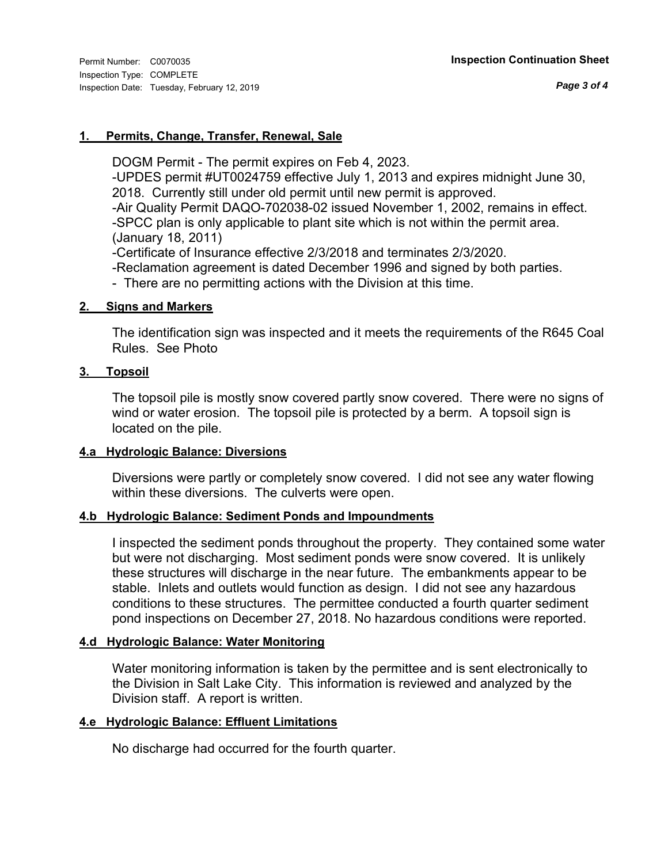### **1. Permits, Change, Transfer, Renewal, Sale**

DOGM Permit - The permit expires on Feb 4, 2023.

-UPDES permit #UT0024759 effective July 1, 2013 and expires midnight June 30, 2018. Currently still under old permit until new permit is approved.

-Air Quality Permit DAQO-702038-02 issued November 1, 2002, remains in effect. -SPCC plan is only applicable to plant site which is not within the permit area.

(January 18, 2011)

-Certificate of Insurance effective 2/3/2018 and terminates 2/3/2020.

-Reclamation agreement is dated December 1996 and signed by both parties.

- There are no permitting actions with the Division at this time.

### **2. Signs and Markers**

The identification sign was inspected and it meets the requirements of the R645 Coal Rules. See Photo

### **3. Topsoil**

The topsoil pile is mostly snow covered partly snow covered. There were no signs of wind or water erosion. The topsoil pile is protected by a berm. A topsoil sign is located on the pile.

### **4.a Hydrologic Balance: Diversions**

Diversions were partly or completely snow covered. I did not see any water flowing within these diversions. The culverts were open.

### **4.b Hydrologic Balance: Sediment Ponds and Impoundments**

I inspected the sediment ponds throughout the property. They contained some water but were not discharging. Most sediment ponds were snow covered. It is unlikely these structures will discharge in the near future. The embankments appear to be stable. Inlets and outlets would function as design. I did not see any hazardous conditions to these structures. The permittee conducted a fourth quarter sediment pond inspections on December 27, 2018. No hazardous conditions were reported.

### **4.d Hydrologic Balance: Water Monitoring**

Water monitoring information is taken by the permittee and is sent electronically to the Division in Salt Lake City. This information is reviewed and analyzed by the Division staff. A report is written.

### **4.e Hydrologic Balance: Effluent Limitations**

No discharge had occurred for the fourth quarter.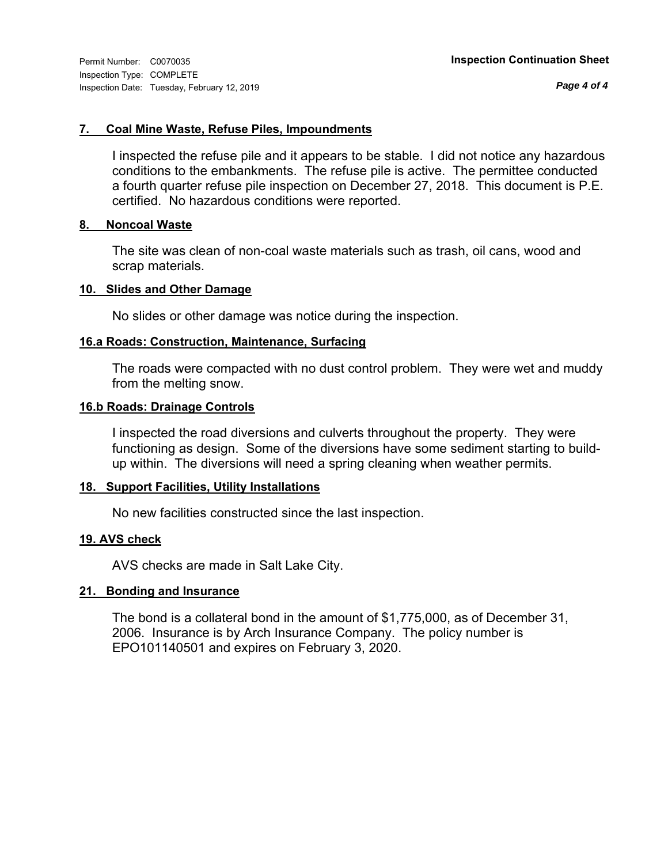*Page 4 of 4*

### **7. Coal Mine Waste, Refuse Piles, Impoundments**

I inspected the refuse pile and it appears to be stable. I did not notice any hazardous conditions to the embankments. The refuse pile is active. The permittee conducted a fourth quarter refuse pile inspection on December 27, 2018. This document is P.E. certified. No hazardous conditions were reported.

#### **8. Noncoal Waste**

The site was clean of non-coal waste materials such as trash, oil cans, wood and scrap materials.

#### **10. Slides and Other Damage**

No slides or other damage was notice during the inspection.

#### **16.a Roads: Construction, Maintenance, Surfacing**

The roads were compacted with no dust control problem. They were wet and muddy from the melting snow.

## **16.b Roads: Drainage Controls**

I inspected the road diversions and culverts throughout the property. They were functioning as design. Some of the diversions have some sediment starting to buildup within. The diversions will need a spring cleaning when weather permits.

#### **18. Support Facilities, Utility Installations**

No new facilities constructed since the last inspection.

#### **19. AVS check**

AVS checks are made in Salt Lake City.

#### **21. Bonding and Insurance**

The bond is a collateral bond in the amount of \$1,775,000, as of December 31, 2006. Insurance is by Arch Insurance Company. The policy number is EPO101140501 and expires on February 3, 2020.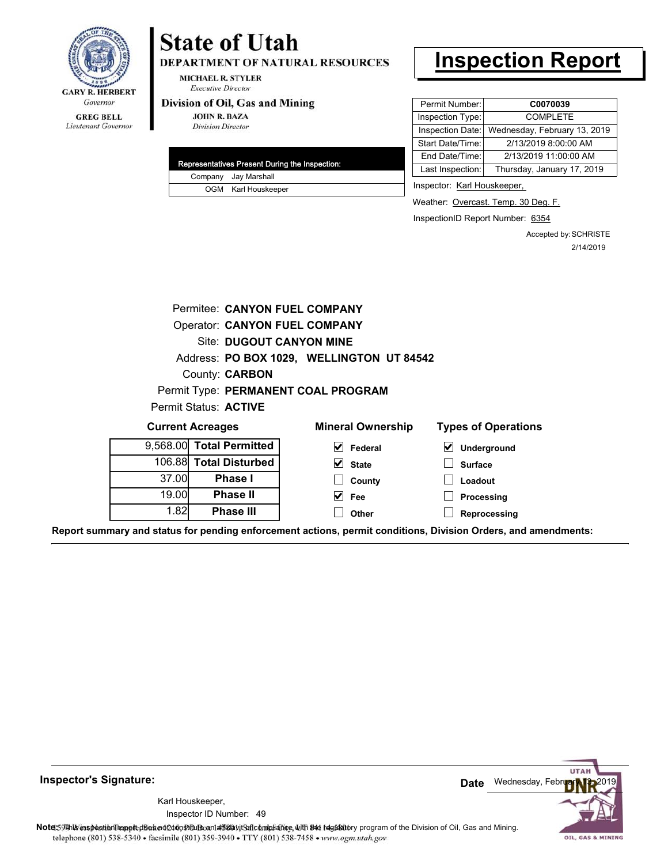

#### **GREG BELL** Lieutenant Governor

# **State of Utah**

DEPARTMENT OF NATURAL RESOURCES

**MICHAEL R. STYLER Executive Director** 

#### Division of Oil, Gas and Mining

**JOHN R. BAZA Division Director** 

|  | Representatives Present During the Inspection: |
|--|------------------------------------------------|
|  | Company Jay Marshall                           |
|  | OGM Karl Houskeeper                            |

# **Inspection Report**

| Permit Number:   | C0070039                     |
|------------------|------------------------------|
| Inspection Type: | <b>COMPLETE</b>              |
| Inspection Date: | Wednesday, February 13, 2019 |
| Start Date/Time: | 2/13/2019 8:00:00 AM         |
| End Date/Time:   | 2/13/2019 11:00:00 AM        |
| Last Inspection: | Thursday, January 17, 2019   |

Inspector: Karl Houskeeper,

Weather: Overcast. Temp. 30 Deg. F.

InspectionID Report Number: 6354

Accepted by: SCHRISTE 2/14/2019

| Permitee: CANYON FUEL COMPANY             |                        |                          |                                              |  |  |  |  |  |
|-------------------------------------------|------------------------|--------------------------|----------------------------------------------|--|--|--|--|--|
| <b>Operator: CANYON FUEL COMPANY</b>      |                        |                          |                                              |  |  |  |  |  |
| <b>Site: DUGOUT CANYON MINE</b>           |                        |                          |                                              |  |  |  |  |  |
| Address: PO BOX 1029, WELLINGTON UT 84542 |                        |                          |                                              |  |  |  |  |  |
| County: <b>CARBON</b>                     |                        |                          |                                              |  |  |  |  |  |
| Permit Type: PERMANENT COAL PROGRAM       |                        |                          |                                              |  |  |  |  |  |
| Permit Status: ACTIVE                     |                        |                          |                                              |  |  |  |  |  |
| <b>Current Acreages</b>                   |                        | <b>Mineral Ownership</b> | <b>Types of Operations</b>                   |  |  |  |  |  |
| 9,568.00                                  | <b>Total Permitted</b> | V<br>Federal             | $\vert\mathbf{v}\vert$<br><b>Underground</b> |  |  |  |  |  |
|                                           | 106.88 Total Disturbed | $\vee$ State             | <b>Surface</b>                               |  |  |  |  |  |
| 37.00                                     | <b>Phase I</b>         | County                   | Loadout                                      |  |  |  |  |  |
| 19.00                                     | <b>Phase II</b>        | Fee<br>M                 | Processing                                   |  |  |  |  |  |
| 1.82                                      | <b>Phase III</b>       | Other                    | Reprocessing                                 |  |  |  |  |  |
|                                           |                        |                          |                                              |  |  |  |  |  |

**Report summary and status for pending enforcement actions, permit conditions, Division Orders, and amendments:**

**Inspector's Signature:**

49 Inspector ID Number:Karl Houskeeper,

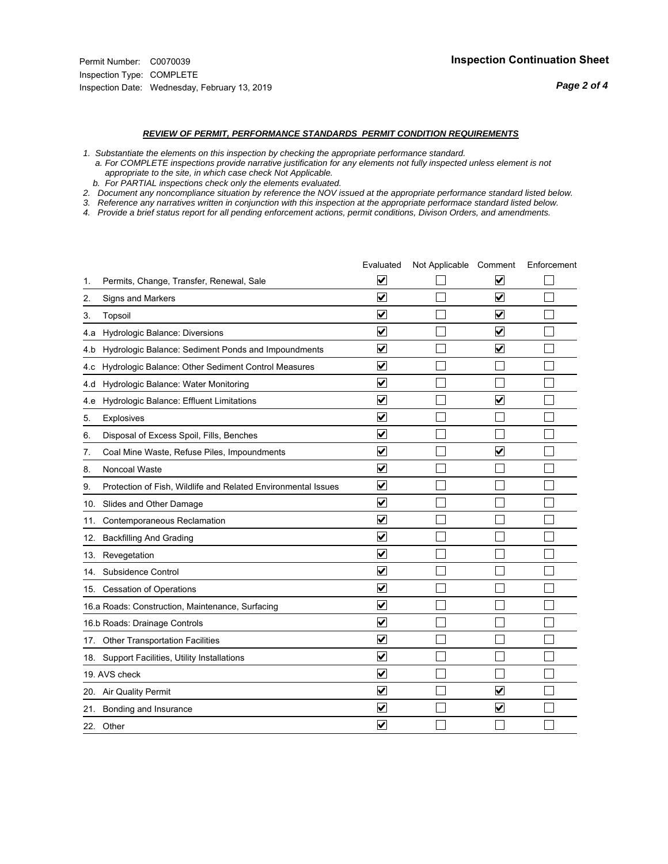#### *REVIEW OF PERMIT, PERFORMANCE STANDARDS PERMIT CONDITION REQUIREMENTS*

*1. Substantiate the elements on this inspection by checking the appropriate performance standard.*

 *a. For COMPLETE inspections provide narrative justification for any elements not fully inspected unless element is not appropriate to the site, in which case check Not Applicable.*

 *b. For PARTIAL inspections check only the elements evaluated.*

*2. Document any noncompliance situation by reference the NOV issued at the appropriate performance standard listed below.*

*3. Reference any narratives written in conjunction with this inspection at the appropriate performace standard listed below.*

|               |                                                               | Evaluated               | Not Applicable Comment |                         | Enforcement |
|---------------|---------------------------------------------------------------|-------------------------|------------------------|-------------------------|-------------|
| 1.            | Permits, Change, Transfer, Renewal, Sale                      | ⊻                       |                        | V                       |             |
| 2.            | Signs and Markers                                             | $\overline{\mathbf{v}}$ |                        | $\blacktriangledown$    |             |
| 3.            | Topsoil                                                       | $\overline{\mathbf{v}}$ |                        | $\overline{\mathbf{v}}$ |             |
| 4.a           | Hydrologic Balance: Diversions                                | $\overline{\mathsf{v}}$ |                        | $\blacktriangledown$    |             |
| 4.b           | Hydrologic Balance: Sediment Ponds and Impoundments           | $\blacktriangledown$    |                        | $\blacktriangledown$    |             |
| 4.c           | Hydrologic Balance: Other Sediment Control Measures           | $\checkmark$            |                        |                         |             |
| 4.d           | Hydrologic Balance: Water Monitoring                          | $\overline{\mathbf{v}}$ |                        |                         |             |
| 4.e           | Hydrologic Balance: Effluent Limitations                      | $\overline{\mathbf{v}}$ |                        | $\blacktriangledown$    |             |
| 5.            | <b>Explosives</b>                                             | $\overline{\mathbf{v}}$ |                        |                         |             |
| 6.            | Disposal of Excess Spoil, Fills, Benches                      | $\overline{\mathbf{v}}$ |                        |                         |             |
| 7.            | Coal Mine Waste, Refuse Piles, Impoundments                   | $\overline{\mathbf{v}}$ |                        | $\overline{\mathbf{v}}$ |             |
| 8.            | Noncoal Waste                                                 | $\overline{\mathbf{v}}$ |                        |                         |             |
| 9.            | Protection of Fish, Wildlife and Related Environmental Issues | $\overline{\mathbf{v}}$ |                        |                         |             |
|               | 10. Slides and Other Damage                                   | $\overline{\mathbf{v}}$ |                        |                         |             |
| 11.           | Contemporaneous Reclamation                                   | ⊻                       |                        |                         |             |
| 12.           | <b>Backfilling And Grading</b>                                | $\overline{\mathbf{v}}$ |                        |                         |             |
| 13.           | Revegetation                                                  | $\overline{\mathbf{v}}$ |                        |                         |             |
| 14.           | Subsidence Control                                            | $\overline{\mathbf{v}}$ |                        |                         |             |
|               | 15. Cessation of Operations                                   | $\overline{\mathbf{v}}$ |                        |                         |             |
|               | 16.a Roads: Construction, Maintenance, Surfacing              | $\overline{\mathsf{v}}$ |                        |                         |             |
|               | 16.b Roads: Drainage Controls                                 | $\blacktriangledown$    |                        |                         |             |
|               | 17. Other Transportation Facilities                           | $\overline{\mathbf{v}}$ |                        |                         |             |
| 18.           | Support Facilities, Utility Installations                     | $\overline{\mathbf{v}}$ |                        |                         |             |
| 19. AVS check |                                                               | $\overline{\mathbf{v}}$ |                        |                         |             |
|               | 20. Air Quality Permit                                        |                         |                        | $\blacktriangledown$    |             |
|               | 21. Bonding and Insurance                                     | $\blacktriangledown$    |                        | $\blacktriangledown$    |             |
|               | 22. Other                                                     | $\overline{\mathbf{v}}$ |                        |                         |             |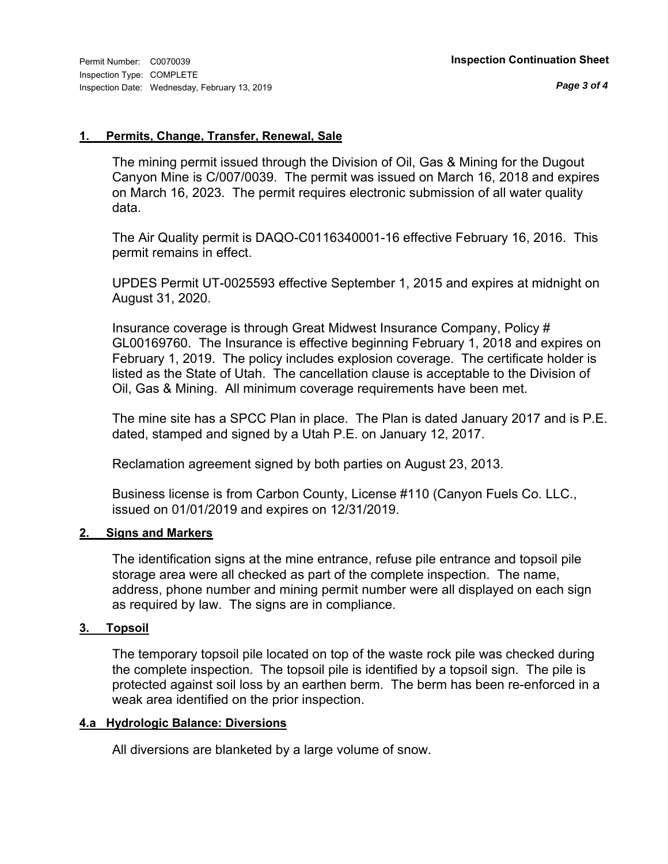#### **1. Permits, Change, Transfer, Renewal, Sale**

The mining permit issued through the Division of Oil, Gas & Mining for the Dugout Canyon Mine is C/007/0039. The permit was issued on March 16, 2018 and expires on March 16, 2023. The permit requires electronic submission of all water quality data.

The Air Quality permit is DAQO-C0116340001-16 effective February 16, 2016. This permit remains in effect.

UPDES Permit UT-0025593 effective September 1, 2015 and expires at midnight on August 31, 2020.

Insurance coverage is through Great Midwest Insurance Company, Policy # GL00169760. The Insurance is effective beginning February 1, 2018 and expires on February 1, 2019. The policy includes explosion coverage. The certificate holder is listed as the State of Utah. The cancellation clause is acceptable to the Division of Oil, Gas & Mining. All minimum coverage requirements have been met.

The mine site has a SPCC Plan in place. The Plan is dated January 2017 and is P.E. dated, stamped and signed by a Utah P.E. on January 12, 2017.

Reclamation agreement signed by both parties on August 23, 2013.

Business license is from Carbon County, License #110 (Canyon Fuels Co. LLC., issued on 01/01/2019 and expires on 12/31/2019.

### **2. Signs and Markers**

The identification signs at the mine entrance, refuse pile entrance and topsoil pile storage area were all checked as part of the complete inspection. The name, address, phone number and mining permit number were all displayed on each sign as required by law. The signs are in compliance.

### **3. Topsoil**

The temporary topsoil pile located on top of the waste rock pile was checked during the complete inspection. The topsoil pile is identified by a topsoil sign. The pile is protected against soil loss by an earthen berm. The berm has been re-enforced in a weak area identified on the prior inspection.

#### **4.a Hydrologic Balance: Diversions**

All diversions are blanketed by a large volume of snow.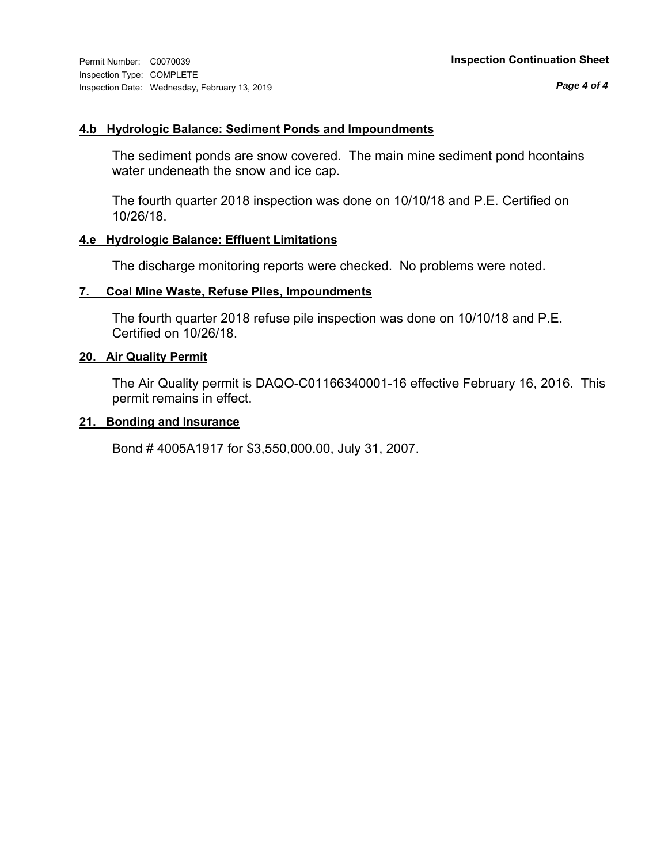### **4.b Hydrologic Balance: Sediment Ponds and Impoundments**

The sediment ponds are snow covered. The main mine sediment pond hcontains water undeneath the snow and ice cap.

The fourth quarter 2018 inspection was done on 10/10/18 and P.E. Certified on 10/26/18.

### **4.e Hydrologic Balance: Effluent Limitations**

The discharge monitoring reports were checked. No problems were noted.

### **7. Coal Mine Waste, Refuse Piles, Impoundments**

The fourth quarter 2018 refuse pile inspection was done on 10/10/18 and P.E. Certified on 10/26/18.

#### **20. Air Quality Permit**

The Air Quality permit is DAQO-C01166340001-16 effective February 16, 2016. This permit remains in effect.

### **21. Bonding and Insurance**

Bond # 4005A1917 for \$3,550,000.00, July 31, 2007.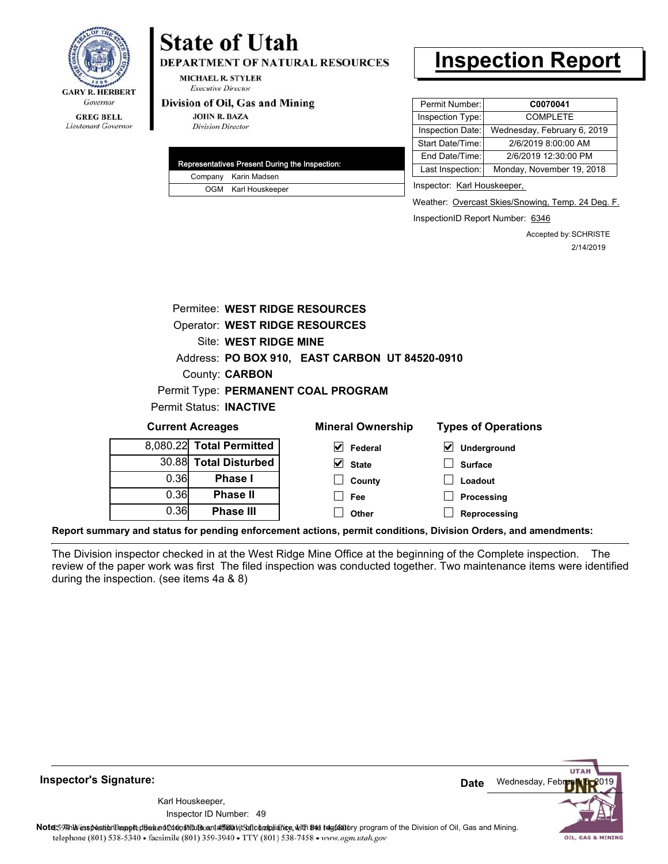

## Lieutenant Governor

# **State of Utah**

**DEPARTMENT OF NATURAL RESOURCES** 

**MICHAEL R. STYLER Executive Director** 

#### Division of Oil, Gas and Mining

**JOHN R. BAZA Division Director** 

0.36

**Phase III**

| Representatives Present During the Inspection: |
|------------------------------------------------|
| Company Karin Madsen                           |
| OGM Karl Houskeeper                            |

# **Inspection Report**

| Permit Number:   | C0070041                    |
|------------------|-----------------------------|
| Inspection Type: | <b>COMPLETE</b>             |
| Inspection Date: | Wednesday, February 6, 2019 |
| Start Date/Time: | 2/6/2019 8:00:00 AM         |
| End Date/Time:   | 2/6/2019 12:30:00 PM        |
| Last Inspection: | Monday, November 19, 2018   |
|                  |                             |

Inspector: Karl Houskeeper,

Weather: Overcast Skies/Snowing, Temp. 24 Deg. F.

InspectionID Report Number: 6346

**Reprocessing**

Accepted by: SCHRISTE 2/14/2019

|      | Permitee: WEST RIDGE RESOURCES        |                                                |                                     |
|------|---------------------------------------|------------------------------------------------|-------------------------------------|
|      | <b>Operator: WEST RIDGE RESOURCES</b> |                                                |                                     |
|      | Site: WEST RIDGE MINE                 |                                                |                                     |
|      |                                       | Address: PO BOX 910, EAST CARBON UT 84520-0910 |                                     |
|      | County: <b>CARBON</b>                 |                                                |                                     |
|      |                                       | Permit Type: PERMANENT COAL PROGRAM            |                                     |
|      | Permit Status: INACTIVE               |                                                |                                     |
|      | <b>Current Acreages</b>               | <b>Mineral Ownership</b>                       | <b>Types of Operations</b>          |
|      | 8,080.22 Total Permitted              | V<br>Federal                                   | $\blacktriangledown$<br>Underground |
|      | 30.88 Total Disturbed                 | V<br><b>State</b>                              | <b>Surface</b>                      |
| 0.36 | <b>Phase I</b>                        | County                                         | Loadout                             |
| 0.36 | <b>Phase II</b>                       | Fee                                            | Processing                          |

**Report summary and status for pending enforcement actions, permit conditions, Division Orders, and amendments:**

The Division inspector checked in at the West Ridge Mine Office at the beginning of the Complete inspection. The review of the paper work was first The filed inspection was conducted together. Two maintenance items were identified during the inspection. (see items 4a & 8)

**Other**

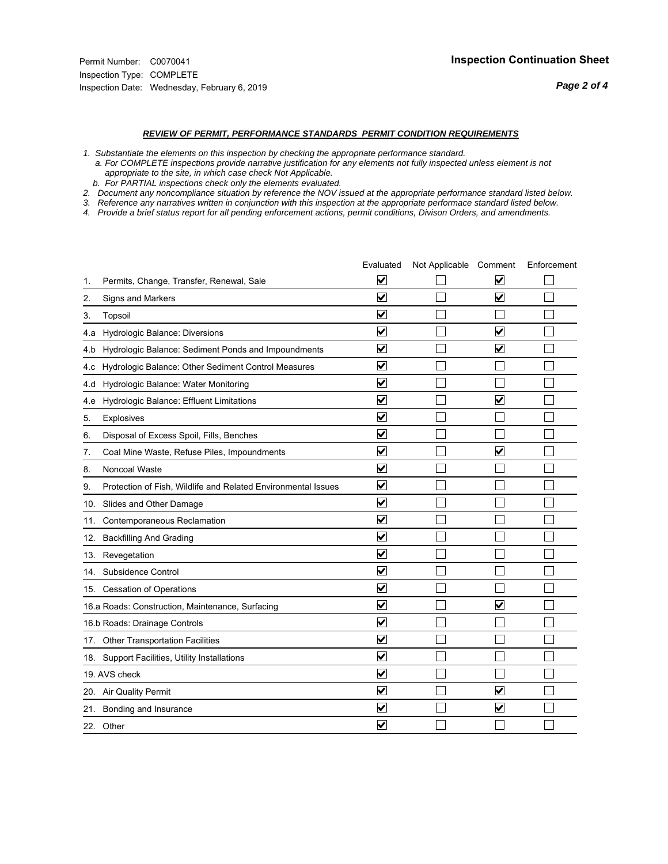#### *REVIEW OF PERMIT, PERFORMANCE STANDARDS PERMIT CONDITION REQUIREMENTS*

*1. Substantiate the elements on this inspection by checking the appropriate performance standard.*

 *a. For COMPLETE inspections provide narrative justification for any elements not fully inspected unless element is not appropriate to the site, in which case check Not Applicable.*

 *b. For PARTIAL inspections check only the elements evaluated.*

*2. Document any noncompliance situation by reference the NOV issued at the appropriate performance standard listed below.*

*3. Reference any narratives written in conjunction with this inspection at the appropriate performace standard listed below.*

|     |                                                               | Evaluated               | Not Applicable Comment |                         | Enforcement |
|-----|---------------------------------------------------------------|-------------------------|------------------------|-------------------------|-------------|
| 1.  | Permits, Change, Transfer, Renewal, Sale                      | $\overline{\mathbf{v}}$ |                        | V                       |             |
| 2.  | Signs and Markers                                             | $\overline{\mathbf{v}}$ |                        | $\blacktriangledown$    |             |
| 3.  | Topsoil                                                       | $\overline{\mathbf{v}}$ |                        |                         |             |
| 4.a | Hydrologic Balance: Diversions                                | $\overline{\mathbf{v}}$ |                        | $\overline{\mathbf{v}}$ |             |
| 4.b | Hydrologic Balance: Sediment Ponds and Impoundments           | $\blacktriangledown$    |                        | V                       |             |
| 4.c | Hydrologic Balance: Other Sediment Control Measures           | $\overline{\mathbf{v}}$ |                        |                         |             |
| 4.d | Hydrologic Balance: Water Monitoring                          | $\overline{\mathbf{v}}$ |                        |                         |             |
| 4.e | Hydrologic Balance: Effluent Limitations                      | $\overline{\mathbf{v}}$ |                        | $\overline{\mathbf{v}}$ |             |
| 5.  | <b>Explosives</b>                                             | $\overline{\mathbf{v}}$ |                        |                         |             |
| 6.  | Disposal of Excess Spoil, Fills, Benches                      | $\blacktriangledown$    |                        |                         |             |
| 7.  | Coal Mine Waste, Refuse Piles, Impoundments                   | $\overline{\mathbf{v}}$ |                        | $\overline{\mathbf{v}}$ |             |
| 8.  | Noncoal Waste                                                 | $\overline{\mathbf{v}}$ |                        |                         |             |
| 9.  | Protection of Fish, Wildlife and Related Environmental Issues | $\overline{\mathbf{v}}$ |                        |                         |             |
|     | 10. Slides and Other Damage                                   | $\overline{\mathbf{v}}$ |                        |                         |             |
| 11. | Contemporaneous Reclamation                                   | ⊽                       |                        |                         |             |
| 12. | <b>Backfilling And Grading</b>                                | $\overline{\mathbf{v}}$ |                        |                         |             |
| 13. | Revegetation                                                  | $\overline{\mathbf{v}}$ |                        |                         |             |
| 14. | Subsidence Control                                            | $\overline{\mathbf{v}}$ |                        |                         |             |
|     | 15. Cessation of Operations                                   | $\overline{\mathbf{v}}$ |                        |                         |             |
|     | 16.a Roads: Construction, Maintenance, Surfacing              | $\blacktriangledown$    |                        | $\overline{\mathbf{v}}$ |             |
|     | 16.b Roads: Drainage Controls                                 | $\overline{\mathbf{v}}$ |                        |                         |             |
|     | 17. Other Transportation Facilities                           | $\overline{\mathbf{v}}$ |                        |                         |             |
| 18. | Support Facilities, Utility Installations                     | $\overline{\mathbf{v}}$ |                        |                         |             |
|     | 19. AVS check                                                 | $\overline{\mathbf{v}}$ |                        |                         |             |
|     | 20. Air Quality Permit                                        | $\checkmark$            |                        | $\blacktriangledown$    |             |
|     | 21. Bonding and Insurance                                     | $\blacktriangledown$    |                        | $\blacktriangledown$    |             |
|     | 22. Other                                                     | $\overline{\mathbf{v}}$ |                        |                         |             |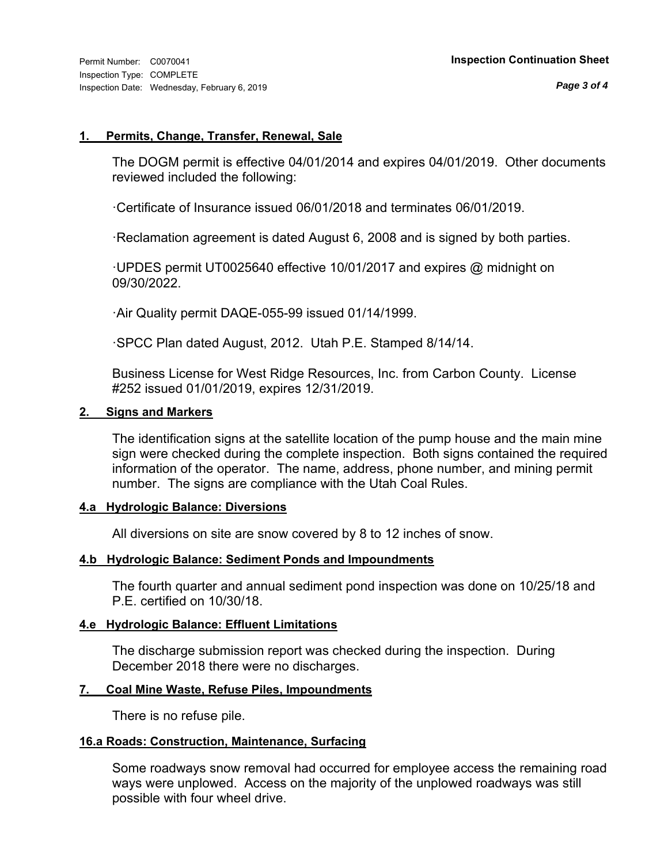#### **1. Permits, Change, Transfer, Renewal, Sale**

The DOGM permit is effective 04/01/2014 and expires 04/01/2019. Other documents reviewed included the following:

·Certificate of Insurance issued 06/01/2018 and terminates 06/01/2019.

·Reclamation agreement is dated August 6, 2008 and is signed by both parties.

·UPDES permit UT0025640 effective 10/01/2017 and expires @ midnight on 09/30/2022.

·Air Quality permit DAQE-055-99 issued 01/14/1999.

·SPCC Plan dated August, 2012. Utah P.E. Stamped 8/14/14.

Business License for West Ridge Resources, Inc. from Carbon County. License #252 issued 01/01/2019, expires 12/31/2019.

#### **2. Signs and Markers**

The identification signs at the satellite location of the pump house and the main mine sign were checked during the complete inspection. Both signs contained the required information of the operator. The name, address, phone number, and mining permit number. The signs are compliance with the Utah Coal Rules.

#### **4.a Hydrologic Balance: Diversions**

All diversions on site are snow covered by 8 to 12 inches of snow.

#### **4.b Hydrologic Balance: Sediment Ponds and Impoundments**

The fourth quarter and annual sediment pond inspection was done on 10/25/18 and P.E. certified on 10/30/18.

### **4.e Hydrologic Balance: Effluent Limitations**

The discharge submission report was checked during the inspection. During December 2018 there were no discharges.

### **7. Coal Mine Waste, Refuse Piles, Impoundments**

There is no refuse pile.

### **16.a Roads: Construction, Maintenance, Surfacing**

Some roadways snow removal had occurred for employee access the remaining road ways were unplowed. Access on the majority of the unplowed roadways was still possible with four wheel drive.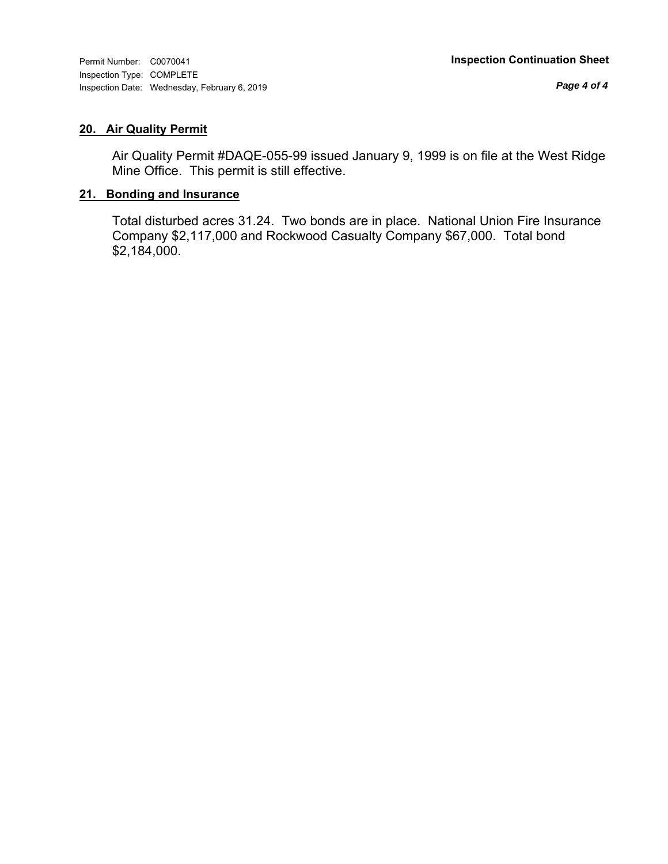## **20. Air Quality Permit**

Air Quality Permit #DAQE-055-99 issued January 9, 1999 is on file at the West Ridge Mine Office. This permit is still effective.

## **21. Bonding and Insurance**

Total disturbed acres 31.24. Two bonds are in place. National Union Fire Insurance Company \$2,117,000 and Rockwood Casualty Company \$67,000. Total bond \$2,184,000.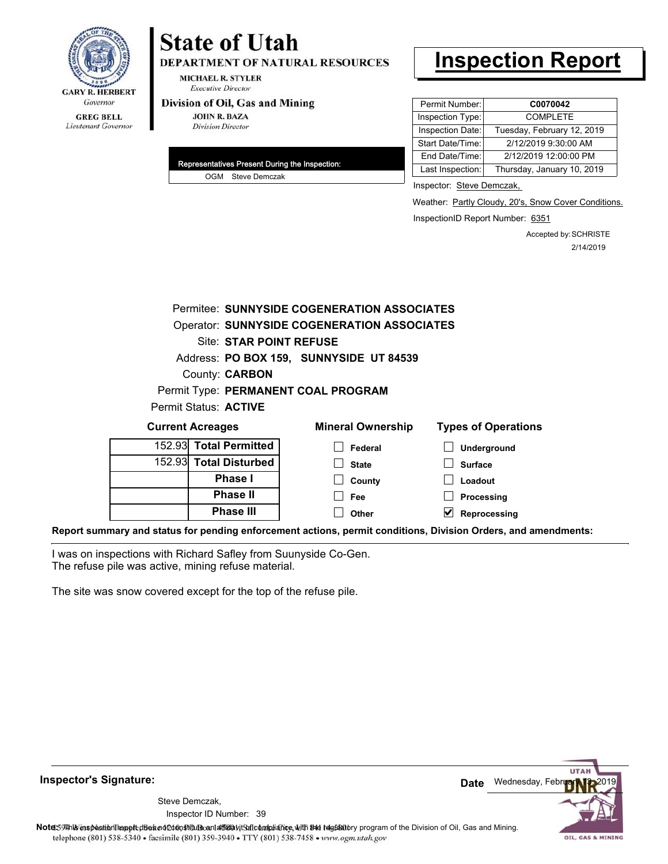

# **State of Utah**

**DEPARTMENT OF NATURAL RESOURCES** 

**MICHAEL R. STYLER Executive Director** 

#### Division of Oil, Gas and Mining

**JOHN R. BAZA Division Director** 

| Representatives Present During the Inspection: |
|------------------------------------------------|
| OGM Steve Demczak                              |

# **Inspection Report**

| Permit Number:   | C0070042                   |
|------------------|----------------------------|
| Inspection Type: | <b>COMPLETE</b>            |
| Inspection Date: | Tuesday, February 12, 2019 |
| Start Date/Time: | 2/12/2019 9:30:00 AM       |
| End Date/Time:   | 2/12/2019 12:00:00 PM      |
| Last Inspection: | Thursday, January 10, 2019 |

Inspector: Steve Demczak,

Weather: Partly Cloudy, 20's, Snow Cover Conditions.

InspectionID Report Number: 6351

Accepted by: SCHRISTE 2/14/2019

|                         |                         | Permitee: SUNNYSIDE COGENERATION ASSOCIATES                                                 |                            |
|-------------------------|-------------------------|---------------------------------------------------------------------------------------------|----------------------------|
|                         |                         | Operator: SUNNYSIDE COGENERATION ASSOCIATES                                                 |                            |
|                         | Site: STAR POINT REFUSE |                                                                                             |                            |
|                         |                         | Address: PO BOX 159, SUNNYSIDE UT 84539                                                     |                            |
|                         | County: <b>CARBON</b>   |                                                                                             |                            |
|                         |                         | Permit Type: PERMANENT COAL PROGRAM                                                         |                            |
|                         | Permit Status: ACTIVE   |                                                                                             |                            |
| <b>Current Acreages</b> |                         | <b>Mineral Ownership</b>                                                                    | <b>Types of Operations</b> |
|                         | 152.93 Total Permitted  | Federal                                                                                     | Underground                |
|                         | 152.93 Total Disturbed  | <b>State</b>                                                                                | <b>Surface</b>             |
|                         | <b>Phase I</b>          | County                                                                                      | Loadout                    |
|                         | <b>Phase II</b>         | Fee                                                                                         | Processing                 |
|                         | <b>Phase III</b>        | Other                                                                                       | Reprocessing               |
|                         |                         | u and status for nonding onforcement actions, normit conditions. Division Orders, and amond |                            |

**Report summary and status for pending enforcement actions, permit conditions, Division Orders, and amendments:**

I was on inspections with Richard Safley from Suunyside Co-Gen. The refuse pile was active, mining refuse material.

The site was snow covered except for the top of the refuse pile.

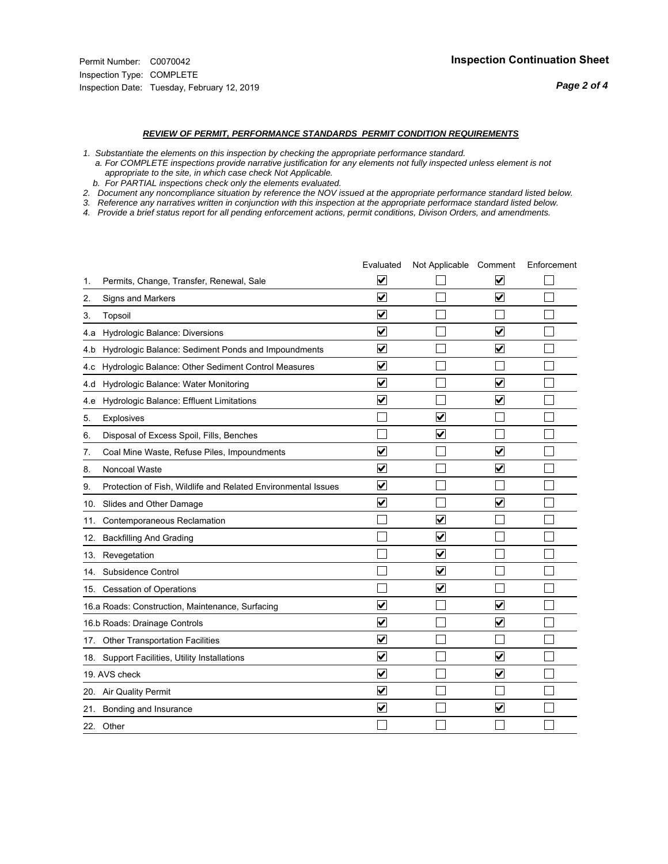#### *REVIEW OF PERMIT, PERFORMANCE STANDARDS PERMIT CONDITION REQUIREMENTS*

*1. Substantiate the elements on this inspection by checking the appropriate performance standard.*

 *a. For COMPLETE inspections provide narrative justification for any elements not fully inspected unless element is not appropriate to the site, in which case check Not Applicable.*

 *b. For PARTIAL inspections check only the elements evaluated.*

*2. Document any noncompliance situation by reference the NOV issued at the appropriate performance standard listed below.*

*3. Reference any narratives written in conjunction with this inspection at the appropriate performace standard listed below.*

|     |                                                               | Evaluated               | Not Applicable Comment          |                         | Enforcement |
|-----|---------------------------------------------------------------|-------------------------|---------------------------------|-------------------------|-------------|
| 1.  | Permits, Change, Transfer, Renewal, Sale                      | $\overline{\mathbf{v}}$ |                                 | V                       |             |
| 2.  | Signs and Markers                                             | $\overline{\mathbf{v}}$ |                                 | $\blacktriangledown$    |             |
| 3.  | Topsoil                                                       | $\overline{\mathbf{v}}$ |                                 |                         |             |
| 4.a | Hydrologic Balance: Diversions                                | $\overline{\mathbf{v}}$ |                                 | $\overline{\mathbf{v}}$ |             |
| 4.b | Hydrologic Balance: Sediment Ponds and Impoundments           | $\blacktriangledown$    |                                 | V                       |             |
| 4.c | Hydrologic Balance: Other Sediment Control Measures           | $\overline{\mathbf{v}}$ |                                 |                         |             |
| 4.d | Hydrologic Balance: Water Monitoring                          | $\overline{\mathbf{v}}$ |                                 | $\overline{\mathbf{v}}$ |             |
| 4.e | Hydrologic Balance: Effluent Limitations                      | $\overline{\mathbf{v}}$ |                                 | $\blacktriangledown$    |             |
| 5.  | <b>Explosives</b>                                             |                         | ⊽                               |                         |             |
| 6.  | Disposal of Excess Spoil, Fills, Benches                      |                         | $\blacktriangledown$            |                         |             |
| 7.  | Coal Mine Waste, Refuse Piles, Impoundments                   | $\overline{\mathbf{v}}$ |                                 | $\overline{\mathbf{v}}$ |             |
| 8.  | Noncoal Waste                                                 | $\overline{\mathbf{v}}$ |                                 | $\overline{\mathbf{v}}$ |             |
| 9.  | Protection of Fish, Wildlife and Related Environmental Issues | $\overline{\mathbf{v}}$ |                                 |                         |             |
|     | 10. Slides and Other Damage                                   | $\overline{\mathbf{v}}$ |                                 | ⊽                       |             |
| 11. | Contemporaneous Reclamation                                   |                         | ☑                               |                         |             |
| 12. | <b>Backfilling And Grading</b>                                |                         | $\overline{\mathbf{v}}$         |                         |             |
| 13. | Revegetation                                                  |                         | $\overline{\blacktriangledown}$ |                         |             |
| 14. | Subsidence Control                                            |                         | $\overline{\mathbf{v}}$         |                         |             |
|     | 15. Cessation of Operations                                   |                         | $\overline{\blacktriangledown}$ |                         |             |
|     | 16.a Roads: Construction, Maintenance, Surfacing              | ⊽                       |                                 | $\overline{\mathbf{v}}$ |             |
|     | 16.b Roads: Drainage Controls                                 | $\overline{\mathbf{v}}$ |                                 | $\overline{\mathbf{v}}$ |             |
|     | 17. Other Transportation Facilities                           | $\overline{\mathbf{v}}$ |                                 |                         |             |
| 18. | Support Facilities, Utility Installations                     | $\overline{\mathbf{v}}$ |                                 | $\blacktriangledown$    |             |
|     | 19. AVS check                                                 | $\overline{\mathbf{v}}$ |                                 | $\blacktriangledown$    |             |
|     | 20. Air Quality Permit                                        | $\checkmark$            |                                 |                         |             |
|     | 21. Bonding and Insurance                                     | $\overline{\mathbf{v}}$ |                                 | $\blacktriangledown$    |             |
|     | 22. Other                                                     |                         |                                 |                         |             |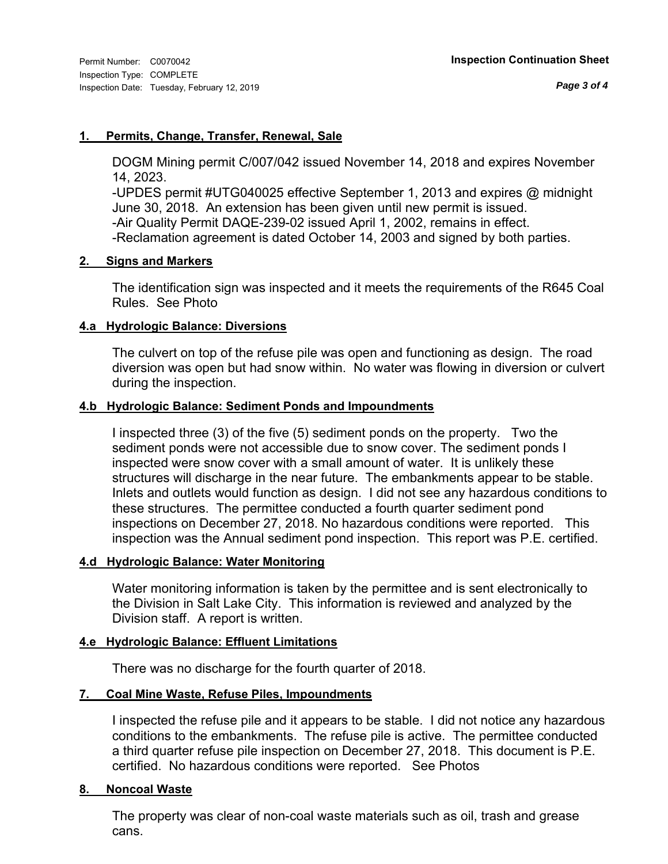### **1. Permits, Change, Transfer, Renewal, Sale**

DOGM Mining permit C/007/042 issued November 14, 2018 and expires November 14, 2023.

-UPDES permit #UTG040025 effective September 1, 2013 and expires @ midnight June 30, 2018. An extension has been given until new permit is issued. -Air Quality Permit DAQE-239-02 issued April 1, 2002, remains in effect.

-Reclamation agreement is dated October 14, 2003 and signed by both parties.

#### **2. Signs and Markers**

The identification sign was inspected and it meets the requirements of the R645 Coal Rules. See Photo

#### **4.a Hydrologic Balance: Diversions**

The culvert on top of the refuse pile was open and functioning as design. The road diversion was open but had snow within. No water was flowing in diversion or culvert during the inspection.

#### **4.b Hydrologic Balance: Sediment Ponds and Impoundments**

I inspected three (3) of the five (5) sediment ponds on the property. Two the sediment ponds were not accessible due to snow cover. The sediment ponds I inspected were snow cover with a small amount of water. It is unlikely these structures will discharge in the near future. The embankments appear to be stable. Inlets and outlets would function as design. I did not see any hazardous conditions to these structures. The permittee conducted a fourth quarter sediment pond inspections on December 27, 2018. No hazardous conditions were reported. This inspection was the Annual sediment pond inspection. This report was P.E. certified.

### **4.d Hydrologic Balance: Water Monitoring**

Water monitoring information is taken by the permittee and is sent electronically to the Division in Salt Lake City. This information is reviewed and analyzed by the Division staff. A report is written.

### **4.e Hydrologic Balance: Effluent Limitations**

There was no discharge for the fourth quarter of 2018.

### **7. Coal Mine Waste, Refuse Piles, Impoundments**

I inspected the refuse pile and it appears to be stable. I did not notice any hazardous conditions to the embankments. The refuse pile is active. The permittee conducted a third quarter refuse pile inspection on December 27, 2018. This document is P.E. certified. No hazardous conditions were reported. See Photos

#### **8. Noncoal Waste**

The property was clear of non-coal waste materials such as oil, trash and grease cans.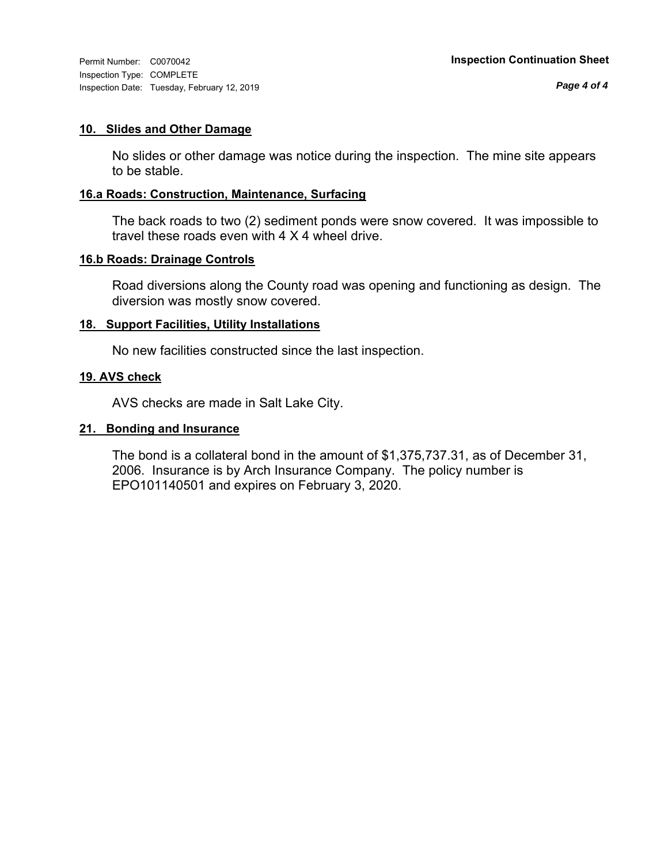Inspection Type: COMPLETE Inspection Date: Tuesday, February 12, 2019

#### **10. Slides and Other Damage**

No slides or other damage was notice during the inspection. The mine site appears to be stable.

### **16.a Roads: Construction, Maintenance, Surfacing**

The back roads to two (2) sediment ponds were snow covered. It was impossible to travel these roads even with 4 X 4 wheel drive.

#### **16.b Roads: Drainage Controls**

Road diversions along the County road was opening and functioning as design. The diversion was mostly snow covered.

#### **18. Support Facilities, Utility Installations**

No new facilities constructed since the last inspection.

#### **19. AVS check**

AVS checks are made in Salt Lake City.

#### **21. Bonding and Insurance**

The bond is a collateral bond in the amount of \$1,375,737.31, as of December 31, 2006. Insurance is by Arch Insurance Company. The policy number is EPO101140501 and expires on February 3, 2020.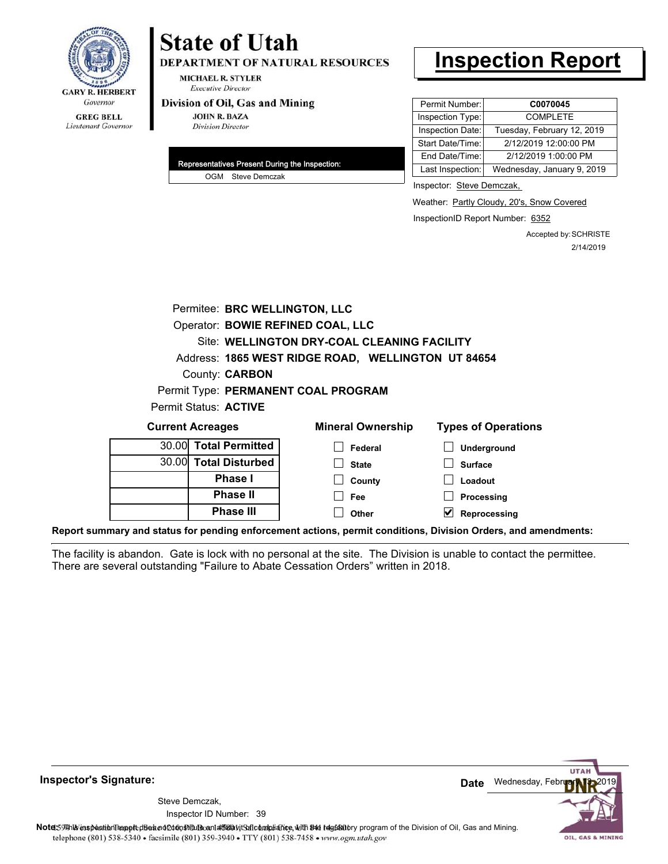

# **State of Utah**

**DEPARTMENT OF NATURAL RESOURCES** 

**MICHAEL R. STYLER Executive Director** 

#### Division of Oil, Gas and Mining

**JOHN R. BAZA Division Director** 

| Representatives Present During the Inspection: |
|------------------------------------------------|
| OGM Steve Demczak                              |

# **Inspection Report**

| Permit Number:   | C0070045                   |
|------------------|----------------------------|
| Inspection Type: | <b>COMPLETE</b>            |
| Inspection Date: | Tuesday, February 12, 2019 |
| Start Date/Time: | 2/12/2019 12:00:00 PM      |
| End Date/Time:   | 2/12/2019 1:00:00 PM       |
| Last Inspection: | Wednesday, January 9, 2019 |

Inspector: Steve Demczak,

Weather: Partly Cloudy, 20's, Snow Covered

InspectionID Report Number: 6352

Accepted by: SCHRISTE 2/14/2019

| Permitee: BRC WELLINGTON, LLC       |                                                    |                            |  |  |  |  |
|-------------------------------------|----------------------------------------------------|----------------------------|--|--|--|--|
| Operator: BOWIE REFINED COAL, LLC   |                                                    |                            |  |  |  |  |
|                                     | Site: WELLINGTON DRY-COAL CLEANING FACILITY        |                            |  |  |  |  |
|                                     | Address: 1865 WEST RIDGE ROAD, WELLINGTON UT 84654 |                            |  |  |  |  |
| County: <b>CARBON</b>               |                                                    |                            |  |  |  |  |
| Permit Type: PERMANENT COAL PROGRAM |                                                    |                            |  |  |  |  |
| Permit Status: ACTIVE               |                                                    |                            |  |  |  |  |
| <b>Current Acreages</b>             | <b>Mineral Ownership</b>                           | <b>Types of Operations</b> |  |  |  |  |
| <b>Total Permitted</b><br>30.00     | Federal                                            | Underground                |  |  |  |  |
| 30.00 Total Disturbed               | <b>State</b>                                       | <b>Surface</b>             |  |  |  |  |
| Phase I                             | County                                             | Loadout                    |  |  |  |  |
| <b>Phase II</b>                     | Fee                                                | Processing                 |  |  |  |  |
| <b>Phase III</b>                    | Other                                              | Reprocessing               |  |  |  |  |

**Report summary and status for pending enforcement actions, permit conditions, Division Orders, and amendments:**

The facility is abandon. Gate is lock with no personal at the site. The Division is unable to contact the permittee. There are several outstanding "Failure to Abate Cessation Orders" written in 2018.



Inspector ID Number: 39 Steve Demczak,

Note: This inspection report disean of constitute and affidavit for compliance, with the regulatory program of the Division of Oil, Gas and Mining. telephone (801) 538-5340 · facsimile (801) 359-3940 · TTY (801) 538-7458 · www.ogm.utah.gov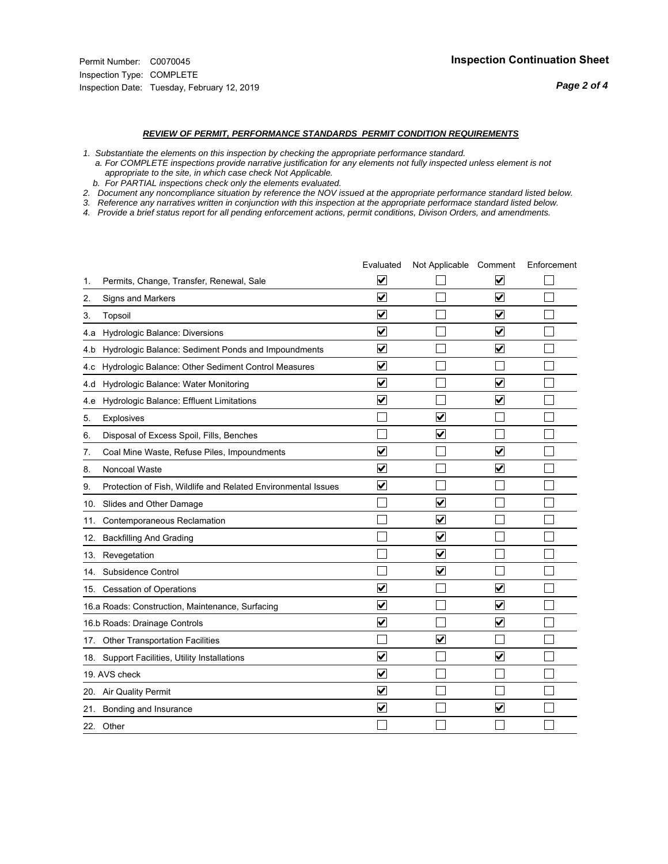#### *REVIEW OF PERMIT, PERFORMANCE STANDARDS PERMIT CONDITION REQUIREMENTS*

*1. Substantiate the elements on this inspection by checking the appropriate performance standard.*

 *a. For COMPLETE inspections provide narrative justification for any elements not fully inspected unless element is not appropriate to the site, in which case check Not Applicable.*

 *b. For PARTIAL inspections check only the elements evaluated.*

*2. Document any noncompliance situation by reference the NOV issued at the appropriate performance standard listed below.*

*3. Reference any narratives written in conjunction with this inspection at the appropriate performace standard listed below.*

|     |                                                               | Evaluated               | Not Applicable Comment          |                         | Enforcement |
|-----|---------------------------------------------------------------|-------------------------|---------------------------------|-------------------------|-------------|
| 1.  | Permits, Change, Transfer, Renewal, Sale                      | $\overline{\mathbf{v}}$ |                                 | V                       |             |
| 2.  | Signs and Markers                                             | $\overline{\mathbf{v}}$ |                                 | $\blacktriangledown$    |             |
| 3.  | Topsoil                                                       | $\overline{\mathbf{v}}$ |                                 | $\overline{\mathsf{v}}$ |             |
| 4.a | Hydrologic Balance: Diversions                                | $\overline{\mathbf{v}}$ |                                 | $\blacktriangledown$    |             |
| 4.b | Hydrologic Balance: Sediment Ponds and Impoundments           | $\blacktriangledown$    |                                 | ⊻                       |             |
| 4.c | Hydrologic Balance: Other Sediment Control Measures           | $\overline{\mathbf{v}}$ |                                 |                         |             |
| 4.d | Hydrologic Balance: Water Monitoring                          | $\overline{\mathbf{v}}$ |                                 | $\overline{\mathbf{v}}$ |             |
| 4.e | Hydrologic Balance: Effluent Limitations                      | $\overline{\mathbf{v}}$ |                                 | $\blacktriangledown$    |             |
| 5.  | <b>Explosives</b>                                             |                         | ⊽                               |                         |             |
| 6.  | Disposal of Excess Spoil, Fills, Benches                      |                         | $\blacktriangledown$            |                         |             |
| 7.  | Coal Mine Waste, Refuse Piles, Impoundments                   | $\overline{\mathbf{v}}$ |                                 | $\overline{\mathbf{v}}$ |             |
| 8.  | Noncoal Waste                                                 | $\overline{\mathbf{v}}$ |                                 | $\overline{\mathbf{v}}$ |             |
| 9.  | Protection of Fish, Wildlife and Related Environmental Issues | $\blacktriangledown$    |                                 |                         |             |
|     | 10. Slides and Other Damage                                   |                         | ☑                               |                         |             |
| 11. | Contemporaneous Reclamation                                   |                         | ☑                               |                         |             |
| 12. | <b>Backfilling And Grading</b>                                |                         | $\overline{\mathbf{v}}$         |                         |             |
| 13. | Revegetation                                                  |                         | $\overline{\blacktriangledown}$ |                         |             |
| 14. | Subsidence Control                                            |                         | $\overline{\mathbf{v}}$         |                         |             |
|     | 15. Cessation of Operations                                   | $\blacktriangledown$    |                                 | $\blacktriangledown$    |             |
|     | 16.a Roads: Construction, Maintenance, Surfacing              | $\blacktriangledown$    |                                 | $\blacktriangledown$    |             |
|     | 16.b Roads: Drainage Controls                                 | $\overline{\mathbf{v}}$ |                                 | $\overline{\mathbf{v}}$ |             |
|     | 17. Other Transportation Facilities                           |                         | $\overline{\mathbf{v}}$         |                         |             |
| 18. | Support Facilities, Utility Installations                     | $\overline{\mathbf{v}}$ |                                 | $\blacktriangledown$    |             |
|     | 19. AVS check                                                 | $\overline{\mathbf{v}}$ |                                 |                         |             |
|     | 20. Air Quality Permit                                        | $\checkmark$            |                                 |                         |             |
|     | 21. Bonding and Insurance                                     | $\overline{\mathbf{v}}$ |                                 | $\blacktriangledown$    |             |
|     | 22. Other                                                     |                         |                                 |                         |             |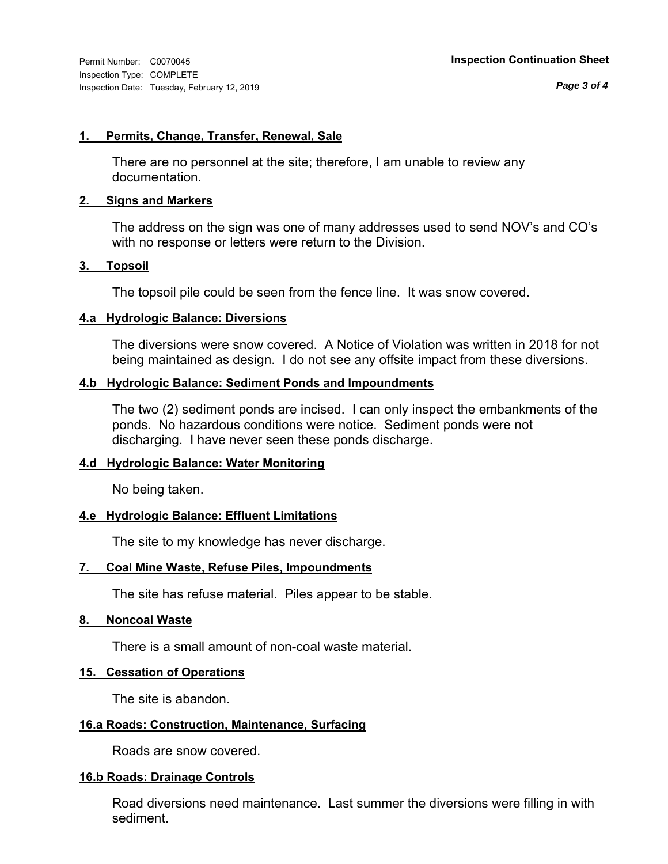#### **1. Permits, Change, Transfer, Renewal, Sale**

There are no personnel at the site; therefore, I am unable to review any documentation.

#### **2. Signs and Markers**

The address on the sign was one of many addresses used to send NOV's and CO's with no response or letters were return to the Division.

#### **3. Topsoil**

The topsoil pile could be seen from the fence line. It was snow covered.

#### **4.a Hydrologic Balance: Diversions**

The diversions were snow covered. A Notice of Violation was written in 2018 for not being maintained as design. I do not see any offsite impact from these diversions.

### **4.b Hydrologic Balance: Sediment Ponds and Impoundments**

The two (2) sediment ponds are incised. I can only inspect the embankments of the ponds. No hazardous conditions were notice. Sediment ponds were not discharging. I have never seen these ponds discharge.

### **4.d Hydrologic Balance: Water Monitoring**

No being taken.

### **4.e Hydrologic Balance: Effluent Limitations**

The site to my knowledge has never discharge.

### **7. Coal Mine Waste, Refuse Piles, Impoundments**

The site has refuse material. Piles appear to be stable.

#### **8. Noncoal Waste**

There is a small amount of non-coal waste material.

#### **15. Cessation of Operations**

The site is abandon.

#### **16.a Roads: Construction, Maintenance, Surfacing**

Roads are snow covered.

### **16.b Roads: Drainage Controls**

Road diversions need maintenance. Last summer the diversions were filling in with sediment.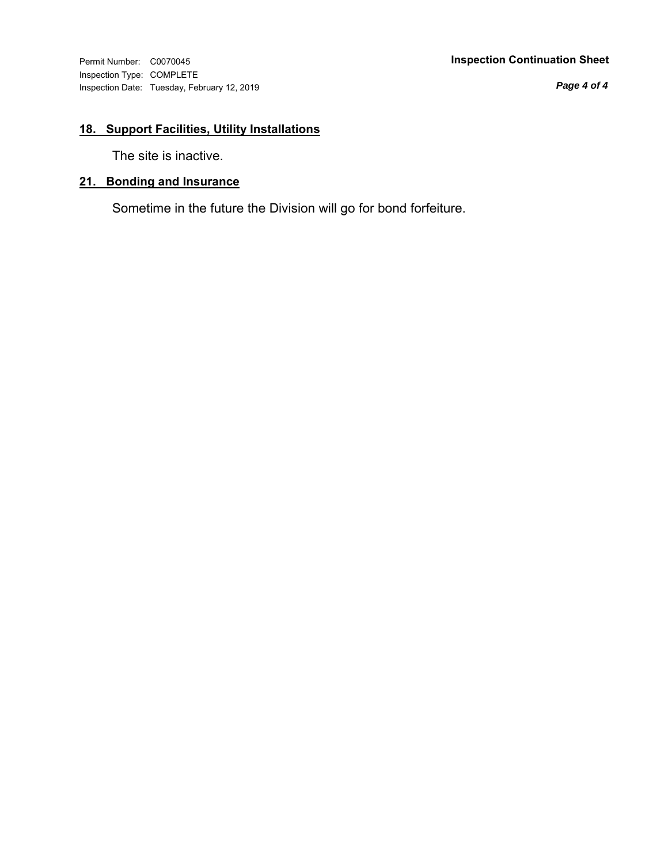Inspection Type: COMPLETE Inspection Date: Tuesday, February 12, 2019

#### Permit Number: C0070045 **Inspection Continuation Sheet**

*Page 4 of 4*

## **18. Support Facilities, Utility Installations**

The site is inactive.

## **21. Bonding and Insurance**

Sometime in the future the Division will go for bond forfeiture.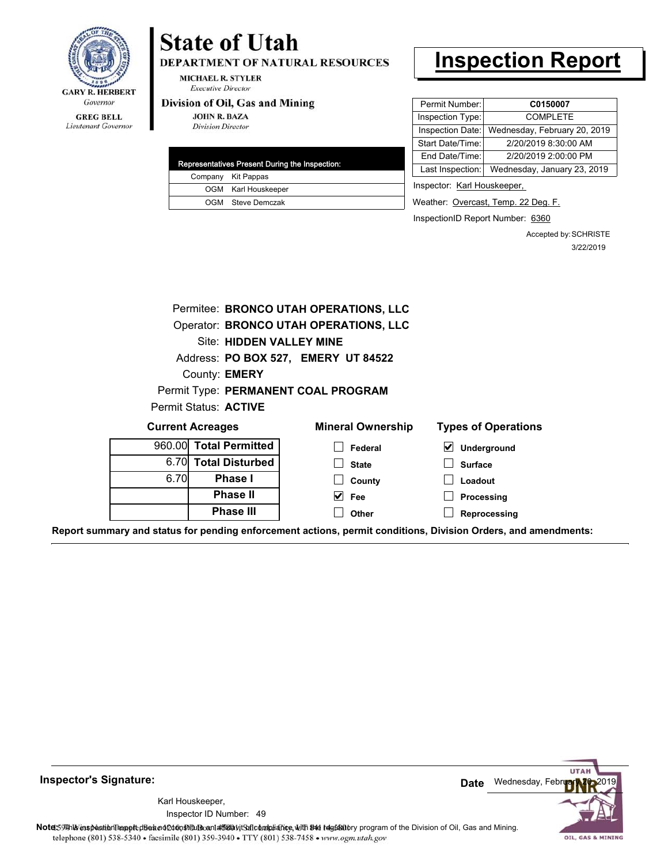

Lieutenant Governor

# **State of Utah**

DEPARTMENT OF NATURAL RESOURCES

**MICHAEL R. STYLER Executive Director** 

#### Division of Oil, Gas and Mining

**Phase II Phase III**

**JOHN R. BAZA Division Director** 

|  | Representatives Present During the Inspection: |
|--|------------------------------------------------|
|  | Company Kit Pappas                             |
|  | OGM Karl Houskeeper                            |
|  | OGM Steve Demczak                              |

# **Inspection Report**

| Permit Number:   | C0150007                     |
|------------------|------------------------------|
| Inspection Type: | <b>COMPLETE</b>              |
| Inspection Date: | Wednesday, February 20, 2019 |
| Start Date/Time: | 2/20/2019 8:30:00 AM         |
| End Date/Time:   | 2/20/2019 2:00:00 PM         |
| Last Inspection: | Wednesday, January 23, 2019  |
|                  |                              |

Inspector: Karl Houskeeper,

Weather: Overcast, Temp. 22 Deg. F.

InspectionID Report Number: 6360

**Processing Reprocessing** Accepted by: SCHRISTE 3/22/2019

|                                       |                         | Permitee: BRONCO UTAH OPERATIONS, LLC |                            |
|---------------------------------------|-------------------------|---------------------------------------|----------------------------|
| Operator: BRONCO UTAH OPERATIONS, LLC |                         |                                       |                            |
| <b>Site: HIDDEN VALLEY MINE</b>       |                         |                                       |                            |
|                                       |                         | Address: PO BOX 527, EMERY UT 84522   |                            |
|                                       | County: <b>EMERY</b>    |                                       |                            |
|                                       |                         | Permit Type: PERMANENT COAL PROGRAM   |                            |
|                                       | Permit Status: ACTIVE   |                                       |                            |
|                                       | <b>Current Acreages</b> | <b>Mineral Ownership</b>              | <b>Types of Operations</b> |
|                                       | 960.00 Total Permitted  | Federal                               | <b>Underground</b><br>V    |
| 6.70I                                 | <b>Total Disturbed</b>  | <b>State</b>                          | <b>Surface</b>             |
| 6.70                                  | <b>Phase I</b>          | County                                | Loadout                    |

**Report summary and status for pending enforcement actions, permit conditions, Division Orders, and amendments:**

**Fee Other**



49 Inspector ID Number:Karl Houskeeper,



Note: This inspection report disean of constitute and affidavit for compliance, with the regulatory program of the Division of Oil, Gas and Mining. telephone (801) 538-5340 · facsimile (801) 359-3940 · TTY (801) 538-7458 · www.ogm.utah.gov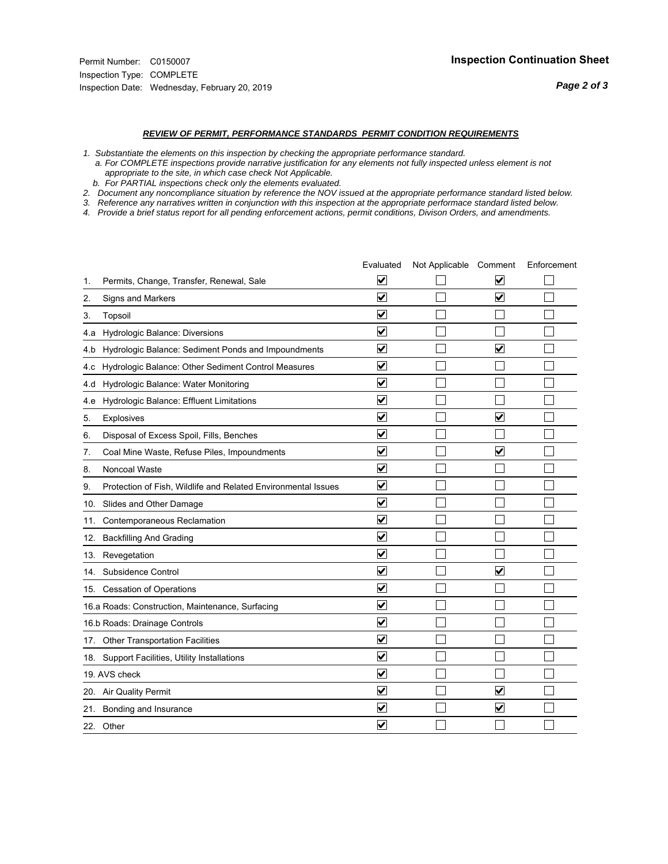#### *REVIEW OF PERMIT, PERFORMANCE STANDARDS PERMIT CONDITION REQUIREMENTS*

*1. Substantiate the elements on this inspection by checking the appropriate performance standard.*

 *a. For COMPLETE inspections provide narrative justification for any elements not fully inspected unless element is not appropriate to the site, in which case check Not Applicable.*

 *b. For PARTIAL inspections check only the elements evaluated.*

*2. Document any noncompliance situation by reference the NOV issued at the appropriate performance standard listed below.*

*3. Reference any narratives written in conjunction with this inspection at the appropriate performace standard listed below.*

|     |                                                               | Evaluated               | Not Applicable Comment |                         | Enforcement |
|-----|---------------------------------------------------------------|-------------------------|------------------------|-------------------------|-------------|
| 1.  | Permits, Change, Transfer, Renewal, Sale                      | $\overline{\mathbf{v}}$ |                        | V                       |             |
| 2.  | Signs and Markers                                             | $\overline{\mathbf{v}}$ |                        | $\blacktriangledown$    |             |
| 3.  | Topsoil                                                       | $\overline{\mathbf{v}}$ |                        |                         |             |
| 4.a | Hydrologic Balance: Diversions                                | $\overline{\mathsf{v}}$ |                        |                         |             |
| 4.b | Hydrologic Balance: Sediment Ponds and Impoundments           | $\blacktriangledown$    |                        | V                       |             |
| 4.c | Hydrologic Balance: Other Sediment Control Measures           | $\overline{\mathbf{v}}$ |                        |                         |             |
| 4.d | Hydrologic Balance: Water Monitoring                          | $\overline{\mathbf{v}}$ |                        |                         |             |
| 4.e | Hydrologic Balance: Effluent Limitations                      | $\overline{\mathbf{v}}$ |                        |                         |             |
| 5.  | <b>Explosives</b>                                             | $\overline{\mathbf{v}}$ |                        | ⊽                       |             |
| 6.  | Disposal of Excess Spoil, Fills, Benches                      | $\blacktriangledown$    |                        |                         |             |
| 7.  | Coal Mine Waste, Refuse Piles, Impoundments                   | $\overline{\mathsf{v}}$ |                        | $\overline{\mathsf{v}}$ |             |
| 8.  | Noncoal Waste                                                 | $\overline{\mathbf{v}}$ |                        |                         |             |
| 9.  | Protection of Fish, Wildlife and Related Environmental Issues | $\overline{\mathbf{v}}$ |                        |                         |             |
|     | 10. Slides and Other Damage                                   | $\overline{\mathbf{v}}$ |                        |                         |             |
| 11. | Contemporaneous Reclamation                                   | ⊽                       |                        |                         |             |
| 12. | <b>Backfilling And Grading</b>                                | $\overline{\mathbf{v}}$ |                        |                         |             |
| 13. | Revegetation                                                  | $\overline{\mathbf{v}}$ |                        |                         |             |
| 14. | Subsidence Control                                            | $\overline{\mathbf{v}}$ |                        | $\overline{\mathbf{v}}$ |             |
|     | 15. Cessation of Operations                                   | $\overline{\mathbf{v}}$ |                        |                         |             |
|     | 16.a Roads: Construction, Maintenance, Surfacing              | $\blacktriangledown$    |                        |                         |             |
|     | 16.b Roads: Drainage Controls                                 | $\overline{\mathbf{v}}$ |                        |                         |             |
|     | 17. Other Transportation Facilities                           | $\overline{\mathbf{v}}$ |                        |                         |             |
| 18. | Support Facilities, Utility Installations                     | $\overline{\mathbf{v}}$ |                        |                         |             |
|     | 19. AVS check                                                 | $\overline{\mathbf{v}}$ |                        |                         |             |
|     | 20. Air Quality Permit                                        | $\checkmark$            |                        | $\blacktriangledown$    |             |
|     | 21. Bonding and Insurance                                     | $\blacktriangledown$    |                        | $\blacktriangledown$    |             |
|     | 22. Other                                                     | $\overline{\mathbf{v}}$ |                        |                         |             |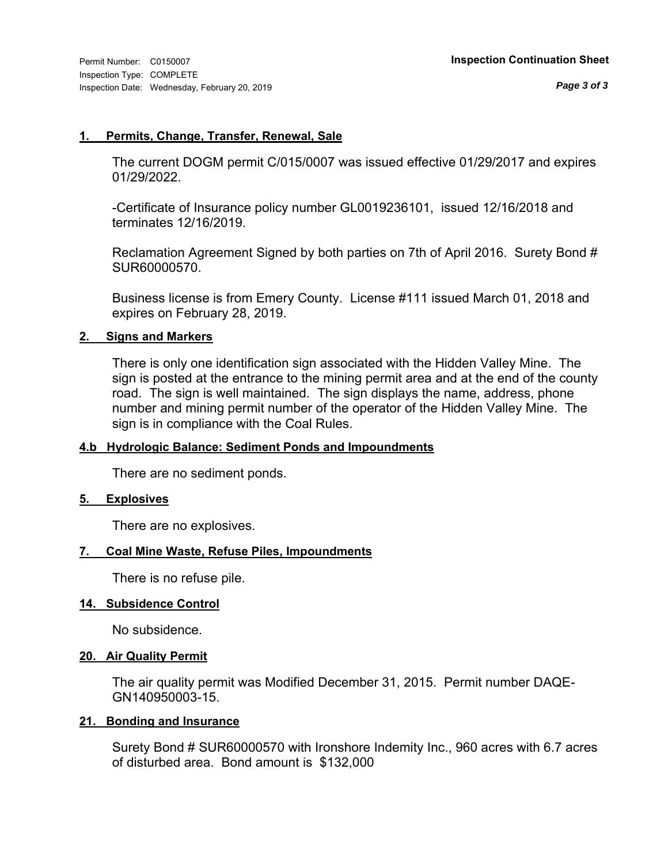#### **1. Permits, Change, Transfer, Renewal, Sale**

The current DOGM permit C/015/0007 was issued effective 01/29/2017 and expires 01/29/2022.

-Certificate of Insurance policy number GL0019236101, issued 12/16/2018 and terminates 12/16/2019.

Reclamation Agreement Signed by both parties on 7th of April 2016. Surety Bond # SUR60000570.

Business license is from Emery County. License #111 issued March 01, 2018 and expires on February 28, 2019.

#### **2. Signs and Markers**

There is only one identification sign associated with the Hidden Valley Mine. The sign is posted at the entrance to the mining permit area and at the end of the county road. The sign is well maintained. The sign displays the name, address, phone number and mining permit number of the operator of the Hidden Valley Mine. The sign is in compliance with the Coal Rules.

### **4.b Hydrologic Balance: Sediment Ponds and Impoundments**

There are no sediment ponds.

#### **5. Explosives**

There are no explosives.

### **7. Coal Mine Waste, Refuse Piles, Impoundments**

There is no refuse pile.

#### **14. Subsidence Control**

No subsidence.

### **20. Air Quality Permit**

The air quality permit was Modified December 31, 2015. Permit number DAQE-GN140950003-15.

#### **21. Bonding and Insurance**

Surety Bond # SUR60000570 with Ironshore Indemity Inc., 960 acres with 6.7 acres of disturbed area. Bond amount is \$132,000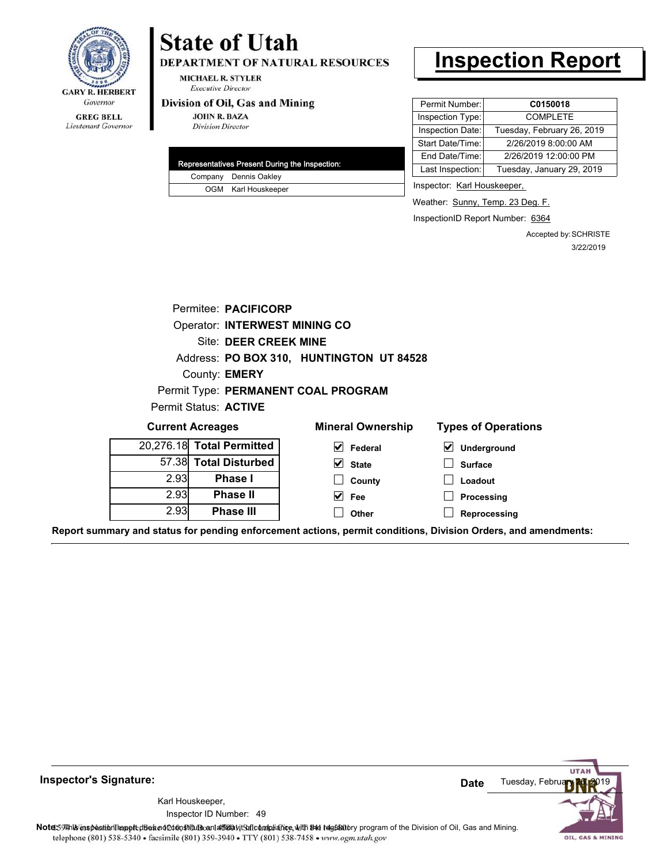

## Lieutenant Governor

# **State of Utah**

DEPARTMENT OF NATURAL RESOURCES

**MICHAEL R. STYLER Executive Director** 

#### Division of Oil, Gas and Mining

**JOHN R. BAZA Division Director** 

| Representatives Present During the Inspection: |
|------------------------------------------------|
| Company Dennis Oakley                          |
| OGM Karl Houskeeper                            |

# **Inspection Report**

| Permit Number:   | C0150018                   |
|------------------|----------------------------|
| Inspection Type: | <b>COMPLETE</b>            |
| Inspection Date: | Tuesday, February 26, 2019 |
| Start Date/Time: | 2/26/2019 8:00:00 AM       |
| End Date/Time:   | 2/26/2019 12:00:00 PM      |
| Last Inspection: | Tuesday, January 29, 2019  |
|                  |                            |

Inspector: Karl Houskeeper,

Weather: Sunny, Temp. 23 Deg. F.

**Processing Reprocessing**

InspectionID Report Number: 6364

Accepted by: SCHRISTE 3/22/2019

|      | Permitee: PACIFICORP                 |                                          |                                            |
|------|--------------------------------------|------------------------------------------|--------------------------------------------|
|      | <b>Operator: INTERWEST MINING CO</b> |                                          |                                            |
|      | Site: DEER CREEK MINE                |                                          |                                            |
|      |                                      | Address: PO BOX 310, HUNTINGTON UT 84528 |                                            |
|      | County: <b>EMERY</b>                 |                                          |                                            |
|      |                                      | Permit Type: PERMANENT COAL PROGRAM      |                                            |
|      | Permit Status: ACTIVE                |                                          |                                            |
|      | <b>Current Acreages</b>              | <b>Mineral Ownership</b>                 | <b>Types of Operations</b>                 |
|      | 20,276.18 Total Permitted            | M<br><b>Federal</b>                      | $\vert\bm{\mathsf{v}}\vert$<br>Underground |
|      | 57.38 Total Disturbed                | <b>State</b><br>M                        | <b>Surface</b>                             |
| 2.93 | <b>Phase I</b>                       | County                                   | Loadout                                    |

| 57.38 Total Disturbed |      |
|-----------------------|------|
| <b>Phase I</b>        | 2.93 |
| <b>Phase II</b>       | 2.93 |
| <b>Phase III</b>      | 2.93 |

**Report summary and status for pending enforcement actions, permit conditions, Division Orders, and amendments:**

**Fee Other**



**Inspector's Signature:**

49 Inspector ID Number:Karl Houskeeper,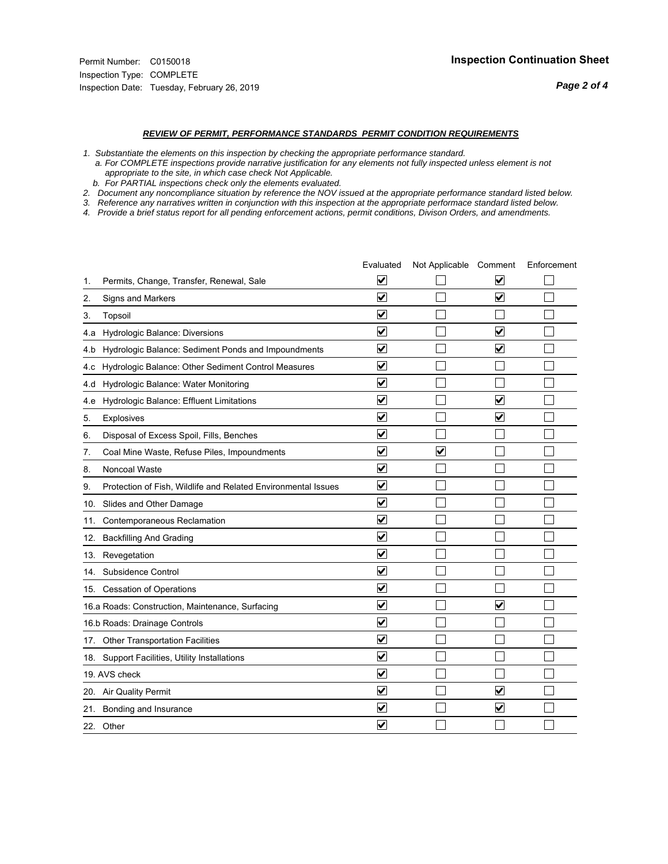#### *REVIEW OF PERMIT, PERFORMANCE STANDARDS PERMIT CONDITION REQUIREMENTS*

*1. Substantiate the elements on this inspection by checking the appropriate performance standard.*

 *a. For COMPLETE inspections provide narrative justification for any elements not fully inspected unless element is not appropriate to the site, in which case check Not Applicable.*

 *b. For PARTIAL inspections check only the elements evaluated.*

*2. Document any noncompliance situation by reference the NOV issued at the appropriate performance standard listed below.*

*3. Reference any narratives written in conjunction with this inspection at the appropriate performace standard listed below.*

|     |                                                               | Evaluated                       | Not Applicable Comment  |                                 | Enforcement |
|-----|---------------------------------------------------------------|---------------------------------|-------------------------|---------------------------------|-------------|
| 1.  | Permits, Change, Transfer, Renewal, Sale                      | V                               |                         | V                               |             |
| 2.  | Signs and Markers                                             | $\overline{\mathbf{v}}$         |                         | $\overline{\blacktriangledown}$ |             |
| 3.  | Topsoil                                                       | $\overline{\mathbf{v}}$         |                         |                                 |             |
| 4.a | Hydrologic Balance: Diversions                                | $\blacktriangledown$            |                         | $\blacktriangledown$            |             |
| 4.b | Hydrologic Balance: Sediment Ponds and Impoundments           | $\blacktriangledown$            |                         | $\blacktriangledown$            |             |
| 4.c | Hydrologic Balance: Other Sediment Control Measures           | $\blacktriangledown$            |                         |                                 |             |
| 4.d | Hydrologic Balance: Water Monitoring                          | $\overline{\mathbf{v}}$         |                         |                                 |             |
| 4.e | Hydrologic Balance: Effluent Limitations                      | ☑                               |                         | $\overline{\mathbf{v}}$         |             |
| 5.  | <b>Explosives</b>                                             | $\blacktriangledown$            |                         | $\blacktriangledown$            |             |
| 6.  | Disposal of Excess Spoil, Fills, Benches                      | $\blacktriangledown$            |                         |                                 |             |
| 7.  | Coal Mine Waste, Refuse Piles, Impoundments                   | $\blacktriangledown$            | $\overline{\mathsf{v}}$ |                                 |             |
| 8.  | Noncoal Waste                                                 | ⊽                               |                         |                                 |             |
| 9.  | Protection of Fish, Wildlife and Related Environmental Issues | ✔                               |                         |                                 |             |
|     | 10. Slides and Other Damage                                   | ☑                               |                         |                                 |             |
| 11. | Contemporaneous Reclamation                                   | ⊻                               |                         |                                 |             |
| 12. | <b>Backfilling And Grading</b>                                | $\overline{\mathbf{v}}$         |                         |                                 |             |
|     | 13. Revegetation                                              | $\overline{\mathbf{v}}$         |                         |                                 |             |
| 14. | Subsidence Control                                            | $\overline{\mathbf{v}}$         |                         |                                 |             |
|     | 15. Cessation of Operations                                   | ☑                               |                         |                                 |             |
|     | 16.a Roads: Construction, Maintenance, Surfacing              | ☑                               |                         | $\overline{\mathbf{v}}$         |             |
|     | 16.b Roads: Drainage Controls                                 | $\blacktriangledown$            |                         |                                 |             |
|     | 17. Other Transportation Facilities                           | $\overline{\mathbf{v}}$         |                         |                                 |             |
|     | 18. Support Facilities, Utility Installations                 | $\overline{\blacktriangledown}$ |                         |                                 |             |
|     | 19. AVS check                                                 | $\blacktriangledown$            |                         |                                 |             |
|     | 20. Air Quality Permit                                        | $\blacktriangledown$            |                         | $\overline{\mathbf{v}}$         |             |
|     | 21. Bonding and Insurance                                     | V                               |                         | $\blacktriangledown$            |             |
|     | 22. Other                                                     | $\blacktriangledown$            |                         |                                 |             |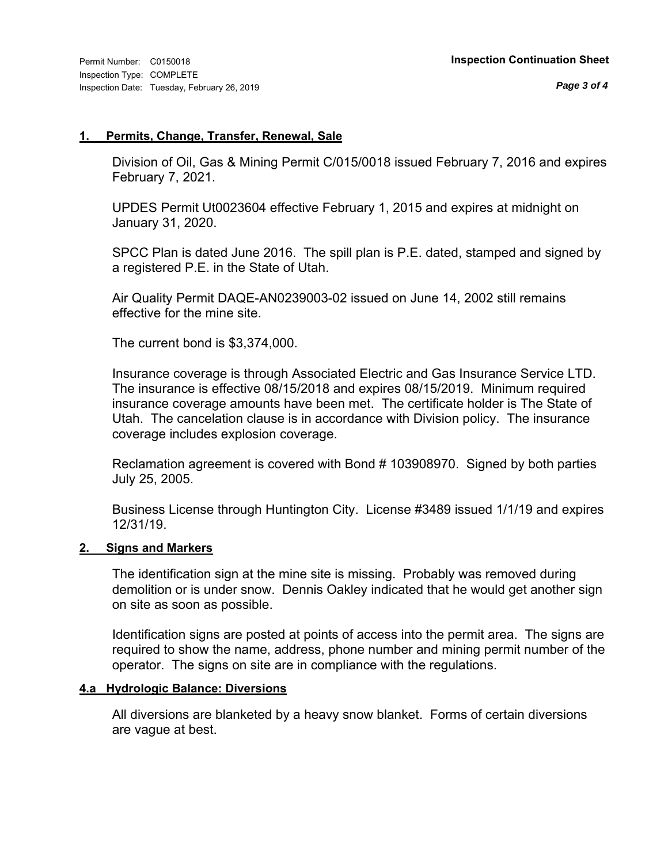#### **1. Permits, Change, Transfer, Renewal, Sale**

Division of Oil, Gas & Mining Permit C/015/0018 issued February 7, 2016 and expires February 7, 2021.

UPDES Permit Ut0023604 effective February 1, 2015 and expires at midnight on January 31, 2020.

SPCC Plan is dated June 2016. The spill plan is P.E. dated, stamped and signed by a registered P.E. in the State of Utah.

Air Quality Permit DAQE-AN0239003-02 issued on June 14, 2002 still remains effective for the mine site.

The current bond is \$3,374,000.

Insurance coverage is through Associated Electric and Gas Insurance Service LTD. The insurance is effective 08/15/2018 and expires 08/15/2019. Minimum required insurance coverage amounts have been met. The certificate holder is The State of Utah. The cancelation clause is in accordance with Division policy. The insurance coverage includes explosion coverage.

Reclamation agreement is covered with Bond # 103908970. Signed by both parties July 25, 2005.

Business License through Huntington City. License #3489 issued 1/1/19 and expires 12/31/19.

### **2. Signs and Markers**

The identification sign at the mine site is missing. Probably was removed during demolition or is under snow. Dennis Oakley indicated that he would get another sign on site as soon as possible.

Identification signs are posted at points of access into the permit area. The signs are required to show the name, address, phone number and mining permit number of the operator. The signs on site are in compliance with the regulations.

### **4.a Hydrologic Balance: Diversions**

All diversions are blanketed by a heavy snow blanket. Forms of certain diversions are vague at best.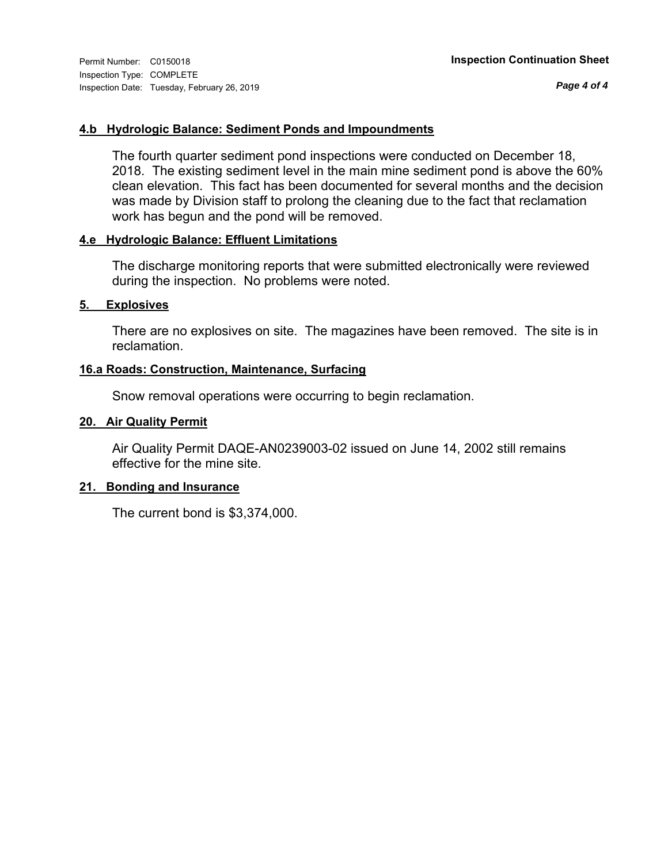*Page 4 of 4*

### **4.b Hydrologic Balance: Sediment Ponds and Impoundments**

The fourth quarter sediment pond inspections were conducted on December 18, 2018. The existing sediment level in the main mine sediment pond is above the 60% clean elevation. This fact has been documented for several months and the decision was made by Division staff to prolong the cleaning due to the fact that reclamation work has begun and the pond will be removed.

### **4.e Hydrologic Balance: Effluent Limitations**

The discharge monitoring reports that were submitted electronically were reviewed during the inspection. No problems were noted.

#### **5. Explosives**

There are no explosives on site. The magazines have been removed. The site is in reclamation.

#### **16.a Roads: Construction, Maintenance, Surfacing**

Snow removal operations were occurring to begin reclamation.

#### **20. Air Quality Permit**

Air Quality Permit DAQE-AN0239003-02 issued on June 14, 2002 still remains effective for the mine site.

#### **21. Bonding and Insurance**

The current bond is \$3,374,000.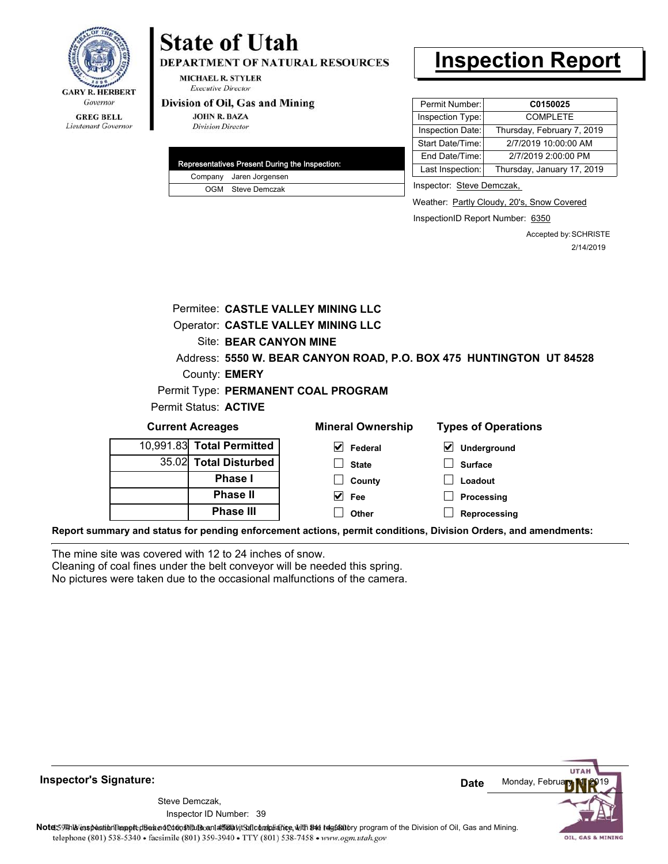

#### **GREG BELL** Lieutenant Governor

# **State of Utah**

**DEPARTMENT OF NATURAL RESOURCES** 

**MICHAEL R. STYLER Executive Director** 

#### Division of Oil, Gas and Mining

**JOHN R. BAZA Division Director** 

|  | Representatives Present During the Inspection: |
|--|------------------------------------------------|
|  | Company Jaren Jorgensen                        |
|  | OGM Steve Demczak                              |

# **Inspection Report**

| Permit Number:   | C0150025                   |
|------------------|----------------------------|
| Inspection Type: | <b>COMPLETE</b>            |
| Inspection Date: | Thursday, February 7, 2019 |
| Start Date/Time: | 2/7/2019 10:00:00 AM       |
| End Date/Time:   | 2/7/2019 2:00:00 PM        |
| Last Inspection: | Thursday, January 17, 2019 |
|                  |                            |

Inspector: Steve Demczak,

Weather: Partly Cloudy, 20's, Snow Covered

InspectionID Report Number: 6350

Accepted by: SCHRISTE 2/14/2019

|       |                           | Permitee: CASTLE VALLEY MINING LLC        |                                                                     |  |  |
|-------|---------------------------|-------------------------------------------|---------------------------------------------------------------------|--|--|
|       |                           | <b>Operator: CASTLE VALLEY MINING LLC</b> |                                                                     |  |  |
|       | Site: BEAR CANYON MINE    |                                           |                                                                     |  |  |
|       |                           |                                           | Address: 5550 W. BEAR CANYON ROAD, P.O. BOX 475 HUNTINGTON UT 84528 |  |  |
|       | County: <b>EMERY</b>      |                                           |                                                                     |  |  |
|       |                           | Permit Type: PERMANENT COAL PROGRAM       |                                                                     |  |  |
|       | Permit Status: ACTIVE     |                                           |                                                                     |  |  |
|       | <b>Current Acreages</b>   | <b>Mineral Ownership</b>                  | <b>Types of Operations</b>                                          |  |  |
|       | 10,991.83 Total Permitted | M<br>Federal                              | $\boldsymbol{\mathsf{v}}$<br>Underground                            |  |  |
| 35.02 | <b>Total Disturbed</b>    | <b>State</b>                              | <b>Surface</b>                                                      |  |  |
|       | <b>Phase I</b>            | County                                    | Loadout                                                             |  |  |
|       | <b>Phase II</b>           | V<br>Fee                                  | Processing                                                          |  |  |
|       | <b>Phase III</b>          | Other                                     | Reprocessing                                                        |  |  |

**Report summary and status for pending enforcement actions, permit conditions, Division Orders, and amendments:**

The mine site was covered with 12 to 24 inches of snow.

Cleaning of coal fines under the belt conveyor will be needed this spring.

No pictures were taken due to the occasional malfunctions of the camera.

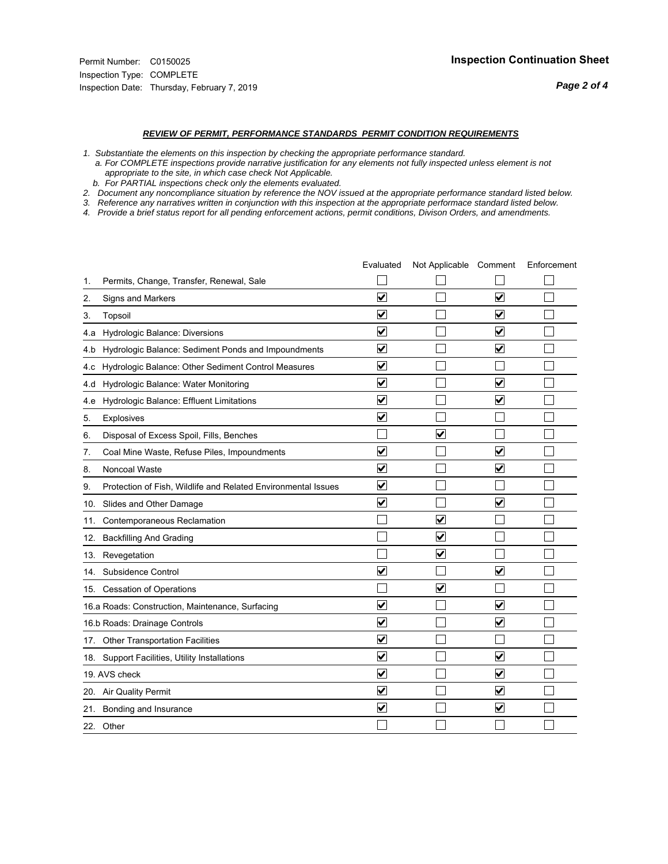#### *REVIEW OF PERMIT, PERFORMANCE STANDARDS PERMIT CONDITION REQUIREMENTS*

*1. Substantiate the elements on this inspection by checking the appropriate performance standard.*

 *a. For COMPLETE inspections provide narrative justification for any elements not fully inspected unless element is not appropriate to the site, in which case check Not Applicable.*

 *b. For PARTIAL inspections check only the elements evaluated.*

*2. Document any noncompliance situation by reference the NOV issued at the appropriate performance standard listed below.*

*3. Reference any narratives written in conjunction with this inspection at the appropriate performace standard listed below.*

|     |                                                               | Evaluated               | Not Applicable Comment  |                         | Enforcement |
|-----|---------------------------------------------------------------|-------------------------|-------------------------|-------------------------|-------------|
| 1.  | Permits, Change, Transfer, Renewal, Sale                      |                         |                         |                         |             |
| 2.  | <b>Signs and Markers</b>                                      | $\overline{\mathsf{v}}$ |                         | $\overline{\mathbf{v}}$ |             |
| 3.  | Topsoil                                                       | $\overline{\mathbf{v}}$ |                         | $\overline{\mathbf{v}}$ |             |
| 4.a | Hydrologic Balance: Diversions                                | ⊽                       |                         | $\overline{\mathbf{v}}$ |             |
| 4.b | Hydrologic Balance: Sediment Ponds and Impoundments           | $\blacktriangledown$    |                         | $\blacktriangledown$    |             |
| 4.C | Hydrologic Balance: Other Sediment Control Measures           | $\overline{\mathbf{v}}$ |                         |                         |             |
| 4.d | Hydrologic Balance: Water Monitoring                          | $\overline{\mathsf{v}}$ |                         | $\overline{\mathsf{v}}$ |             |
| 4.e | Hydrologic Balance: Effluent Limitations                      | $\overline{\mathbf{v}}$ |                         | $\overline{\mathbf{v}}$ |             |
| 5.  | Explosives                                                    | $\overline{\mathbf{v}}$ |                         |                         |             |
| 6.  | Disposal of Excess Spoil, Fills, Benches                      |                         | ⊻                       |                         |             |
| 7.  | Coal Mine Waste, Refuse Piles, Impoundments                   | $\overline{\mathbf{v}}$ |                         | $\overline{\mathbf{v}}$ |             |
| 8.  | Noncoal Waste                                                 | $\overline{\mathbf{v}}$ |                         | $\overline{\mathbf{v}}$ |             |
| 9.  | Protection of Fish, Wildlife and Related Environmental Issues | $\overline{\mathsf{v}}$ |                         |                         |             |
|     | 10. Slides and Other Damage                                   | ⊽                       |                         | $\overline{\mathbf{v}}$ |             |
| 11. | Contemporaneous Reclamation                                   |                         | ⊻                       |                         |             |
| 12. | <b>Backfilling And Grading</b>                                |                         | $\blacktriangledown$    |                         |             |
|     | 13. Revegetation                                              |                         | $\overline{\mathbf{v}}$ |                         |             |
|     | 14. Subsidence Control                                        | ☑                       |                         | $\overline{\mathbf{v}}$ |             |
|     | 15. Cessation of Operations                                   |                         | ☑                       |                         |             |
|     | 16.a Roads: Construction, Maintenance, Surfacing              | V                       |                         | $\overline{\mathbf{v}}$ |             |
|     | 16.b Roads: Drainage Controls                                 | $\overline{\mathbf{v}}$ |                         | $\blacktriangledown$    |             |
|     | 17. Other Transportation Facilities                           | $\overline{\mathbf{v}}$ |                         |                         |             |
|     | 18. Support Facilities, Utility Installations                 | $\overline{\mathsf{v}}$ |                         | $\overline{\mathbf{v}}$ |             |
|     | 19. AVS check                                                 | $\overline{\mathsf{v}}$ |                         | $\overline{\mathbf{v}}$ |             |
|     | 20. Air Quality Permit                                        | $\overline{\mathsf{v}}$ |                         | $\blacktriangledown$    |             |
|     | 21. Bonding and Insurance                                     | ⊻                       |                         | $\blacktriangledown$    |             |
|     | 22. Other                                                     |                         |                         |                         |             |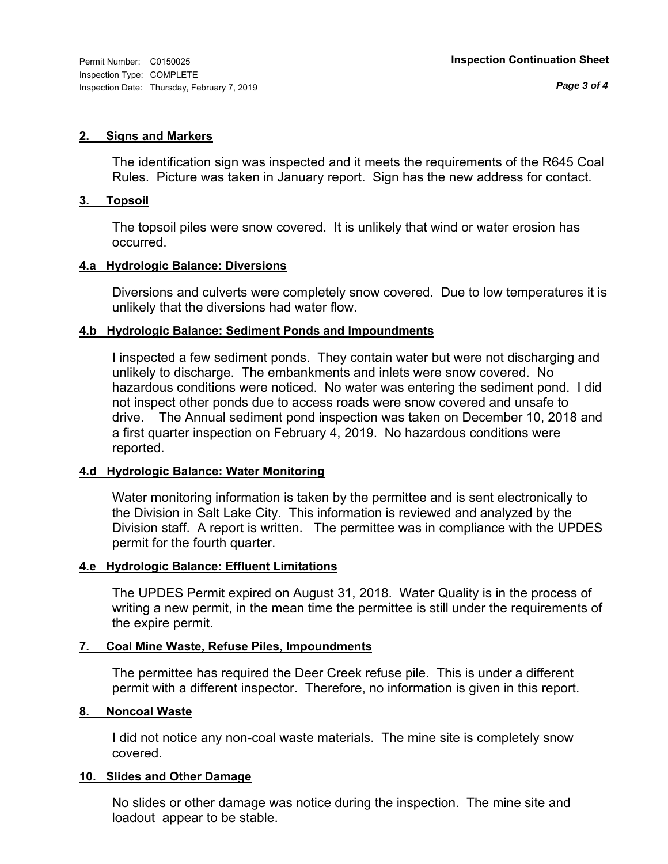#### **2. Signs and Markers**

The identification sign was inspected and it meets the requirements of the R645 Coal Rules. Picture was taken in January report. Sign has the new address for contact.

#### **3. Topsoil**

The topsoil piles were snow covered. It is unlikely that wind or water erosion has occurred.

#### **4.a Hydrologic Balance: Diversions**

Diversions and culverts were completely snow covered. Due to low temperatures it is unlikely that the diversions had water flow.

#### **4.b Hydrologic Balance: Sediment Ponds and Impoundments**

I inspected a few sediment ponds. They contain water but were not discharging and unlikely to discharge. The embankments and inlets were snow covered. No hazardous conditions were noticed. No water was entering the sediment pond. I did not inspect other ponds due to access roads were snow covered and unsafe to drive. The Annual sediment pond inspection was taken on December 10, 2018 and a first quarter inspection on February 4, 2019. No hazardous conditions were reported.

#### **4.d Hydrologic Balance: Water Monitoring**

Water monitoring information is taken by the permittee and is sent electronically to the Division in Salt Lake City. This information is reviewed and analyzed by the Division staff. A report is written. The permittee was in compliance with the UPDES permit for the fourth quarter.

#### **4.e Hydrologic Balance: Effluent Limitations**

The UPDES Permit expired on August 31, 2018. Water Quality is in the process of writing a new permit, in the mean time the permittee is still under the requirements of the expire permit.

#### **7. Coal Mine Waste, Refuse Piles, Impoundments**

The permittee has required the Deer Creek refuse pile. This is under a different permit with a different inspector. Therefore, no information is given in this report.

#### **8. Noncoal Waste**

I did not notice any non-coal waste materials. The mine site is completely snow covered.

#### **10. Slides and Other Damage**

No slides or other damage was notice during the inspection. The mine site and loadout appear to be stable.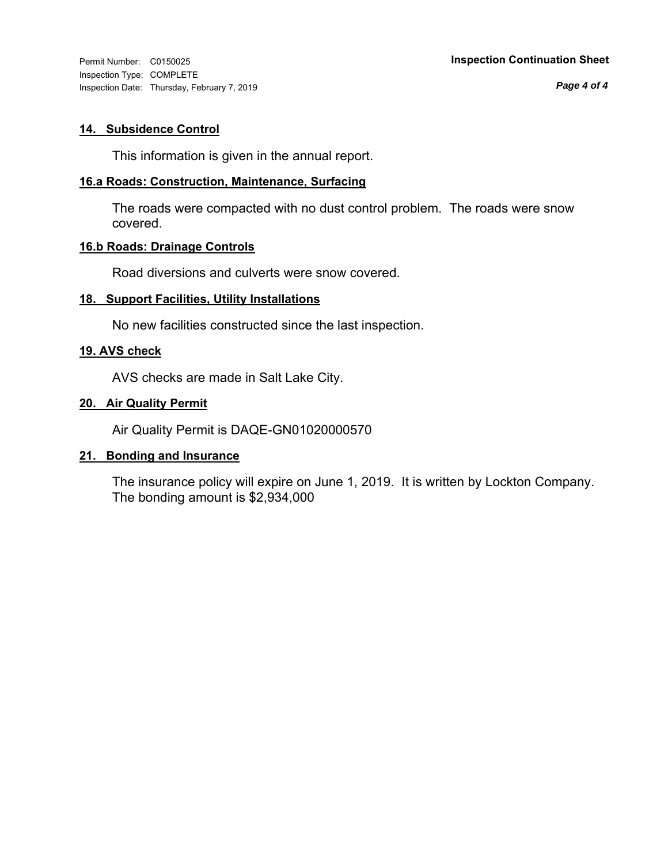Inspection Type: COMPLETE Inspection Date: Thursday, February 7, 2019

*Page 4 of 4*

### **14. Subsidence Control**

This information is given in the annual report.

#### **16.a Roads: Construction, Maintenance, Surfacing**

The roads were compacted with no dust control problem. The roads were snow covered.

### **16.b Roads: Drainage Controls**

Road diversions and culverts were snow covered.

#### **18. Support Facilities, Utility Installations**

No new facilities constructed since the last inspection.

#### **19. AVS check**

AVS checks are made in Salt Lake City.

#### **20. Air Quality Permit**

Air Quality Permit is DAQE-GN01020000570

### **21. Bonding and Insurance**

The insurance policy will expire on June 1, 2019. It is written by Lockton Company. The bonding amount is \$2,934,000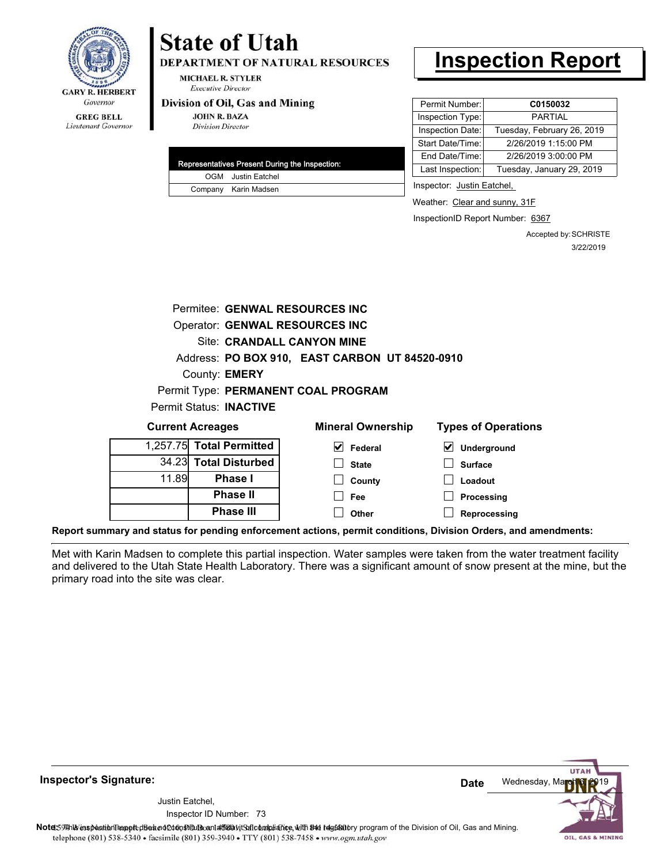

# **State of Utah**

**DEPARTMENT OF NATURAL RESOURCES** 

**MICHAEL R. STYLER Executive Director** 

#### Division of Oil, Gas and Mining

**JOHN R. BAZA Division Director** 

| Representatives Present During the Inspection: |
|------------------------------------------------|
| <b>OGM</b> Justin Eatchel                      |
| Company Karin Madsen                           |

# **Inspection Report**

| Permit Number:   | C0150032                   |
|------------------|----------------------------|
| Inspection Type: | PARTIAI                    |
| Inspection Date: | Tuesday, February 26, 2019 |
| Start Date/Time: | 2/26/2019 1:15:00 PM       |
| End Date/Time:   | 2/26/2019 3:00:00 PM       |
| Last Inspection: | Tuesday, January 29, 2019  |

Inspector: Justin Eatchel,

Weather: Clear and sunny, 31F

InspectionID Report Number: 6367

**Reprocessing**

Accepted by: SCHRISTE 3/22/2019

| Permitee: GENWAL RESOURCES INC        |                                |                                                |                                            |  |  |
|---------------------------------------|--------------------------------|------------------------------------------------|--------------------------------------------|--|--|
| <b>Operator: GENWAL RESOURCES INC</b> |                                |                                                |                                            |  |  |
|                                       |                                | Site: CRANDALL CANYON MINE                     |                                            |  |  |
|                                       |                                | Address: PO BOX 910, EAST CARBON UT 84520-0910 |                                            |  |  |
|                                       | County: <b>EMERY</b>           |                                                |                                            |  |  |
|                                       |                                | Permit Type: PERMANENT COAL PROGRAM            |                                            |  |  |
|                                       | <b>Permit Status: INACTIVE</b> |                                                |                                            |  |  |
|                                       | <b>Current Acreages</b>        | <b>Mineral Ownership</b>                       | <b>Types of Operations</b>                 |  |  |
| 1.257.75                              | <b>Total Permitted</b>         | $\vert \mathbf{V} \vert$ Federal               | $\vert\bm{\mathsf{v}}\vert$<br>Underground |  |  |
| 34.23                                 | <b>Total Disturbed</b>         | <b>State</b>                                   | <b>Surface</b>                             |  |  |
| 11.89                                 | <b>Phase I</b>                 | County                                         | Loadout                                    |  |  |
|                                       | <b>Phase II</b>                | Fee                                            | Processing                                 |  |  |
|                                       | <b>Phase III</b>               | Other                                          | Reprocessing                               |  |  |

**Report summary and status for pending enforcement actions, permit conditions, Division Orders, and amendments:**

Met with Karin Madsen to complete this partial inspection. Water samples were taken from the water treatment facility and delivered to the Utah State Health Laboratory. There was a significant amount of snow present at the mine, but the primary road into the site was clear.

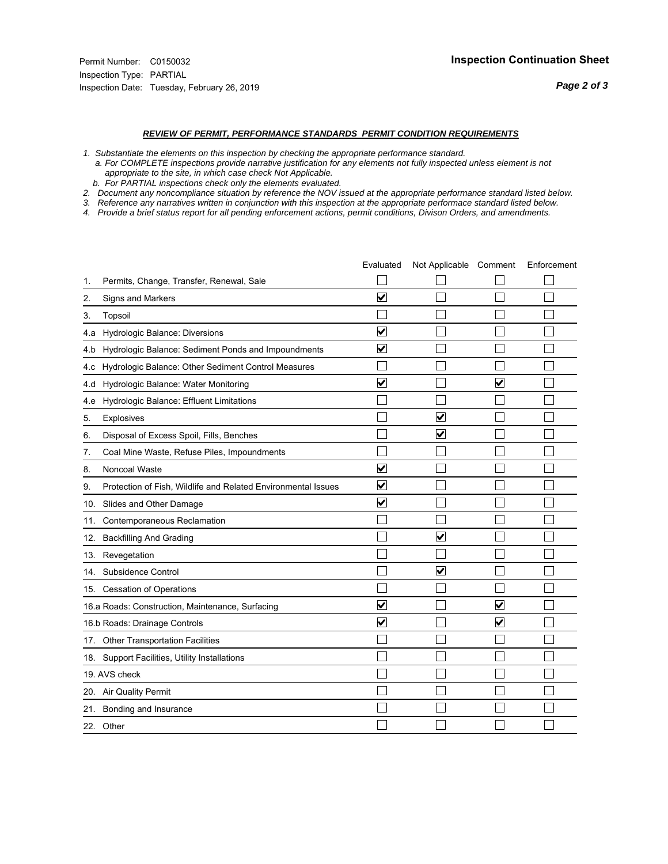#### *REVIEW OF PERMIT, PERFORMANCE STANDARDS PERMIT CONDITION REQUIREMENTS*

- *1. Substantiate the elements on this inspection by checking the appropriate performance standard.*
- *a. For COMPLETE inspections provide narrative justification for any elements not fully inspected unless element is not appropriate to the site, in which case check Not Applicable.*
- *b. For PARTIAL inspections check only the elements evaluated.*
- *2. Document any noncompliance situation by reference the NOV issued at the appropriate performance standard listed below.*
- *3. Reference any narratives written in conjunction with this inspection at the appropriate performace standard listed below.*
- *4. Provide a brief status report for all pending enforcement actions, permit conditions, Divison Orders, and amendments.*

|     |                                                               | Evaluated               | Not Applicable Comment  |                         | Enforcement |
|-----|---------------------------------------------------------------|-------------------------|-------------------------|-------------------------|-------------|
| 1.  | Permits, Change, Transfer, Renewal, Sale                      |                         |                         |                         |             |
| 2.  | Signs and Markers                                             | $\overline{\mathbf{v}}$ |                         |                         |             |
| 3.  | Topsoil                                                       |                         |                         |                         |             |
| 4.a | Hydrologic Balance: Diversions                                | $\blacktriangledown$    |                         |                         |             |
| 4.b | Hydrologic Balance: Sediment Ponds and Impoundments           | ⊻                       |                         |                         |             |
| 4.c | Hydrologic Balance: Other Sediment Control Measures           |                         |                         |                         |             |
| 4.d | Hydrologic Balance: Water Monitoring                          | $\overline{\mathbf{v}}$ |                         | $\overline{\mathbf{v}}$ |             |
| 4.e | Hydrologic Balance: Effluent Limitations                      |                         |                         |                         |             |
| 5.  | <b>Explosives</b>                                             |                         | $\overline{\mathsf{v}}$ |                         |             |
| 6.  | Disposal of Excess Spoil, Fills, Benches                      |                         | $\bm{\mathsf{v}}$       |                         |             |
| 7.  | Coal Mine Waste, Refuse Piles, Impoundments                   |                         |                         |                         |             |
| 8.  | Noncoal Waste                                                 | $\overline{\mathsf{v}}$ |                         |                         |             |
| 9.  | Protection of Fish, Wildlife and Related Environmental Issues | $\overline{\mathbf{v}}$ |                         |                         |             |
|     | 10. Slides and Other Damage                                   | $\overline{\mathbf{v}}$ |                         |                         |             |
| 11. | Contemporaneous Reclamation                                   |                         |                         |                         |             |
| 12. | <b>Backfilling And Grading</b>                                |                         | $\blacktriangledown$    |                         |             |
|     | 13. Revegetation                                              |                         |                         |                         |             |
| 14. | Subsidence Control                                            |                         | ✓                       |                         |             |
|     | 15. Cessation of Operations                                   |                         |                         |                         |             |
|     | 16.a Roads: Construction, Maintenance, Surfacing              | $\blacktriangledown$    |                         | $\blacktriangledown$    |             |
|     | 16.b Roads: Drainage Controls                                 | $\overline{\mathbf{v}}$ |                         | $\blacktriangledown$    |             |
| 17. | <b>Other Transportation Facilities</b>                        |                         |                         |                         |             |
| 18. | Support Facilities, Utility Installations                     |                         |                         |                         |             |
|     | 19. AVS check                                                 |                         |                         |                         |             |
|     | 20. Air Quality Permit                                        |                         |                         |                         |             |
| 21. | Bonding and Insurance                                         |                         |                         |                         |             |
|     | 22. Other                                                     |                         |                         |                         |             |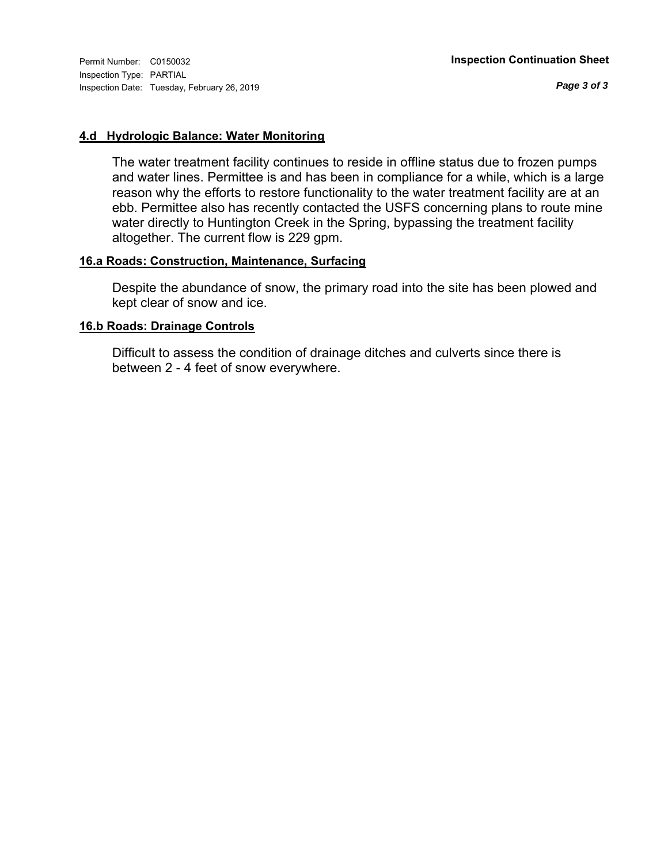Inspection Type: PARTIAL Inspection Date: Tuesday, February 26, 2019

*Page 3 of 3*

#### **4.d Hydrologic Balance: Water Monitoring**

The water treatment facility continues to reside in offline status due to frozen pumps and water lines. Permittee is and has been in compliance for a while, which is a large reason why the efforts to restore functionality to the water treatment facility are at an ebb. Permittee also has recently contacted the USFS concerning plans to route mine water directly to Huntington Creek in the Spring, bypassing the treatment facility altogether. The current flow is 229 gpm.

### **16.a Roads: Construction, Maintenance, Surfacing**

Despite the abundance of snow, the primary road into the site has been plowed and kept clear of snow and ice.

#### **16.b Roads: Drainage Controls**

Difficult to assess the condition of drainage ditches and culverts since there is between 2 - 4 feet of snow everywhere.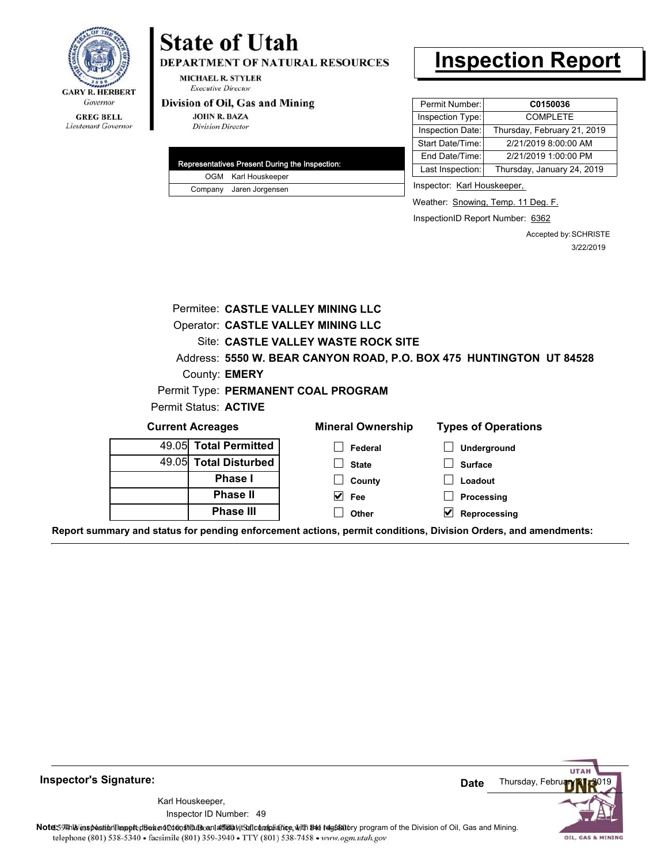

#### **GREG BELL** Lieutenant Governor

# **State of Utah**

DEPARTMENT OF NATURAL RESOURCES

**MICHAEL R. STYLER Executive Director** 

#### Division of Oil, Gas and Mining

**JOHN R. BAZA Division Director** 

| Representatives Present During the Inspection: |
|------------------------------------------------|
| OGM Karl Houskeeper                            |
| Company Jaren Jorgensen                        |

# **Inspection Report**

| Permit Number:   | C0150036                    |
|------------------|-----------------------------|
| Inspection Type: | <b>COMPLETE</b>             |
| Inspection Date: | Thursday, February 21, 2019 |
| Start Date/Time: | 2/21/2019 8:00:00 AM        |
| End Date/Time:   | 2/21/2019 1:00:00 PM        |
| Last Inspection: | Thursday, January 24, 2019  |
|                  |                             |

Inspector: Karl Houskeeper,

Weather: Snowing, Temp. 11 Deg. F.

InspectionID Report Number: 6362

Accepted by: SCHRISTE 3/22/2019

|                         | Permitee: CASTLE VALLEY MINING LLC        |                                                                     |
|-------------------------|-------------------------------------------|---------------------------------------------------------------------|
|                         | <b>Operator: CASTLE VALLEY MINING LLC</b> |                                                                     |
|                         | Site: CASTLE VALLEY WASTE ROCK SITE       |                                                                     |
|                         |                                           | Address: 5550 W. BEAR CANYON ROAD, P.O. BOX 475 HUNTINGTON UT 84528 |
| County: <b>EMERY</b>    |                                           |                                                                     |
|                         | Permit Type: PERMANENT COAL PROGRAM       |                                                                     |
| Permit Status: ACTIVE   |                                           |                                                                     |
| <b>Current Acreages</b> | <b>Mineral Ownership</b>                  | <b>Types of Operations</b>                                          |
| 49.05 Total Permitted   | Federal                                   | Underground                                                         |
| 49.05 Total Disturbed   | <b>State</b>                              | <b>Surface</b>                                                      |
| Phase I                 | County                                    | Loadout                                                             |
| <b>Phase II</b>         | V<br>Fee                                  | Processing                                                          |
| <b>Phase III</b>        | Other                                     | Reprocessing                                                        |

**Report summary and status for pending enforcement actions, permit conditions, Division Orders, and amendments:**



49 Inspector ID Number:Karl Houskeeper,

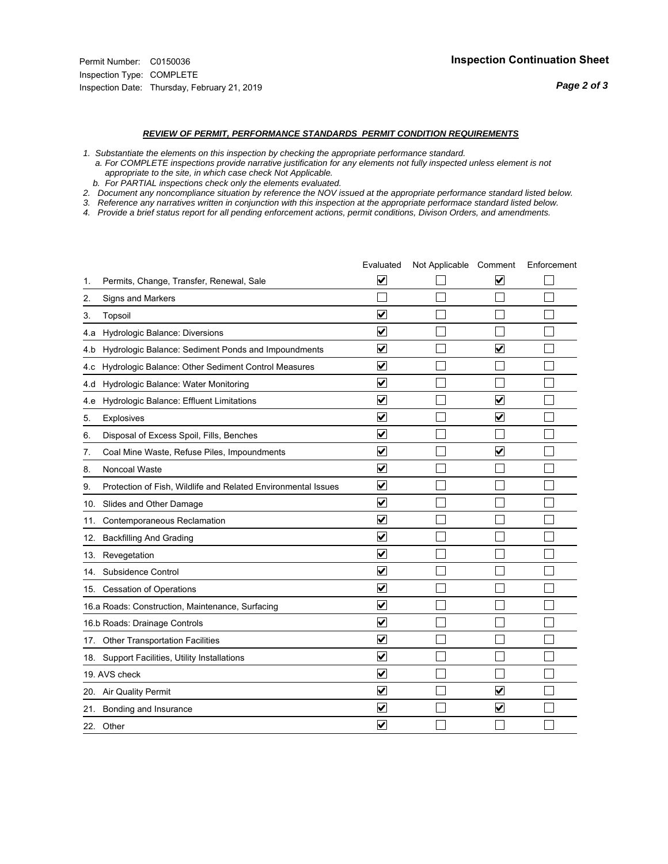#### *REVIEW OF PERMIT, PERFORMANCE STANDARDS PERMIT CONDITION REQUIREMENTS*

*1. Substantiate the elements on this inspection by checking the appropriate performance standard.*

 *a. For COMPLETE inspections provide narrative justification for any elements not fully inspected unless element is not appropriate to the site, in which case check Not Applicable.*

 *b. For PARTIAL inspections check only the elements evaluated.*

*2. Document any noncompliance situation by reference the NOV issued at the appropriate performance standard listed below.*

*3. Reference any narratives written in conjunction with this inspection at the appropriate performace standard listed below.*

|     |                                                               | Evaluated                       | Not Applicable Comment |                         | Enforcement |
|-----|---------------------------------------------------------------|---------------------------------|------------------------|-------------------------|-------------|
| 1.  | Permits, Change, Transfer, Renewal, Sale                      | $\overline{\blacktriangledown}$ |                        | V                       |             |
| 2.  | Signs and Markers                                             |                                 |                        |                         |             |
| 3.  | Topsoil                                                       | $\overline{\mathbf{v}}$         |                        |                         |             |
| 4.a | Hydrologic Balance: Diversions                                | $\blacktriangledown$            |                        |                         |             |
| 4.b | Hydrologic Balance: Sediment Ponds and Impoundments           | $\blacktriangledown$            |                        | V                       |             |
| 4.c | Hydrologic Balance: Other Sediment Control Measures           | $\overline{\mathbf{v}}$         |                        |                         |             |
| 4.d | Hydrologic Balance: Water Monitoring                          | $\overline{\mathbf{v}}$         |                        |                         |             |
| 4.e | Hydrologic Balance: Effluent Limitations                      | $\overline{\mathbf{v}}$         |                        | $\overline{\mathbf{v}}$ |             |
| 5.  | <b>Explosives</b>                                             | $\overline{\mathbf{v}}$         |                        | ⊽                       |             |
| 6.  | Disposal of Excess Spoil, Fills, Benches                      | $\blacktriangledown$            |                        |                         |             |
| 7.  | Coal Mine Waste, Refuse Piles, Impoundments                   | $\overline{\mathsf{v}}$         |                        | $\overline{\mathsf{v}}$ |             |
| 8.  | Noncoal Waste                                                 | $\overline{\mathbf{v}}$         |                        |                         |             |
| 9.  | Protection of Fish, Wildlife and Related Environmental Issues | $\overline{\mathbf{v}}$         |                        |                         |             |
|     | 10. Slides and Other Damage                                   | $\overline{\mathbf{v}}$         |                        |                         |             |
| 11. | Contemporaneous Reclamation                                   | ⊽                               |                        |                         |             |
| 12. | <b>Backfilling And Grading</b>                                | $\overline{\mathbf{v}}$         |                        |                         |             |
| 13. | Revegetation                                                  | $\overline{\mathbf{v}}$         |                        |                         |             |
| 14. | Subsidence Control                                            | $\overline{\mathbf{v}}$         |                        |                         |             |
|     | 15. Cessation of Operations                                   | $\overline{\mathbf{v}}$         |                        |                         |             |
|     | 16.a Roads: Construction, Maintenance, Surfacing              | $\blacktriangledown$            |                        |                         |             |
|     | 16.b Roads: Drainage Controls                                 | $\overline{\mathbf{v}}$         |                        |                         |             |
|     | 17. Other Transportation Facilities                           | $\overline{\mathbf{v}}$         |                        |                         |             |
| 18. | Support Facilities, Utility Installations                     | $\overline{\mathbf{v}}$         |                        |                         |             |
|     | 19. AVS check                                                 | $\overline{\mathbf{v}}$         |                        |                         |             |
|     | 20. Air Quality Permit                                        | $\checkmark$                    |                        | $\blacktriangledown$    |             |
| 21. | Bonding and Insurance                                         | $\blacktriangledown$            |                        | $\blacktriangledown$    |             |
|     | 22. Other                                                     | $\overline{\mathbf{v}}$         |                        |                         |             |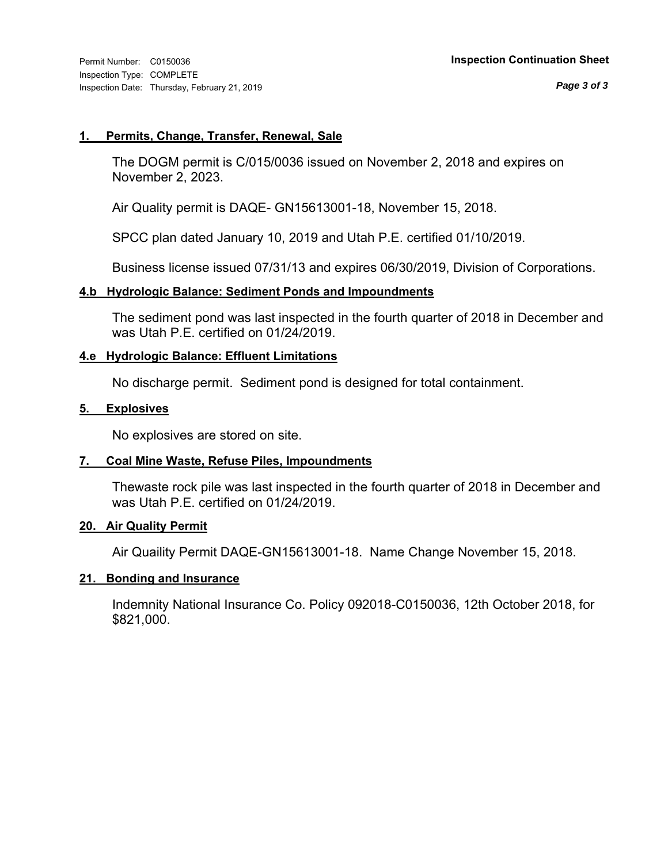#### **1. Permits, Change, Transfer, Renewal, Sale**

The DOGM permit is C/015/0036 issued on November 2, 2018 and expires on November 2, 2023.

Air Quality permit is DAQE- GN15613001-18, November 15, 2018.

SPCC plan dated January 10, 2019 and Utah P.E. certified 01/10/2019.

Business license issued 07/31/13 and expires 06/30/2019, Division of Corporations.

### **4.b Hydrologic Balance: Sediment Ponds and Impoundments**

The sediment pond was last inspected in the fourth quarter of 2018 in December and was Utah P.E. certified on 01/24/2019.

### **4.e Hydrologic Balance: Effluent Limitations**

No discharge permit. Sediment pond is designed for total containment.

#### **5. Explosives**

No explosives are stored on site.

### **7. Coal Mine Waste, Refuse Piles, Impoundments**

Thewaste rock pile was last inspected in the fourth quarter of 2018 in December and was Utah P.E. certified on 01/24/2019.

### **20. Air Quality Permit**

Air Quaility Permit DAQE-GN15613001-18. Name Change November 15, 2018.

#### **21. Bonding and Insurance**

Indemnity National Insurance Co. Policy 092018-C0150036, 12th October 2018, for \$821,000.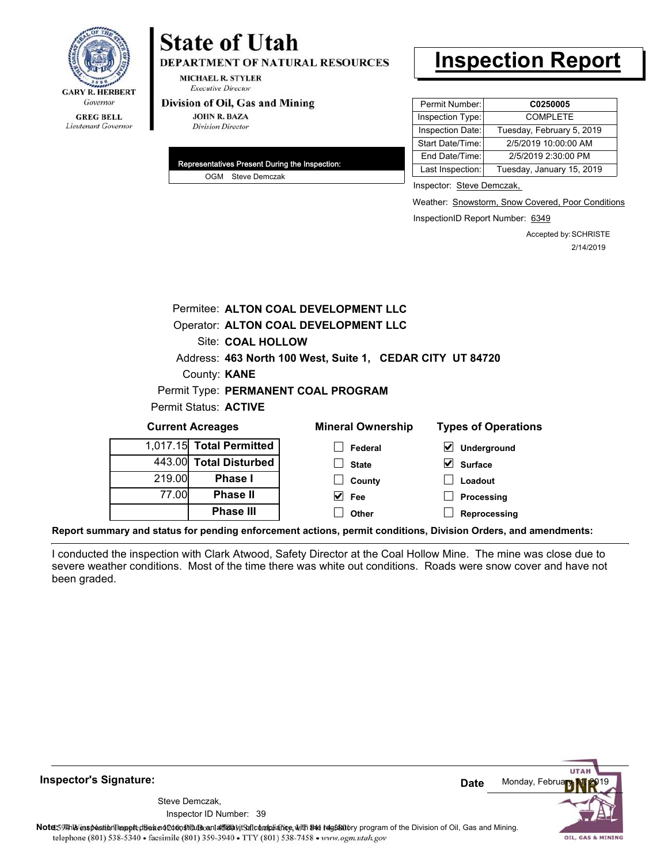

# **State of Utah**

**DEPARTMENT OF NATURAL RESOURCES** 

**MICHAEL R. STYLER Executive Director** 

#### Division of Oil, Gas and Mining

**JOHN R. BAZA Division Director** 

| Representatives Present During the Inspection: |
|------------------------------------------------|
| OGM Steve Demczak                              |

# **Inspection Report**

| Permit Number:   | C0250005                  |
|------------------|---------------------------|
| Inspection Type: | <b>COMPLETE</b>           |
| Inspection Date: | Tuesday, February 5, 2019 |
| Start Date/Time: | 2/5/2019 10:00:00 AM      |
| End Date/Time:   | 2/5/2019 2:30:00 PM       |
| Last Inspection: | Tuesday, January 15, 2019 |

Inspector: Steve Demczak,

Weather: Snowstorm, Snow Covered, Poor Conditions

InspectionID Report Number: 6349

Accepted by: SCHRISTE 2/14/2019

|                                                           |                   |                              | Permitee: ALTON COAL DEVELOPMENT LLC |                            |
|-----------------------------------------------------------|-------------------|------------------------------|--------------------------------------|----------------------------|
| Operator: ALTON COAL DEVELOPMENT LLC                      |                   |                              |                                      |                            |
|                                                           | Site: COAL HOLLOW |                              |                                      |                            |
| Address: 463 North 100 West, Suite 1, CEDAR CITY UT 84720 |                   |                              |                                      |                            |
| County: <b>KANE</b>                                       |                   |                              |                                      |                            |
|                                                           |                   |                              | Permit Type: PERMANENT COAL PROGRAM  |                            |
|                                                           |                   | Permit Status: <b>ACTIVE</b> |                                      |                            |
| <b>Current Acreages</b>                                   |                   |                              | <b>Mineral Ownership</b>             | <b>Types of Operations</b> |
|                                                           |                   | 1,017.15 Total Permitted     | Federal                              | Underground                |
|                                                           |                   | 443.00 Total Disturbed       | <b>State</b>                         | Surface                    |
|                                                           |                   |                              |                                      |                            |

| 443.00 Total Disturbed |        |
|------------------------|--------|
| <b>Phase I</b>         | 219.00 |
| <b>Phase II</b>        | 77.00  |
| <b>Phase III</b>       |        |

| eral Ownership | <b>Types of Op</b>       |  |  |
|----------------|--------------------------|--|--|
| $\Box$ Federal | $\triangledown$ Undergro |  |  |
| $\Box$ State   | $\triangledown$ Surface  |  |  |
| $\Box$ County  | $\Box$ Loadout           |  |  |
| $\sqrt{ }$ Fee | $\Box$ Processi          |  |  |
| $\Box$ Other   | $\Box$ Reproces          |  |  |

**Processing Reprocessing**

**Report summary and status for pending enforcement actions, permit conditions, Division Orders, and amendments:**

I conducted the inspection with Clark Atwood, Safety Director at the Coal Hollow Mine. The mine was close due to severe weather conditions. Most of the time there was white out conditions. Roads were snow cover and have not been graded.

**UTA** Monday, Februa **Date** Steve Demczak, Inspector ID Number: 39 Note: This inspection report disean of constitute and affidavit for compliance, with the regulatory program of the Division of Oil, Gas and Mining. telephone (801) 538-5340 · facsimile (801) 359-3940 · TTY (801) 538-7458 · www.ogm.utah.gov OIL, GAS & MINING

**Inspector's Signature:**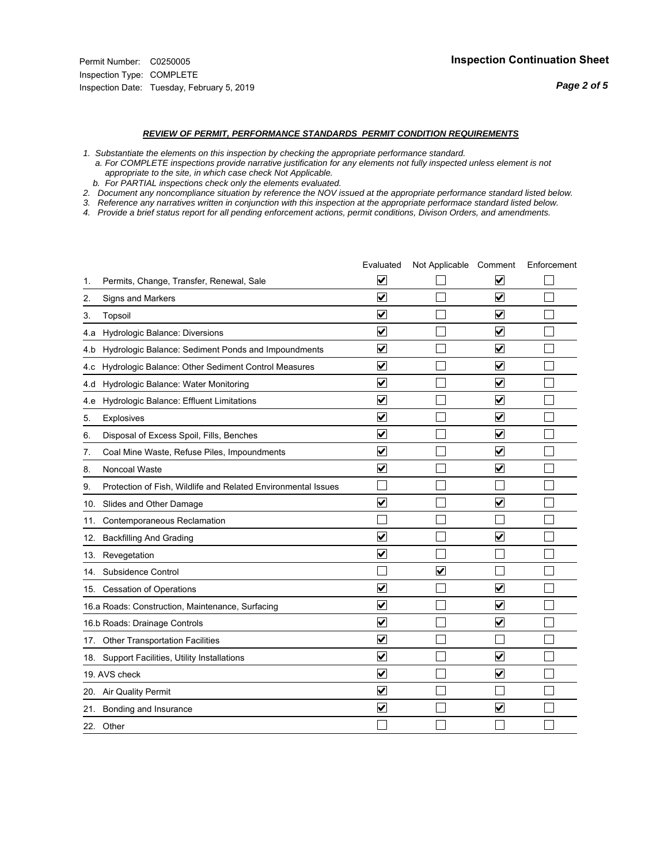#### *REVIEW OF PERMIT, PERFORMANCE STANDARDS PERMIT CONDITION REQUIREMENTS*

*1. Substantiate the elements on this inspection by checking the appropriate performance standard.*

 *a. For COMPLETE inspections provide narrative justification for any elements not fully inspected unless element is not appropriate to the site, in which case check Not Applicable.*

 *b. For PARTIAL inspections check only the elements evaluated.*

*2. Document any noncompliance situation by reference the NOV issued at the appropriate performance standard listed below.*

*3. Reference any narratives written in conjunction with this inspection at the appropriate performace standard listed below.*

|     |                                                               | Evaluated               | Not Applicable Comment  |                         | Enforcement |
|-----|---------------------------------------------------------------|-------------------------|-------------------------|-------------------------|-------------|
| 1.  | Permits, Change, Transfer, Renewal, Sale                      | ⊻                       |                         | V                       |             |
| 2.  | Signs and Markers                                             | $\overline{\mathbf{v}}$ |                         | $\blacktriangledown$    |             |
| 3.  | Topsoil                                                       | $\overline{\mathbf{v}}$ |                         | $\overline{\mathbf{v}}$ |             |
| 4.a | Hydrologic Balance: Diversions                                | $\overline{\mathsf{v}}$ |                         | $\blacktriangledown$    |             |
| 4.b | Hydrologic Balance: Sediment Ponds and Impoundments           | $\blacktriangledown$    |                         | $\blacktriangledown$    |             |
| 4.c | Hydrologic Balance: Other Sediment Control Measures           | $\checkmark$            |                         | $\blacktriangledown$    |             |
| 4.d | Hydrologic Balance: Water Monitoring                          | $\overline{\mathbf{v}}$ |                         | $\blacktriangledown$    |             |
| 4.e | Hydrologic Balance: Effluent Limitations                      | $\overline{\mathbf{v}}$ |                         | $\blacktriangledown$    |             |
| 5.  | <b>Explosives</b>                                             | $\overline{\mathbf{v}}$ |                         | $\blacktriangledown$    |             |
| 6.  | Disposal of Excess Spoil, Fills, Benches                      | $\overline{\mathbf{v}}$ |                         | $\blacktriangledown$    |             |
| 7.  | Coal Mine Waste, Refuse Piles, Impoundments                   | $\overline{\mathsf{v}}$ |                         | $\blacktriangledown$    |             |
| 8.  | Noncoal Waste                                                 | $\overline{\mathbf{v}}$ |                         | $\blacktriangledown$    |             |
| 9.  | Protection of Fish, Wildlife and Related Environmental Issues |                         |                         |                         |             |
|     | 10. Slides and Other Damage                                   | ⊽                       |                         | $\overline{\mathbf{v}}$ |             |
| 11. | Contemporaneous Reclamation                                   |                         |                         |                         |             |
| 12. | <b>Backfilling And Grading</b>                                | $\overline{\mathbf{v}}$ |                         | $\blacktriangledown$    |             |
| 13. | Revegetation                                                  | $\overline{\mathbf{v}}$ |                         |                         |             |
| 14. | Subsidence Control                                            |                         | $\overline{\mathbf{v}}$ |                         |             |
|     | 15. Cessation of Operations                                   | $\blacktriangledown$    |                         | $\blacktriangledown$    |             |
|     | 16.a Roads: Construction, Maintenance, Surfacing              | $\overline{\mathsf{v}}$ |                         | $\overline{\mathbf{v}}$ |             |
|     | 16.b Roads: Drainage Controls                                 | $\blacktriangledown$    |                         | $\overline{\mathbf{v}}$ |             |
|     | 17. Other Transportation Facilities                           | $\overline{\mathbf{v}}$ |                         |                         |             |
| 18. | Support Facilities, Utility Installations                     | $\overline{\mathbf{v}}$ |                         | $\blacktriangledown$    |             |
|     | 19. AVS check                                                 | $\overline{\mathbf{v}}$ |                         | $\blacktriangledown$    |             |
|     | 20. Air Quality Permit                                        | $\checkmark$            |                         |                         |             |
|     | 21. Bonding and Insurance                                     | $\overline{\mathbf{v}}$ |                         | $\blacktriangledown$    |             |
|     | 22. Other                                                     |                         |                         |                         |             |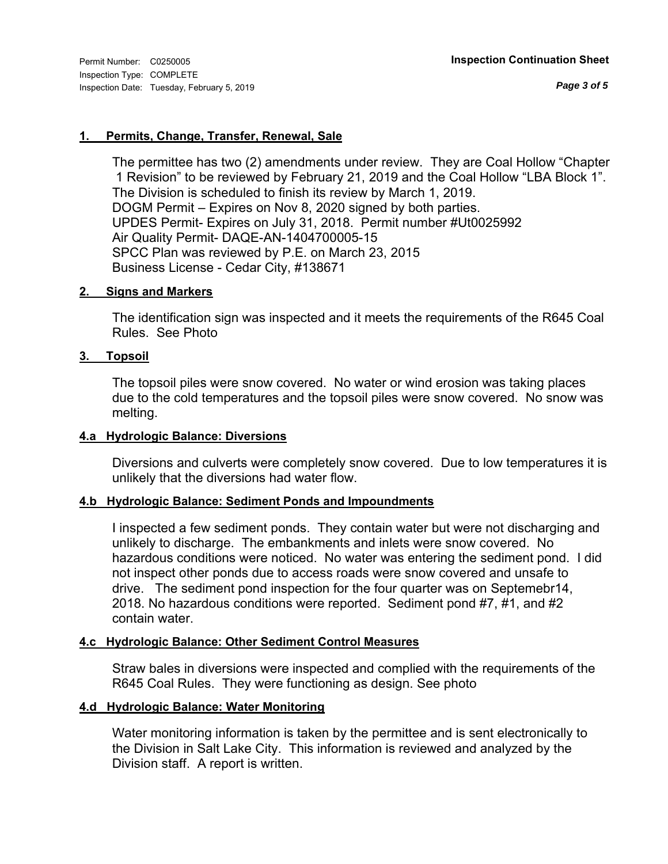*Page 3 of 5*

### **1. Permits, Change, Transfer, Renewal, Sale**

The permittee has two (2) amendments under review. They are Coal Hollow "Chapter 1 Revision" to be reviewed by February 21, 2019 and the Coal Hollow "LBA Block 1". The Division is scheduled to finish its review by March 1, 2019. DOGM Permit – Expires on Nov 8, 2020 signed by both parties. UPDES Permit- Expires on July 31, 2018. Permit number #Ut0025992 Air Quality Permit- DAQE-AN-1404700005-15 SPCC Plan was reviewed by P.E. on March 23, 2015 Business License - Cedar City, #138671

#### **2. Signs and Markers**

The identification sign was inspected and it meets the requirements of the R645 Coal Rules. See Photo

#### **3. Topsoil**

The topsoil piles were snow covered. No water or wind erosion was taking places due to the cold temperatures and the topsoil piles were snow covered. No snow was melting.

#### **4.a Hydrologic Balance: Diversions**

Diversions and culverts were completely snow covered. Due to low temperatures it is unlikely that the diversions had water flow.

#### **4.b Hydrologic Balance: Sediment Ponds and Impoundments**

I inspected a few sediment ponds. They contain water but were not discharging and unlikely to discharge. The embankments and inlets were snow covered. No hazardous conditions were noticed. No water was entering the sediment pond. I did not inspect other ponds due to access roads were snow covered and unsafe to drive. The sediment pond inspection for the four quarter was on Septemebr14, 2018. No hazardous conditions were reported. Sediment pond #7, #1, and #2 contain water.

### **4.c Hydrologic Balance: Other Sediment Control Measures**

Straw bales in diversions were inspected and complied with the requirements of the R645 Coal Rules. They were functioning as design. See photo

#### **4.d Hydrologic Balance: Water Monitoring**

Water monitoring information is taken by the permittee and is sent electronically to the Division in Salt Lake City. This information is reviewed and analyzed by the Division staff. A report is written.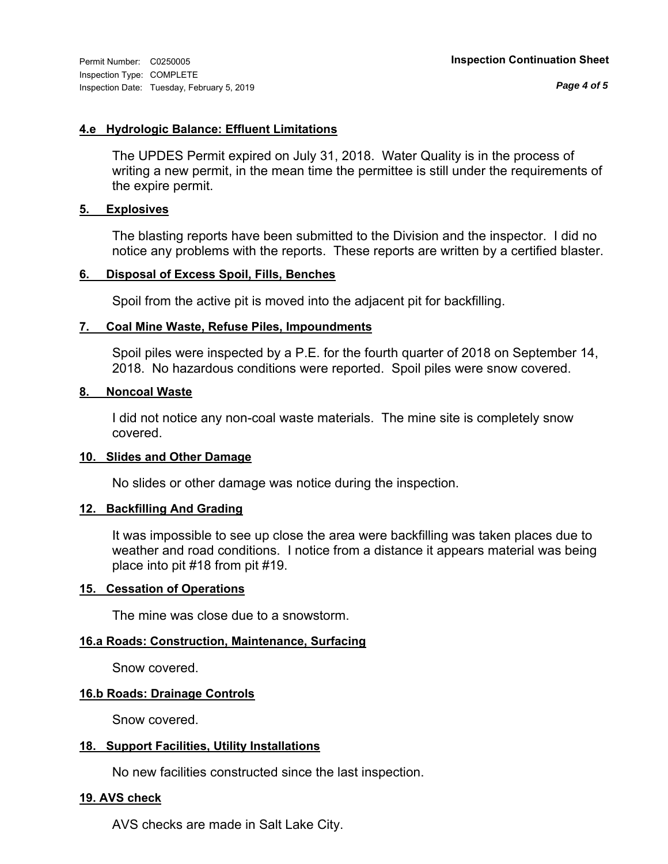*Page 4 of 5*

### **4.e Hydrologic Balance: Effluent Limitations**

The UPDES Permit expired on July 31, 2018. Water Quality is in the process of writing a new permit, in the mean time the permittee is still under the requirements of the expire permit.

#### **5. Explosives**

The blasting reports have been submitted to the Division and the inspector. I did no notice any problems with the reports. These reports are written by a certified blaster.

### **6. Disposal of Excess Spoil, Fills, Benches**

Spoil from the active pit is moved into the adjacent pit for backfilling.

#### **7. Coal Mine Waste, Refuse Piles, Impoundments**

Spoil piles were inspected by a P.E. for the fourth quarter of 2018 on September 14, 2018. No hazardous conditions were reported. Spoil piles were snow covered.

#### **8. Noncoal Waste**

I did not notice any non-coal waste materials. The mine site is completely snow covered.

#### **10. Slides and Other Damage**

No slides or other damage was notice during the inspection.

### **12. Backfilling And Grading**

It was impossible to see up close the area were backfilling was taken places due to weather and road conditions. I notice from a distance it appears material was being place into pit #18 from pit #19.

#### **15. Cessation of Operations**

The mine was close due to a snowstorm.

### **16.a Roads: Construction, Maintenance, Surfacing**

Snow covered.

#### **16.b Roads: Drainage Controls**

Snow covered.

### **18. Support Facilities, Utility Installations**

No new facilities constructed since the last inspection.

### **19. AVS check**

AVS checks are made in Salt Lake City.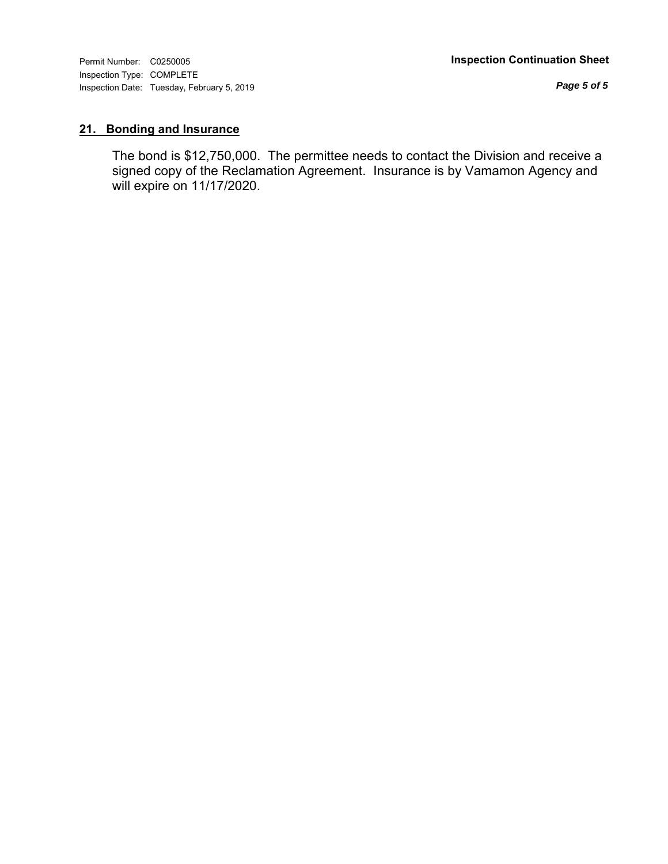Inspection Type: COMPLETE Inspection Date: Tuesday, February 5, 2019

*Page 5 of 5*

## **21. Bonding and Insurance**

The bond is \$12,750,000. The permittee needs to contact the Division and receive a signed copy of the Reclamation Agreement. Insurance is by Vamamon Agency and will expire on 11/17/2020.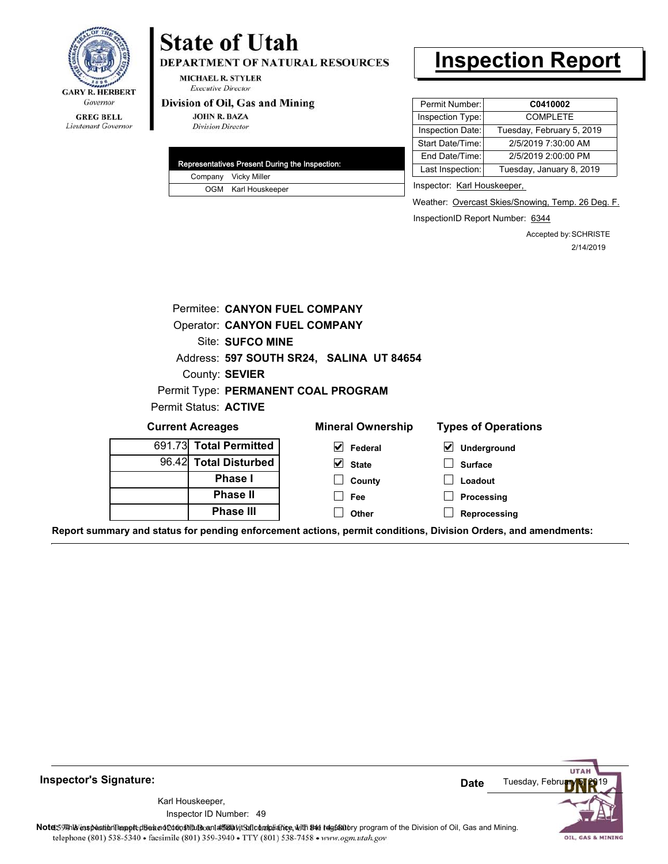

### Lieutenant Governor

# **State of Utah**

DEPARTMENT OF NATURAL RESOURCES

**MICHAEL R. STYLER Executive Director** 

#### Division of Oil, Gas and Mining

**JOHN R. BAZA Division Director** 

| Representatives Present During the Inspection: |                      |  |
|------------------------------------------------|----------------------|--|
|                                                | Company Vicky Miller |  |
|                                                | OGM Karl Houskeeper  |  |

## **Inspection Report**

| Permit Number:   | C0410002                  |  |  |
|------------------|---------------------------|--|--|
| Inspection Type: | <b>COMPLETE</b>           |  |  |
| Inspection Date: | Tuesday, February 5, 2019 |  |  |
| Start Date/Time: | 2/5/2019 7:30:00 AM       |  |  |
| End Date/Time:   | 2/5/2019 2:00:00 PM       |  |  |
| Last Inspection: | Tuesday, January 8, 2019  |  |  |
|                  |                           |  |  |

Inspector: Karl Houskeeper,

Weather: Overcast Skies/Snowing, Temp. 26 Deg. F.

InspectionID Report Number: 6344

Accepted by: SCHRISTE 2/14/2019

| Permitee: CANYON FUEL COMPANY            |                                      |                                     |                                     |  |  |  |  |  |  |
|------------------------------------------|--------------------------------------|-------------------------------------|-------------------------------------|--|--|--|--|--|--|
|                                          | <b>Operator: CANYON FUEL COMPANY</b> |                                     |                                     |  |  |  |  |  |  |
|                                          | Site: SUFCO MINE                     |                                     |                                     |  |  |  |  |  |  |
| Address: 597 SOUTH SR24, SALINA UT 84654 |                                      |                                     |                                     |  |  |  |  |  |  |
| County: SEVIER                           |                                      |                                     |                                     |  |  |  |  |  |  |
|                                          |                                      | Permit Type: PERMANENT COAL PROGRAM |                                     |  |  |  |  |  |  |
| Permit Status: ACTIVE                    |                                      |                                     |                                     |  |  |  |  |  |  |
|                                          | <b>Current Acreages</b>              | <b>Mineral Ownership</b>            | <b>Types of Operations</b>          |  |  |  |  |  |  |
|                                          | 691.73 Total Permitted               | $\vert \mathbf{v} \vert$ Federal    | $\blacktriangledown$<br>Underground |  |  |  |  |  |  |
|                                          | 96.42 Total Disturbed                | $\vee$ State                        | <b>Surface</b>                      |  |  |  |  |  |  |
|                                          | Phase I                              | County                              | Loadout                             |  |  |  |  |  |  |
|                                          | <b>Phase II</b>                      | <b>Fee</b>                          | Processing                          |  |  |  |  |  |  |
|                                          | <b>Phase III</b>                     | Other                               | Reprocessing                        |  |  |  |  |  |  |
|                                          |                                      |                                     |                                     |  |  |  |  |  |  |

**Report summary and status for pending enforcement actions, permit conditions, Division Orders, and amendments:**



**Inspector's Signature:**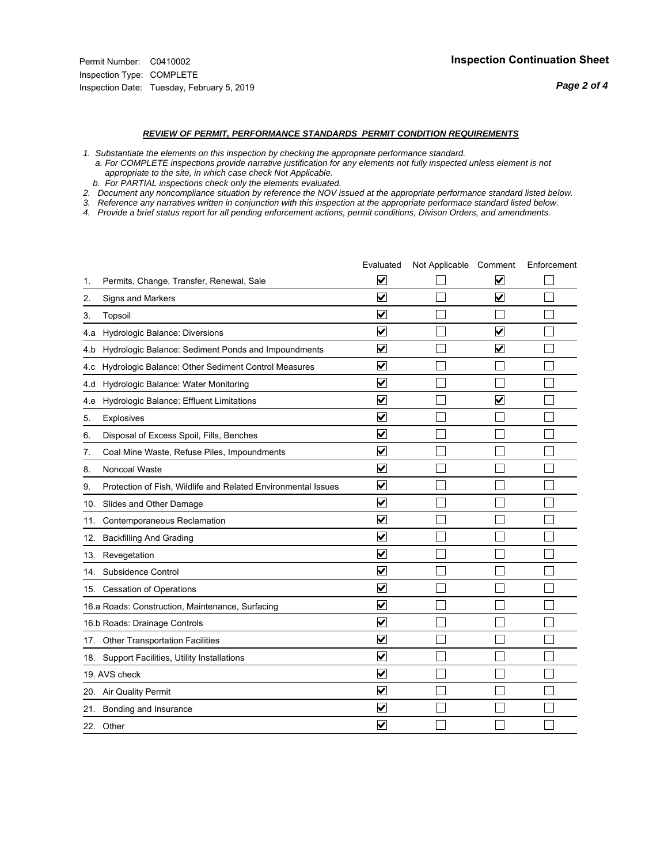*Page 2 of 4*

#### *REVIEW OF PERMIT, PERFORMANCE STANDARDS PERMIT CONDITION REQUIREMENTS*

*1. Substantiate the elements on this inspection by checking the appropriate performance standard.*

 *a. For COMPLETE inspections provide narrative justification for any elements not fully inspected unless element is not appropriate to the site, in which case check Not Applicable.*

 *b. For PARTIAL inspections check only the elements evaluated.*

*2. Document any noncompliance situation by reference the NOV issued at the appropriate performance standard listed below.*

*3. Reference any narratives written in conjunction with this inspection at the appropriate performace standard listed below.*

*4. Provide a brief status report for all pending enforcement actions, permit conditions, Divison Orders, and amendments.*

|     |                                                               | Evaluated               | Not Applicable Comment |                         | Enforcement |
|-----|---------------------------------------------------------------|-------------------------|------------------------|-------------------------|-------------|
| 1.  | Permits, Change, Transfer, Renewal, Sale                      | $\overline{\mathbf{v}}$ |                        | V                       |             |
| 2.  | Signs and Markers                                             | $\overline{\mathbf{v}}$ |                        | $\blacktriangledown$    |             |
| 3.  | Topsoil                                                       | $\overline{\mathbf{v}}$ |                        |                         |             |
| 4.a | Hydrologic Balance: Diversions                                | $\blacktriangledown$    |                        | $\overline{\mathbf{v}}$ |             |
| 4.b | Hydrologic Balance: Sediment Ponds and Impoundments           | $\blacktriangledown$    |                        | V                       |             |
| 4.c | Hydrologic Balance: Other Sediment Control Measures           | $\overline{\mathbf{v}}$ |                        |                         |             |
| 4.d | Hydrologic Balance: Water Monitoring                          | $\overline{\mathbf{v}}$ |                        |                         |             |
| 4.e | Hydrologic Balance: Effluent Limitations                      | $\overline{\mathbf{v}}$ |                        | $\blacktriangledown$    |             |
| 5.  | <b>Explosives</b>                                             | $\overline{\mathbf{v}}$ |                        |                         |             |
| 6.  | Disposal of Excess Spoil, Fills, Benches                      | $\blacktriangledown$    |                        |                         |             |
| 7.  | Coal Mine Waste, Refuse Piles, Impoundments                   | $\overline{\mathbf{v}}$ |                        |                         |             |
| 8.  | Noncoal Waste                                                 | $\overline{\mathbf{v}}$ |                        |                         |             |
| 9.  | Protection of Fish, Wildlife and Related Environmental Issues | $\overline{\mathbf{v}}$ |                        |                         |             |
|     | 10. Slides and Other Damage                                   | $\overline{\mathbf{v}}$ |                        |                         |             |
| 11. | Contemporaneous Reclamation                                   | ⊽                       |                        |                         |             |
| 12. | <b>Backfilling And Grading</b>                                | $\overline{\mathbf{v}}$ |                        |                         |             |
| 13. | Revegetation                                                  | $\overline{\mathbf{v}}$ |                        |                         |             |
| 14. | Subsidence Control                                            | $\overline{\mathbf{v}}$ |                        |                         |             |
|     | 15. Cessation of Operations                                   | $\overline{\mathbf{v}}$ |                        |                         |             |
|     | 16.a Roads: Construction, Maintenance, Surfacing              | $\blacktriangledown$    |                        |                         |             |
|     | 16.b Roads: Drainage Controls                                 | $\overline{\mathbf{v}}$ |                        |                         |             |
|     | 17. Other Transportation Facilities                           | $\overline{\mathbf{v}}$ |                        |                         |             |
| 18. | Support Facilities, Utility Installations                     | $\overline{\mathbf{v}}$ |                        |                         |             |
|     | 19. AVS check                                                 | $\overline{\mathbf{v}}$ |                        |                         |             |
|     | 20. Air Quality Permit                                        | $\checkmark$            |                        |                         |             |
| 21. | Bonding and Insurance                                         | $\blacktriangledown$    |                        |                         |             |
|     | 22. Other                                                     | $\overline{\mathbf{v}}$ |                        |                         |             |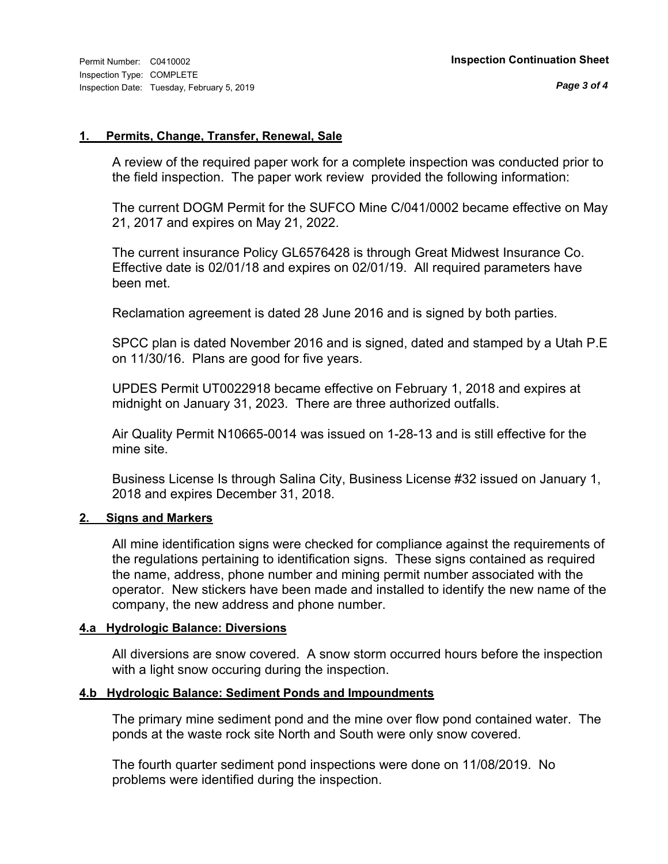#### **1. Permits, Change, Transfer, Renewal, Sale**

A review of the required paper work for a complete inspection was conducted prior to the field inspection. The paper work review provided the following information:

The current DOGM Permit for the SUFCO Mine C/041/0002 became effective on May 21, 2017 and expires on May 21, 2022.

The current insurance Policy GL6576428 is through Great Midwest Insurance Co. Effective date is 02/01/18 and expires on 02/01/19. All required parameters have been met.

Reclamation agreement is dated 28 June 2016 and is signed by both parties.

SPCC plan is dated November 2016 and is signed, dated and stamped by a Utah P.E on 11/30/16. Plans are good for five years.

UPDES Permit UT0022918 became effective on February 1, 2018 and expires at midnight on January 31, 2023. There are three authorized outfalls.

Air Quality Permit N10665-0014 was issued on 1-28-13 and is still effective for the mine site.

Business License Is through Salina City, Business License #32 issued on January 1, 2018 and expires December 31, 2018.

#### **2. Signs and Markers**

All mine identification signs were checked for compliance against the requirements of the regulations pertaining to identification signs. These signs contained as required the name, address, phone number and mining permit number associated with the operator. New stickers have been made and installed to identify the new name of the company, the new address and phone number.

#### **4.a Hydrologic Balance: Diversions**

All diversions are snow covered. A snow storm occurred hours before the inspection with a light snow occuring during the inspection.

#### **4.b Hydrologic Balance: Sediment Ponds and Impoundments**

The primary mine sediment pond and the mine over flow pond contained water. The ponds at the waste rock site North and South were only snow covered.

The fourth quarter sediment pond inspections were done on 11/08/2019. No problems were identified during the inspection.